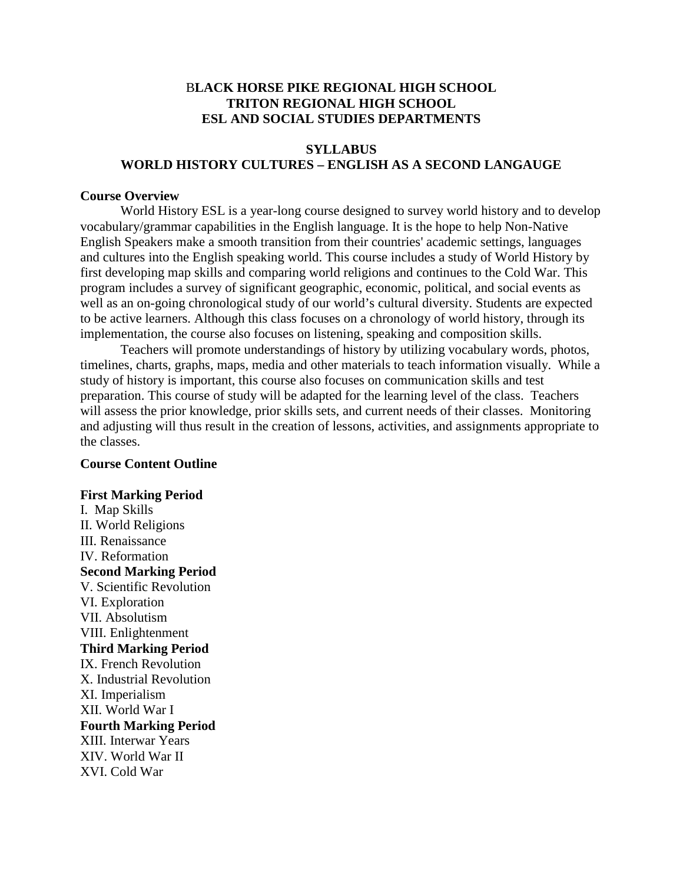# B**LACK HORSE PIKE REGIONAL HIGH SCHOOL TRITON REGIONAL HIGH SCHOOL ESL AND SOCIAL STUDIES DEPARTMENTS**

#### **SYLLABUS**

# **WORLD HISTORY CULTURES – ENGLISH AS A SECOND LANGAUGE**

#### **Course Overview**

World History ESL is a year-long course designed to survey world history and to develop vocabulary/grammar capabilities in the English language. It is the hope to help Non-Native English Speakers make a smooth transition from their countries' academic settings, languages and cultures into the English speaking world. This course includes a study of World History by first developing map skills and comparing world religions and continues to the Cold War. This program includes a survey of significant geographic, economic, political, and social events as well as an on-going chronological study of our world's cultural diversity. Students are expected to be active learners. Although this class focuses on a chronology of world history, through its implementation, the course also focuses on listening, speaking and composition skills.

Teachers will promote understandings of history by utilizing vocabulary words, photos, timelines, charts, graphs, maps, media and other materials to teach information visually. While a study of history is important, this course also focuses on communication skills and test preparation. This course of study will be adapted for the learning level of the class. Teachers will assess the prior knowledge, prior skills sets, and current needs of their classes. Monitoring and adjusting will thus result in the creation of lessons, activities, and assignments appropriate to the classes.

#### **Course Content Outline**

#### **First Marking Period**

I. Map Skills II. World Religions III. Renaissance IV. Reformation **Second Marking Period** V. Scientific Revolution VI. Exploration VII. Absolutism VIII. Enlightenment **Third Marking Period** IX. French Revolution X. Industrial Revolution XI. Imperialism XII. World War I **Fourth Marking Period** XIII. Interwar Years XIV. World War II XVI. Cold War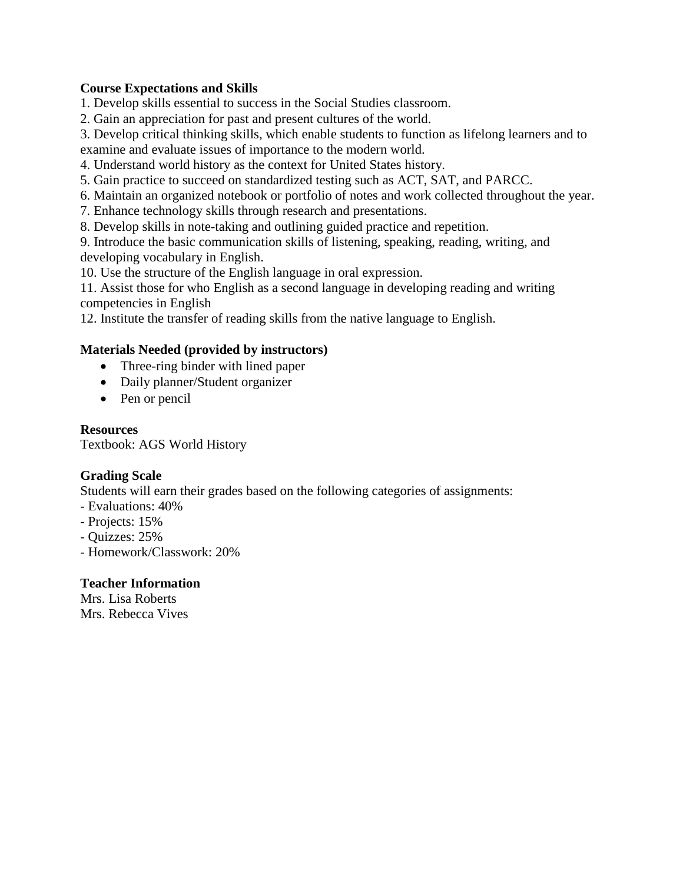# **Course Expectations and Skills**

1. Develop skills essential to success in the Social Studies classroom.

2. Gain an appreciation for past and present cultures of the world.

3. Develop critical thinking skills, which enable students to function as lifelong learners and to examine and evaluate issues of importance to the modern world.

4. Understand world history as the context for United States history.

- 5. Gain practice to succeed on standardized testing such as ACT, SAT, and PARCC.
- 6. Maintain an organized notebook or portfolio of notes and work collected throughout the year.
- 7. Enhance technology skills through research and presentations.
- 8. Develop skills in note-taking and outlining guided practice and repetition.

9. Introduce the basic communication skills of listening, speaking, reading, writing, and developing vocabulary in English.

10. Use the structure of the English language in oral expression.

11. Assist those for who English as a second language in developing reading and writing competencies in English

12. Institute the transfer of reading skills from the native language to English.

## **Materials Needed (provided by instructors)**

- Three-ring binder with lined paper
- Daily planner/Student organizer
- Pen or pencil

#### **Resources**

Textbook: AGS World History

# **Grading Scale**

Students will earn their grades based on the following categories of assignments:

- Evaluations: 40%
- Projects: 15%
- Quizzes: 25%
- Homework/Classwork: 20%

#### **Teacher Information**

Mrs. Lisa Roberts Mrs. Rebecca Vives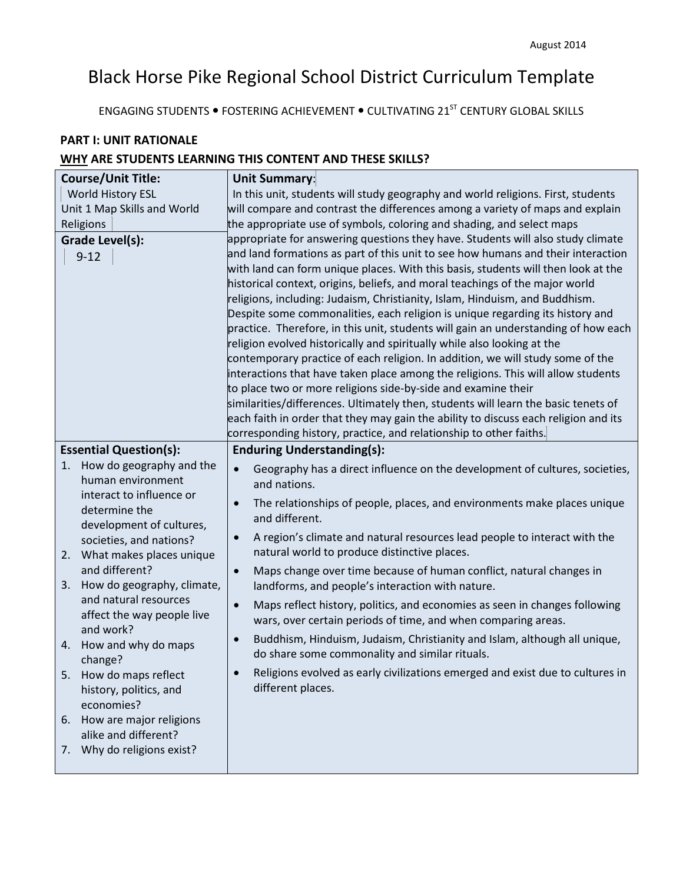# Black Horse Pike Regional School District Curriculum Template

ENGAGING STUDENTS  $\bullet$  FOSTERING ACHIEVEMENT  $\bullet$  CULTIVATING 21<sup>ST</sup> CENTURY GLOBAL SKILLS

# **PART I: UNIT RATIONALE WHY ARE STUDENTS LEARNING THIS CONTENT AND THESE SKILLS?**

| <b>Course/Unit Title:</b>                           | <b>Unit Summary:</b>                                                                                                                   |  |  |  |  |  |
|-----------------------------------------------------|----------------------------------------------------------------------------------------------------------------------------------------|--|--|--|--|--|
| World History ESL                                   | In this unit, students will study geography and world religions. First, students                                                       |  |  |  |  |  |
| Unit 1 Map Skills and World                         | will compare and contrast the differences among a variety of maps and explain                                                          |  |  |  |  |  |
| Religions                                           | the appropriate use of symbols, coloring and shading, and select maps                                                                  |  |  |  |  |  |
| <b>Grade Level(s):</b>                              | appropriate for answering questions they have. Students will also study climate                                                        |  |  |  |  |  |
| $9 - 12$                                            | and land formations as part of this unit to see how humans and their interaction                                                       |  |  |  |  |  |
|                                                     | with land can form unique places. With this basis, students will then look at the                                                      |  |  |  |  |  |
|                                                     | historical context, origins, beliefs, and moral teachings of the major world                                                           |  |  |  |  |  |
|                                                     | religions, including: Judaism, Christianity, Islam, Hinduism, and Buddhism.                                                            |  |  |  |  |  |
|                                                     | Despite some commonalities, each religion is unique regarding its history and                                                          |  |  |  |  |  |
|                                                     | practice. Therefore, in this unit, students will gain an understanding of how each                                                     |  |  |  |  |  |
|                                                     | religion evolved historically and spiritually while also looking at the                                                                |  |  |  |  |  |
|                                                     | contemporary practice of each religion. In addition, we will study some of the                                                         |  |  |  |  |  |
|                                                     | interactions that have taken place among the religions. This will allow students                                                       |  |  |  |  |  |
|                                                     | to place two or more religions side-by-side and examine their                                                                          |  |  |  |  |  |
|                                                     | similarities/differences. Ultimately then, students will learn the basic tenets of                                                     |  |  |  |  |  |
|                                                     | each faith in order that they may gain the ability to discuss each religion and its                                                    |  |  |  |  |  |
|                                                     | corresponding history, practice, and relationship to other faiths.                                                                     |  |  |  |  |  |
| <b>Essential Question(s):</b>                       | <b>Enduring Understanding(s):</b>                                                                                                      |  |  |  |  |  |
| 1. How do geography and the                         | Geography has a direct influence on the development of cultures, societies,<br>$\bullet$                                               |  |  |  |  |  |
| human environment                                   | and nations.                                                                                                                           |  |  |  |  |  |
| interact to influence or                            | The relationships of people, places, and environments make places unique<br>$\bullet$                                                  |  |  |  |  |  |
| determine the                                       | and different.                                                                                                                         |  |  |  |  |  |
| development of cultures,                            |                                                                                                                                        |  |  |  |  |  |
| societies, and nations?                             | A region's climate and natural resources lead people to interact with the<br>$\bullet$<br>natural world to produce distinctive places. |  |  |  |  |  |
| 2. What makes places unique                         |                                                                                                                                        |  |  |  |  |  |
| and different?                                      | Maps change over time because of human conflict, natural changes in<br>$\bullet$                                                       |  |  |  |  |  |
| 3. How do geography, climate,                       | landforms, and people's interaction with nature.                                                                                       |  |  |  |  |  |
| and natural resources<br>affect the way people live | Maps reflect history, politics, and economies as seen in changes following<br>$\bullet$                                                |  |  |  |  |  |
| and work?                                           | wars, over certain periods of time, and when comparing areas.                                                                          |  |  |  |  |  |
| How and why do maps<br>4.                           | Buddhism, Hinduism, Judaism, Christianity and Islam, although all unique,<br>$\bullet$                                                 |  |  |  |  |  |
| change?                                             | do share some commonality and similar rituals.                                                                                         |  |  |  |  |  |
| How do maps reflect<br>5.                           | Religions evolved as early civilizations emerged and exist due to cultures in                                                          |  |  |  |  |  |
| history, politics, and                              | different places.                                                                                                                      |  |  |  |  |  |
| economies?                                          |                                                                                                                                        |  |  |  |  |  |
| How are major religions<br>6.                       |                                                                                                                                        |  |  |  |  |  |
| alike and different?                                |                                                                                                                                        |  |  |  |  |  |
| Why do religions exist?<br>7.                       |                                                                                                                                        |  |  |  |  |  |
|                                                     |                                                                                                                                        |  |  |  |  |  |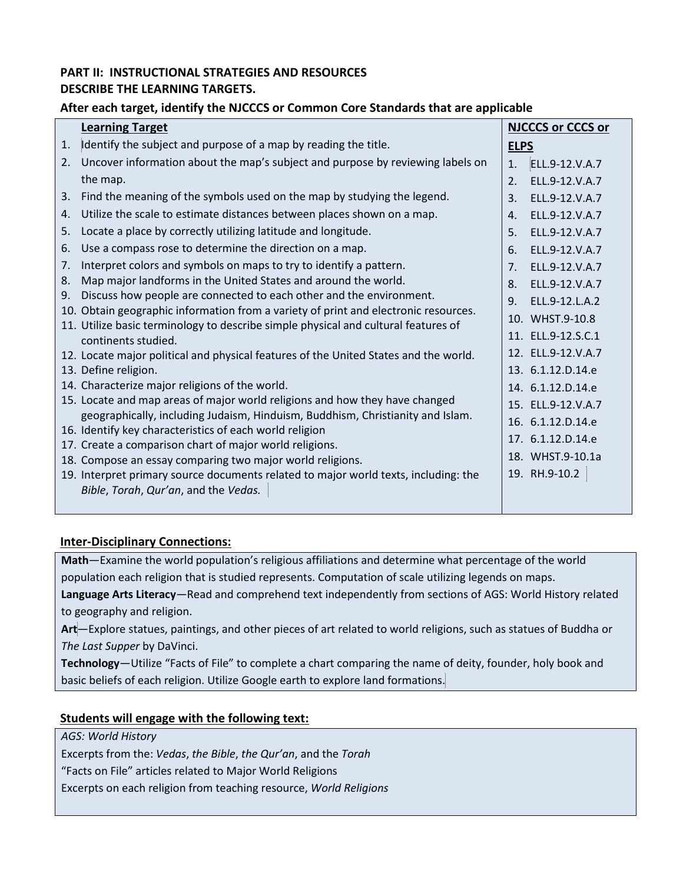# **PART II: INSTRUCTIONAL STRATEGIES AND RESOURCES DESCRIBE THE LEARNING TARGETS.**

## **After each target, identify the NJCCCS or Common Core Standards that are applicable**

|    | <b>Learning Target</b>                                                                                               |                | <b>NJCCCS or CCCS or</b> |
|----|----------------------------------------------------------------------------------------------------------------------|----------------|--------------------------|
| 1. | Identify the subject and purpose of a map by reading the title.                                                      | <b>ELPS</b>    |                          |
| 2. | Uncover information about the map's subject and purpose by reviewing labels on                                       | 1 <sub>1</sub> | ELL.9-12.V.A.7           |
|    | the map.                                                                                                             | 2 <sub>1</sub> | ELL.9-12.V.A.7           |
| 3. | Find the meaning of the symbols used on the map by studying the legend.                                              | 3.             | ELL.9-12.V.A.7           |
| 4. | Utilize the scale to estimate distances between places shown on a map.                                               | $\mathbf{A}$ . | ELL.9-12.V.A.7           |
| 5. | Locate a place by correctly utilizing latitude and longitude.                                                        | 5.             | ELL.9-12.V.A.7           |
| 6. | Use a compass rose to determine the direction on a map.                                                              | 6.             | ELL.9-12.V.A.7           |
| 7. | Interpret colors and symbols on maps to try to identify a pattern.                                                   | 7 <sub>1</sub> | ELL.9-12.V.A.7           |
| 8. | Map major landforms in the United States and around the world.                                                       | 8.             | ELL.9-12.V.A.7           |
| 9. | Discuss how people are connected to each other and the environment.                                                  | 9.             | ELL.9-12.L.A.2           |
|    | 10. Obtain geographic information from a variety of print and electronic resources.                                  |                | 10. WHST.9-10.8          |
|    | 11. Utilize basic terminology to describe simple physical and cultural features of<br>continents studied.            |                | 11. ELL.9-12.S.C.1       |
|    | 12. Locate major political and physical features of the United States and the world.                                 |                | 12. ELL.9-12.V.A.7       |
|    | 13. Define religion.                                                                                                 |                | 13. 6.1.12.D.14.e        |
|    | 14. Characterize major religions of the world.                                                                       |                | 14. 6.1.12.D.14.e        |
|    | 15. Locate and map areas of major world religions and how they have changed                                          |                | 15. ELL.9-12.V.A.7       |
|    | geographically, including Judaism, Hinduism, Buddhism, Christianity and Islam.                                       |                | 16. 6.1.12.D.14.e        |
|    | 16. Identify key characteristics of each world religion                                                              |                | 17. 6.1.12.D.14.e        |
|    | 17. Create a comparison chart of major world religions.<br>18. Compose an essay comparing two major world religions. |                | 18. WHST.9-10.1a         |
|    | 19. Interpret primary source documents related to major world texts, including: the                                  |                | 19. RH.9-10.2            |
|    | Bible, Torah, Qur'an, and the Vedas.                                                                                 |                |                          |
|    |                                                                                                                      |                |                          |

# **Inter-Disciplinary Connections:**

**Math**—Examine the world population's religious affiliations and determine what percentage of the world population each religion that is studied represents. Computation of scale utilizing legends on maps.

**Language Arts Literacy**—Read and comprehend text independently from sections of AGS: World History related to geography and religion.

**Art**—Explore statues, paintings, and other pieces of art related to world religions, such as statues of Buddha or *The Last Supper* by DaVinci.

**Technology**—Utilize "Facts of File" to complete a chart comparing the name of deity, founder, holy book and basic beliefs of each religion. Utilize Google earth to explore land formations.

#### **Students will engage with the following text:**

*AGS: World History* 

Excerpts from the: *Vedas*, *the Bible*, *the Qur'an*, and the *Torah*

"Facts on File" articles related to Major World Religions

Excerpts on each religion from teaching resource, *World Religions*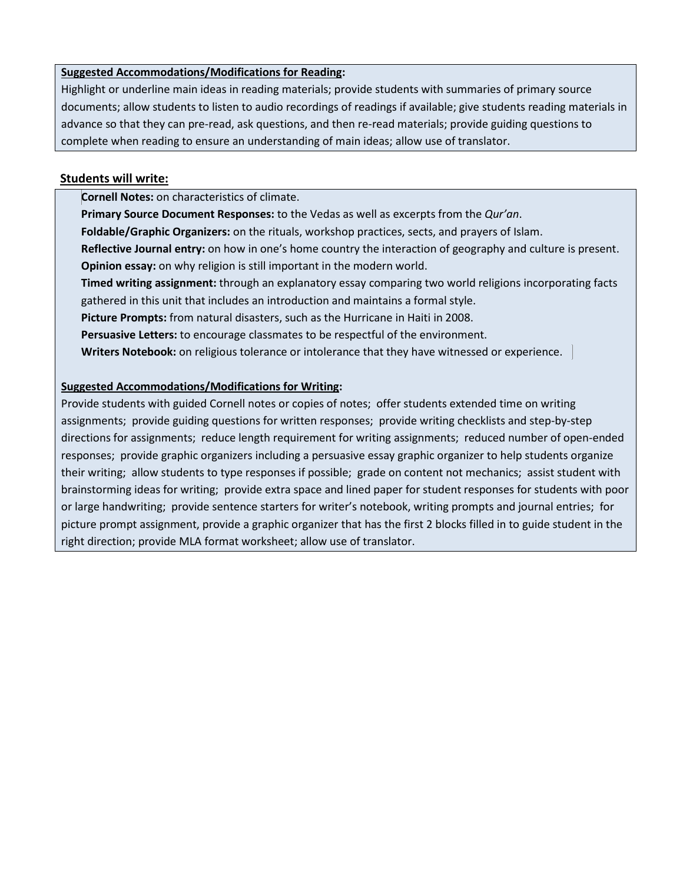#### **Suggested Accommodations/Modifications for Reading:**

Highlight or underline main ideas in reading materials; provide students with summaries of primary source documents; allow students to listen to audio recordings of readings if available; give students reading materials in advance so that they can pre-read, ask questions, and then re-read materials; provide guiding questions to complete when reading to ensure an understanding of main ideas; allow use of translator.

#### **Students will write:**

**Cornell Notes:** on characteristics of climate. **Primary Source Document Responses:** to the Vedas as well as excerpts from the *Qur'an*. **Foldable/Graphic Organizers:** on the rituals, workshop practices, sects, and prayers of Islam. **Reflective Journal entry:** on how in one's home country the interaction of geography and culture is present. **Opinion essay:** on why religion is still important in the modern world. **Timed writing assignment:** through an explanatory essay comparing two world religions incorporating facts gathered in this unit that includes an introduction and maintains a formal style. **Picture Prompts:** from natural disasters, such as the Hurricane in Haiti in 2008. **Persuasive Letters:** to encourage classmates to be respectful of the environment. **Writers Notebook:** on religious tolerance or intolerance that they have witnessed or experience.

#### **Suggested Accommodations/Modifications for Writing:**

Provide students with guided Cornell notes or copies of notes; offer students extended time on writing assignments; provide guiding questions for written responses; provide writing checklists and step-by-step directions for assignments; reduce length requirement for writing assignments; reduced number of open-ended responses; provide graphic organizers including a persuasive essay graphic organizer to help students organize their writing; allow students to type responses if possible; grade on content not mechanics; assist student with brainstorming ideas for writing; provide extra space and lined paper for student responses for students with poor or large handwriting;provide sentence starters for writer's notebook, writing prompts and journal entries; for picture prompt assignment, provide a graphic organizer that has the first 2 blocks filled in to guide student in the right direction; provide MLA format worksheet; allow use of translator.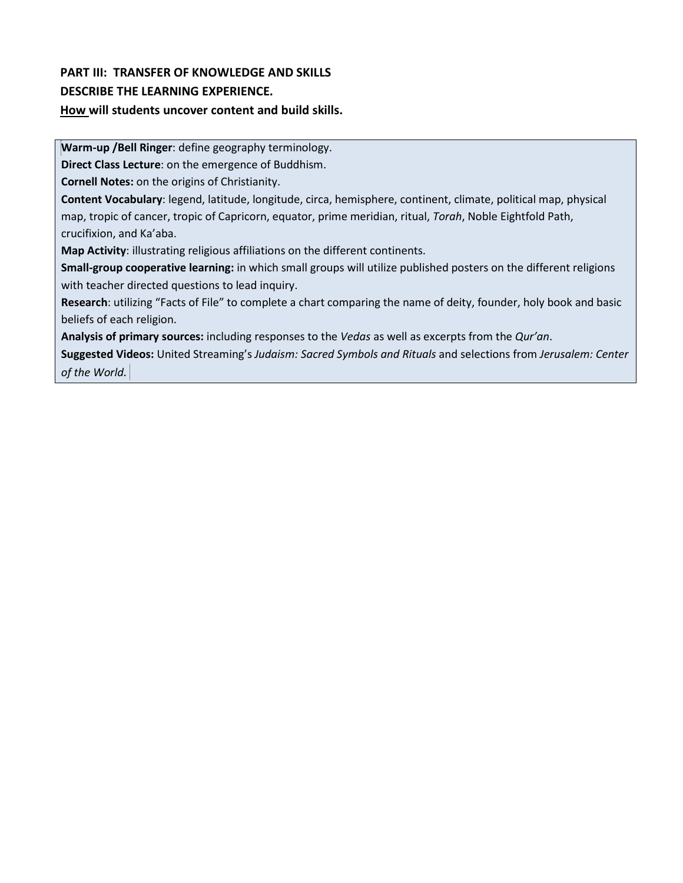# **PART III: TRANSFER OF KNOWLEDGE AND SKILLS DESCRIBE THE LEARNING EXPERIENCE.**

## **How will students uncover content and build skills.**

**Warm-up /Bell Ringer**: define geography terminology.

**Direct Class Lecture**: on the emergence of Buddhism.

**Cornell Notes:** on the origins of Christianity.

**Content Vocabulary**: legend, latitude, longitude, circa, hemisphere, continent, climate, political map, physical map, tropic of cancer, tropic of Capricorn, equator, prime meridian, ritual, *Torah*, Noble Eightfold Path, crucifixion, and Ka'aba.

**Map Activity**: illustrating religious affiliations on the different continents.

**Small-group cooperative learning:** in which small groups will utilize published posters on the different religions with teacher directed questions to lead inquiry.

**Research**: utilizing "Facts of File" to complete a chart comparing the name of deity, founder, holy book and basic beliefs of each religion.

**Analysis of primary sources:** including responses to the *Vedas* as well as excerpts from the *Qur'an*.

**Suggested Videos:** United Streaming's *[Judaism: Sacred Symbols and Rituals](http://app.discoveryeducation.com/player/view/assetGuid/3D9C5EE4-D55E-4C20-9173-4D372694E532)* and selections from *Jerusalem: Center of the World.*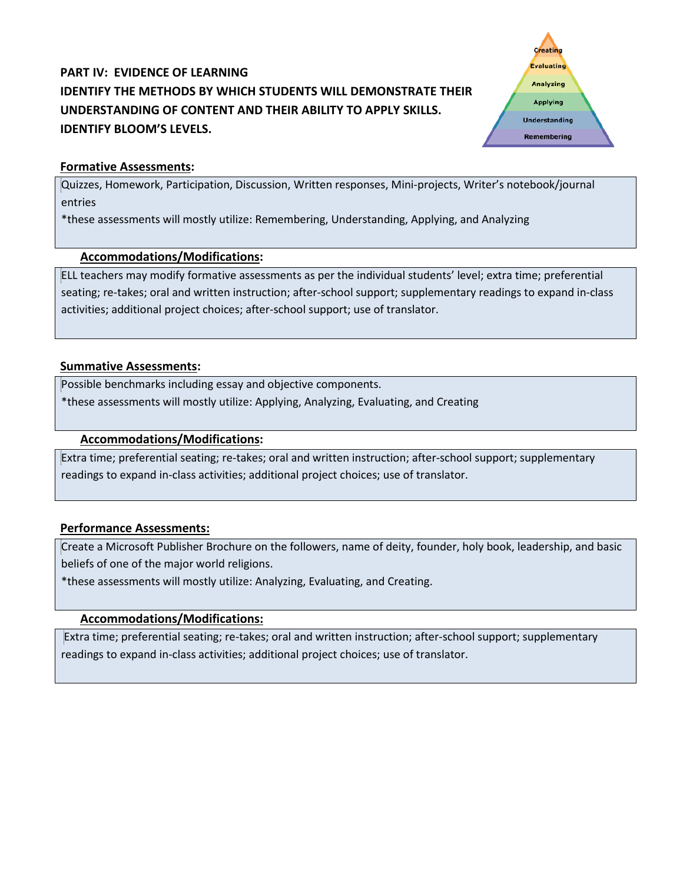# **PART IV: EVIDENCE OF LEARNING IDENTIFY THE METHODS BY WHICH STUDENTS WILL DEMONSTRATE THEIR UNDERSTANDING OF CONTENT AND THEIR ABILITY TO APPLY SKILLS. IDENTIFY BLOOM'S LEVELS.**

# **Formative Assessments:**

Quizzes, Homework, Participation, Discussion, Written responses, Mini-projects, Writer's notebook/journal entries

**Creatin Evaluating Analyzing Applying Understanding** Remembering

\*these assessments will mostly utilize: Remembering, Understanding, Applying, and Analyzing

#### **Accommodations/Modifications:**

ELL teachers may modify formative assessments as per the individual students' level; extra time; preferential seating; re-takes; oral and written instruction; after-school support; supplementary readings to expand in-class activities; additional project choices; after-school support; use of translator.

## **Summative Assessments:**

Possible benchmarks including essay and objective components.

\*these assessments will mostly utilize: Applying, Analyzing, Evaluating, and Creating

# **Accommodations/Modifications:**

Extra time; preferential seating; re-takes; oral and written instruction; after-school support; supplementary readings to expand in-class activities; additional project choices; use of translator.

#### **Performance Assessments:**

Create a Microsoft Publisher Brochure on the followers, name of deity, founder, holy book, leadership, and basic beliefs of one of the major world religions.

\*these assessments will mostly utilize: Analyzing, Evaluating, and Creating.

#### **Accommodations/Modifications:**

Extra time; preferential seating; re-takes; oral and written instruction; after-school support; supplementary readings to expand in-class activities; additional project choices; use of translator.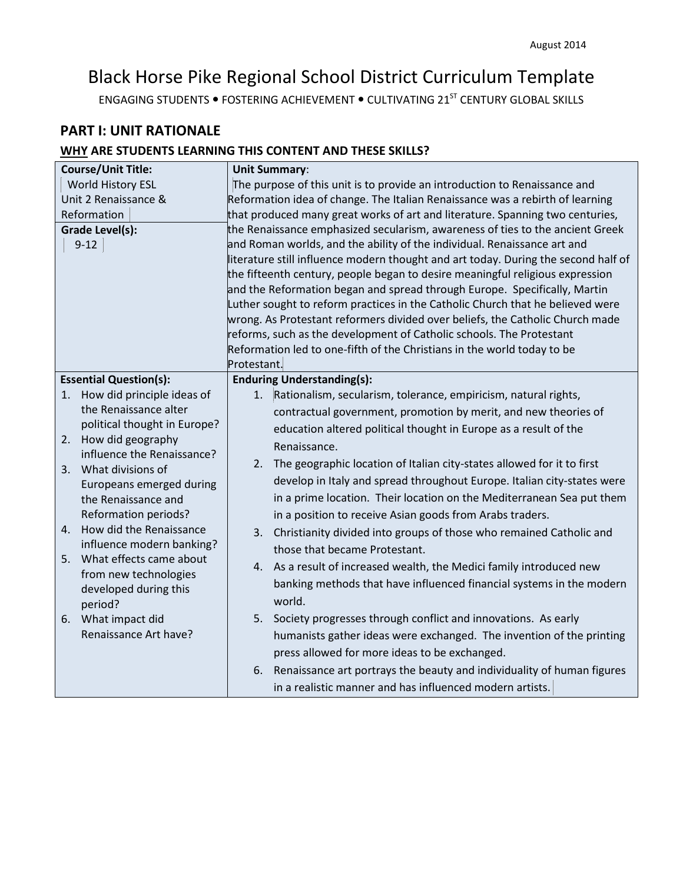# Black Horse Pike Regional School District Curriculum Template

ENGAGING STUDENTS . FOSTERING ACHIEVEMENT . CULTIVATING 21<sup>ST</sup> CENTURY GLOBAL SKILLS

# **PART I: UNIT RATIONALE**

# **WHY ARE STUDENTS LEARNING THIS CONTENT AND THESE SKILLS?**

| <b>Course/Unit Title:</b> |                                                             |                                                                               | <b>Unit Summary:</b>                                                                                 |  |  |  |
|---------------------------|-------------------------------------------------------------|-------------------------------------------------------------------------------|------------------------------------------------------------------------------------------------------|--|--|--|
| <b>World History ESL</b>  |                                                             | The purpose of this unit is to provide an introduction to Renaissance and     |                                                                                                      |  |  |  |
|                           | Unit 2 Renaissance &                                        | Reformation idea of change. The Italian Renaissance was a rebirth of learning |                                                                                                      |  |  |  |
|                           | Reformation                                                 | that produced many great works of art and literature. Spanning two centuries, |                                                                                                      |  |  |  |
|                           | <b>Grade Level(s):</b>                                      |                                                                               | the Renaissance emphasized secularism, awareness of ties to the ancient Greek                        |  |  |  |
|                           | $9-12$                                                      |                                                                               | and Roman worlds, and the ability of the individual. Renaissance art and                             |  |  |  |
|                           |                                                             |                                                                               | literature still influence modern thought and art today. During the second half of                   |  |  |  |
|                           |                                                             |                                                                               | the fifteenth century, people began to desire meaningful religious expression                        |  |  |  |
|                           |                                                             |                                                                               | and the Reformation began and spread through Europe. Specifically, Martin                            |  |  |  |
|                           |                                                             |                                                                               | Luther sought to reform practices in the Catholic Church that he believed were                       |  |  |  |
|                           |                                                             |                                                                               | wrong. As Protestant reformers divided over beliefs, the Catholic Church made                        |  |  |  |
|                           |                                                             |                                                                               | reforms, such as the development of Catholic schools. The Protestant                                 |  |  |  |
|                           |                                                             |                                                                               | Reformation led to one-fifth of the Christians in the world today to be                              |  |  |  |
|                           |                                                             | Protestant.                                                                   |                                                                                                      |  |  |  |
| 1.                        | <b>Essential Question(s):</b><br>How did principle ideas of | 1.                                                                            | <b>Enduring Understanding(s):</b><br>Rationalism, secularism, tolerance, empiricism, natural rights, |  |  |  |
|                           | the Renaissance alter                                       |                                                                               |                                                                                                      |  |  |  |
|                           | political thought in Europe?                                |                                                                               | contractual government, promotion by merit, and new theories of                                      |  |  |  |
|                           | 2. How did geography                                        |                                                                               | education altered political thought in Europe as a result of the                                     |  |  |  |
|                           | influence the Renaissance?                                  |                                                                               | Renaissance.                                                                                         |  |  |  |
| 3.                        | What divisions of                                           | 2.                                                                            | The geographic location of Italian city-states allowed for it to first                               |  |  |  |
|                           | Europeans emerged during                                    |                                                                               | develop in Italy and spread throughout Europe. Italian city-states were                              |  |  |  |
|                           | the Renaissance and                                         |                                                                               | in a prime location. Their location on the Mediterranean Sea put them                                |  |  |  |
|                           | Reformation periods?                                        |                                                                               | in a position to receive Asian goods from Arabs traders.                                             |  |  |  |
| 4.                        | How did the Renaissance                                     | 3.                                                                            | Christianity divided into groups of those who remained Catholic and                                  |  |  |  |
|                           | influence modern banking?                                   |                                                                               | those that became Protestant.                                                                        |  |  |  |
| 5.                        | What effects came about                                     |                                                                               | 4. As a result of increased wealth, the Medici family introduced new                                 |  |  |  |
|                           | from new technologies                                       |                                                                               | banking methods that have influenced financial systems in the modern                                 |  |  |  |
|                           | developed during this                                       |                                                                               |                                                                                                      |  |  |  |
|                           | period?                                                     |                                                                               | world.                                                                                               |  |  |  |
|                           | 6. What impact did                                          |                                                                               | 5. Society progresses through conflict and innovations. As early                                     |  |  |  |
|                           | Renaissance Art have?                                       |                                                                               | humanists gather ideas were exchanged. The invention of the printing                                 |  |  |  |
|                           |                                                             |                                                                               | press allowed for more ideas to be exchanged.                                                        |  |  |  |
|                           |                                                             | 6.                                                                            | Renaissance art portrays the beauty and individuality of human figures                               |  |  |  |
|                           |                                                             |                                                                               | in a realistic manner and has influenced modern artists.                                             |  |  |  |
|                           |                                                             |                                                                               |                                                                                                      |  |  |  |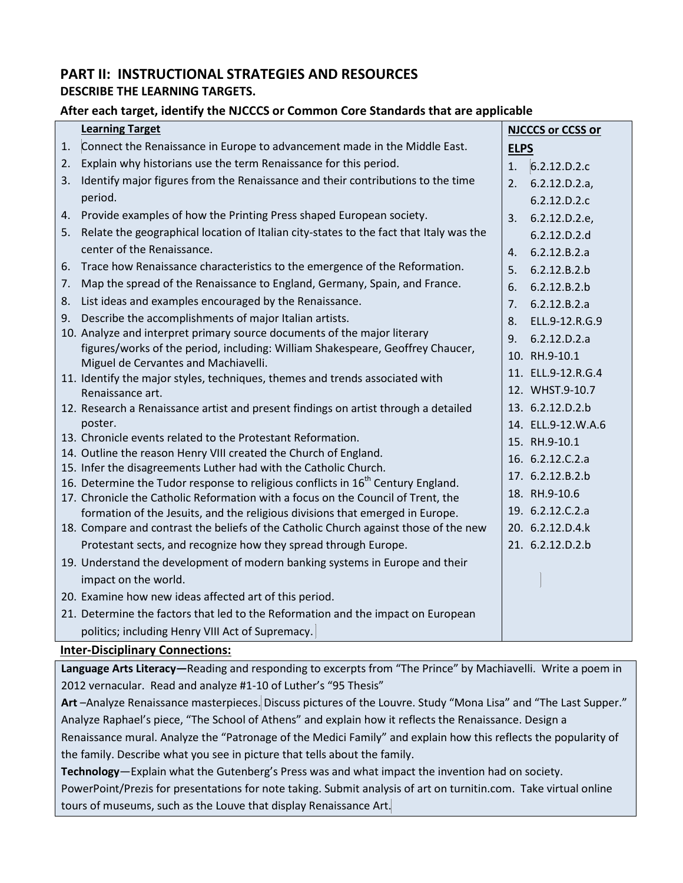# **PART II: INSTRUCTIONAL STRATEGIES AND RESOURCES DESCRIBE THE LEARNING TARGETS.**

# **After each target, identify the NJCCCS or Common Core Standards that are applicable**

|    | <b>Learning Target</b>                                                                                                                                    |                      | <b>NJCCCS or CCSS or</b> |
|----|-----------------------------------------------------------------------------------------------------------------------------------------------------------|----------------------|--------------------------|
| 1. | Connect the Renaissance in Europe to advancement made in the Middle East.                                                                                 | <b>ELPS</b>          |                          |
| 2. | Explain why historians use the term Renaissance for this period.                                                                                          | 1.                   | 6.2.12.D.2.c             |
| 3. | Identify major figures from the Renaissance and their contributions to the time                                                                           | 2.                   | 6.2.12.D.2.a,            |
|    | period.                                                                                                                                                   |                      | 6.2.12.D.2.c             |
| 4. | Provide examples of how the Printing Press shaped European society.                                                                                       | 3.                   | 6.2.12.D.2.e,            |
| 5. | Relate the geographical location of Italian city-states to the fact that Italy was the                                                                    |                      | 6.2.12.D.2.d             |
|    | center of the Renaissance.                                                                                                                                | $\mathbf{A}_{\cdot}$ | 6.2.12.B.2.a             |
| 6. | Trace how Renaissance characteristics to the emergence of the Reformation.                                                                                | 5.                   | 6.2.12.B.2.b             |
| 7. | Map the spread of the Renaissance to England, Germany, Spain, and France.                                                                                 | 6.                   | 6.2.12.B.2.b             |
| 8. | List ideas and examples encouraged by the Renaissance.                                                                                                    | 7.                   | 6.2.12.B.2.a             |
| 9. | Describe the accomplishments of major Italian artists.                                                                                                    | 8.                   | ELL.9-12.R.G.9           |
|    | 10. Analyze and interpret primary source documents of the major literary                                                                                  | 9.                   | 6.2.12.D.2.a             |
|    | figures/works of the period, including: William Shakespeare, Geoffrey Chaucer,                                                                            |                      | 10. RH.9-10.1            |
|    | Miguel de Cervantes and Machiavelli.<br>11. Identify the major styles, techniques, themes and trends associated with                                      |                      | 11. ELL.9-12.R.G.4       |
|    | Renaissance art.                                                                                                                                          |                      | 12. WHST.9-10.7          |
|    | 12. Research a Renaissance artist and present findings on artist through a detailed                                                                       |                      | 13. 6.2.12.D.2.b         |
|    | poster.                                                                                                                                                   |                      | 14. ELL.9-12.W.A.6       |
|    | 13. Chronicle events related to the Protestant Reformation.                                                                                               |                      | 15. RH.9-10.1            |
|    | 14. Outline the reason Henry VIII created the Church of England.                                                                                          |                      | 16. 6.2.12.C.2.a         |
|    | 15. Infer the disagreements Luther had with the Catholic Church.<br>16. Determine the Tudor response to religious conflicts in $16^{th}$ Century England. |                      | 17. 6.2.12.B.2.b         |
|    | 17. Chronicle the Catholic Reformation with a focus on the Council of Trent, the                                                                          |                      | 18. RH.9-10.6            |
|    | formation of the Jesuits, and the religious divisions that emerged in Europe.                                                                             |                      | 19. 6.2.12.C.2.a         |
|    | 18. Compare and contrast the beliefs of the Catholic Church against those of the new                                                                      |                      | 20. 6.2.12.D.4.k         |
|    | Protestant sects, and recognize how they spread through Europe.                                                                                           |                      | 21. 6.2.12.D.2.b         |
|    | 19. Understand the development of modern banking systems in Europe and their                                                                              |                      |                          |
|    | impact on the world.                                                                                                                                      |                      |                          |
|    | 20. Examine how new ideas affected art of this period.                                                                                                    |                      |                          |
|    | 21. Determine the factors that led to the Reformation and the impact on European                                                                          |                      |                          |
|    | politics; including Henry VIII Act of Supremacy.                                                                                                          |                      |                          |

#### **Inter-Disciplinary Connections:**

**Language Arts Literacy—**Reading and responding to excerpts from "The Prince" by Machiavelli. Write a poem in 2012 vernacular. Read and analyze #1-10 of Luther's "95 Thesis"

**Art** –Analyze Renaissance masterpieces. Discuss pictures of the Louvre. Study "Mona Lisa" and "The Last Supper." Analyze Raphael's piece, "The School of Athens" and explain how it reflects the Renaissance. Design a Renaissance mural. Analyze the "Patronage of the Medici Family" and explain how this reflects the popularity of the family. Describe what you see in picture that tells about the family.

**Technology**—Explain what the Gutenberg's Press was and what impact the invention had on society.

PowerPoint/Prezis for presentations for note taking. Submit analysis of art on turnitin.com. Take virtual online tours of museums, such as the Louve that display Renaissance Art.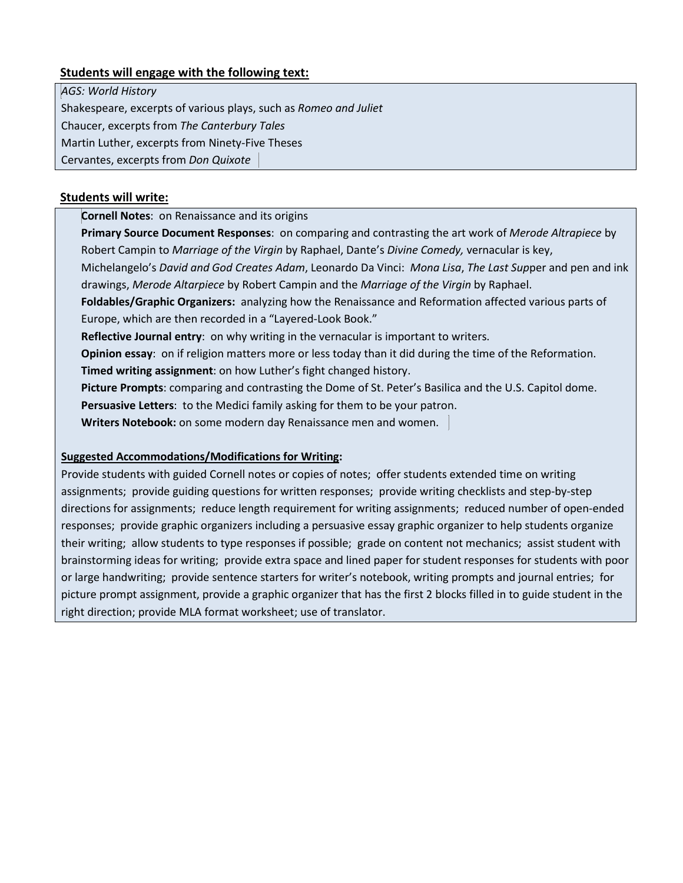## **Students will engage with the following text:**

*AGS: World History*

Shakespeare, excerpts of various plays, such as *Romeo and Juliet* 

Chaucer, excerpts from *The Canterbury Tales*

Martin Luther, excerpts from Ninety-Five Theses

Cervantes, excerpts from *Don Quixote*

#### **Students will write:**

**Cornell Notes**: on Renaissance and its origins

**Primary Source Document Responses**: on comparing and contrasting the art work of *Merode Altrapiece* by Robert Campin to *Marriage of the Virgin* by Raphael, Dante's *Divine Comedy,* vernacular is key,

Michelangelo's *David and God Creates Adam*, Leonardo Da Vinci: *Mona Lisa*, *The Last Sup*per and pen and ink drawings, *Merode Altarpiece* by Robert Campin and the *Marriage of the Virgin* by Raphael.

**Foldables/Graphic Organizers:** analyzing how the Renaissance and Reformation affected various parts of Europe, which are then recorded in a "Layered-Look Book."

**Reflective Journal entry**: on why writing in the vernacular is important to writers.

**Opinion essay**: on if religion matters more or less today than it did during the time of the Reformation. **Timed writing assignment**: on how Luther's fight changed history.

**Picture Prompts**: comparing and contrasting the Dome of St. Peter's Basilica and the U.S. Capitol dome. **Persuasive Letters**: to the Medici family asking for them to be your patron.

**Writers Notebook:** on some modern day Renaissance men and women.

#### **Suggested Accommodations/Modifications for Writing:**

Provide students with guided Cornell notes or copies of notes; offer students extended time on writing assignments; provide guiding questions for written responses; provide writing checklists and step-by-step directions for assignments; reduce length requirement for writing assignments; reduced number of open-ended responses; provide graphic organizers including a persuasive essay graphic organizer to help students organize their writing; allow students to type responses if possible; grade on content not mechanics; assist student with brainstorming ideas for writing; provide extra space and lined paper for student responses for students with poor or large handwriting;provide sentence starters for writer's notebook, writing prompts and journal entries; for picture prompt assignment, provide a graphic organizer that has the first 2 blocks filled in to guide student in the right direction; provide MLA format worksheet; use of translator.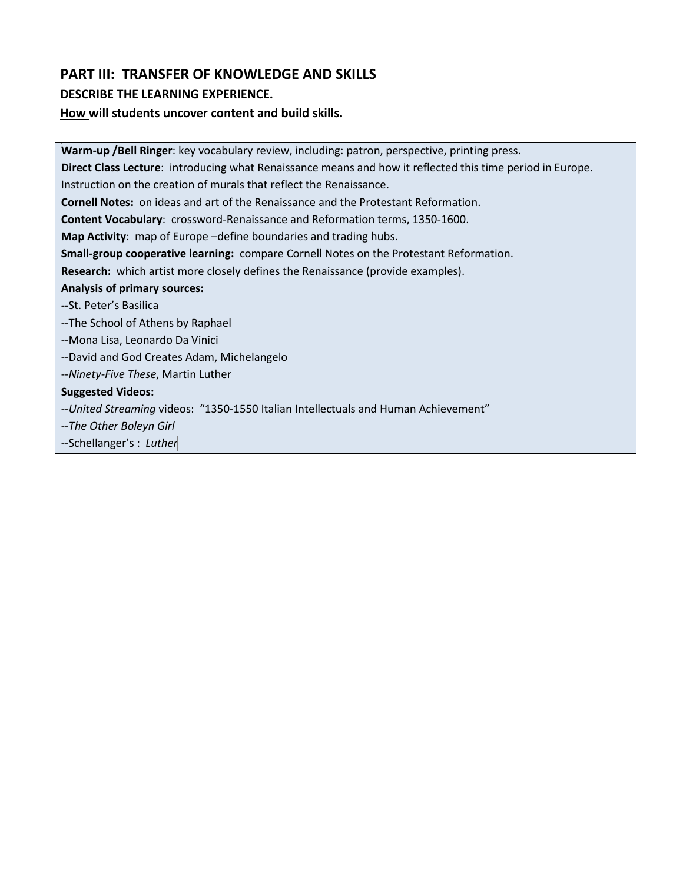# **PART III: TRANSFER OF KNOWLEDGE AND SKILLS**

## **DESCRIBE THE LEARNING EXPERIENCE.**

#### **How will students uncover content and build skills.**

**Warm-up /Bell Ringer**: key vocabulary review, including: patron, perspective, printing press. **Direct Class Lecture**: introducing what Renaissance means and how it reflected this time period in Europe. Instruction on the creation of murals that reflect the Renaissance. **Cornell Notes:** on ideas and art of the Renaissance and the Protestant Reformation. **Content Vocabulary**: crossword-Renaissance and Reformation terms, 1350-1600. **Map Activity**: map of Europe –define boundaries and trading hubs. **Small-group cooperative learning:** compare Cornell Notes on the Protestant Reformation. **Research:** which artist more closely defines the Renaissance (provide examples). **Analysis of primary sources: --**St. Peter's Basilica --The School of Athens by Raphael --Mona Lisa, Leonardo Da Vinici --David and God Creates Adam, Michelangelo --*Ninety-Five These*, Martin Luther **Suggested Videos:**  --*United Streaming* videos: "1350-1550 Italian Intellectuals and Human Achievement" --*The Other Boleyn Girl* --Schellanger's : *Luther*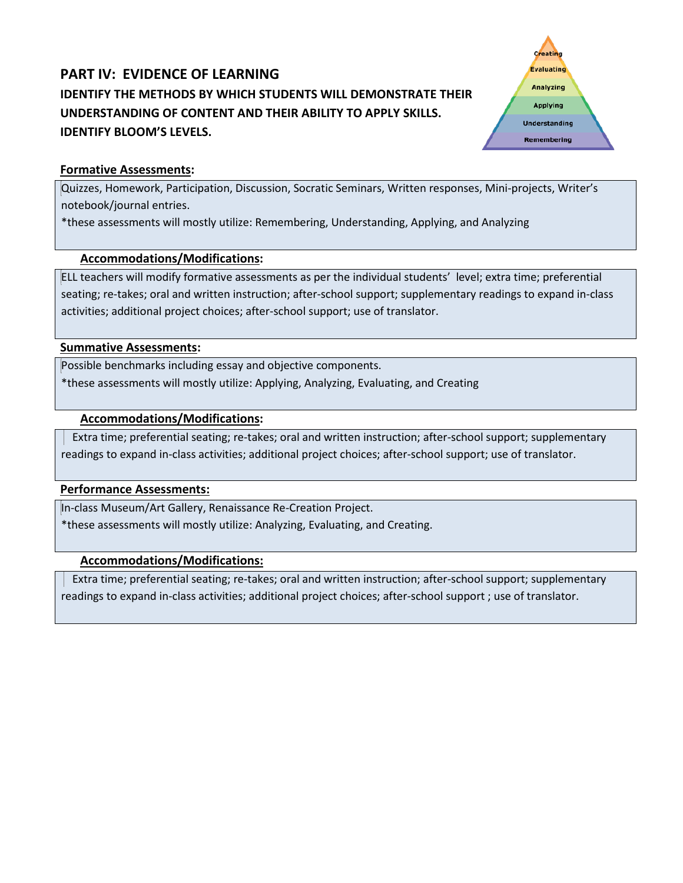# **PART IV: EVIDENCE OF LEARNING IDENTIFY THE METHODS BY WHICH STUDENTS WILL DEMONSTRATE THEIR UNDERSTANDING OF CONTENT AND THEIR ABILITY TO APPLY SKILLS. IDENTIFY BLOOM'S LEVELS.**



## **Formative Assessments:**

Quizzes, Homework, Participation, Discussion, Socratic Seminars, Written responses, Mini-projects, Writer's notebook/journal entries.

\*these assessments will mostly utilize: Remembering, Understanding, Applying, and Analyzing

#### **Accommodations/Modifications:**

ELL teachers will modify formative assessments as per the individual students' level; extra time; preferential seating; re-takes; oral and written instruction; after-school support; supplementary readings to expand in-class activities; additional project choices; after-school support; use of translator.

## **Summative Assessments:**

Possible benchmarks including essay and objective components.

\*these assessments will mostly utilize: Applying, Analyzing, Evaluating, and Creating

# **Accommodations/Modifications:**

 Extra time; preferential seating; re-takes; oral and written instruction; after-school support; supplementary readings to expand in-class activities; additional project choices; after-school support; use of translator.

#### **Performance Assessments:**

In-class Museum/Art Gallery, Renaissance Re-Creation Project.

\*these assessments will mostly utilize: Analyzing, Evaluating, and Creating.

# **Accommodations/Modifications:**

 Extra time; preferential seating; re-takes; oral and written instruction; after-school support; supplementary readings to expand in-class activities; additional project choices; after-school support ; use of translator.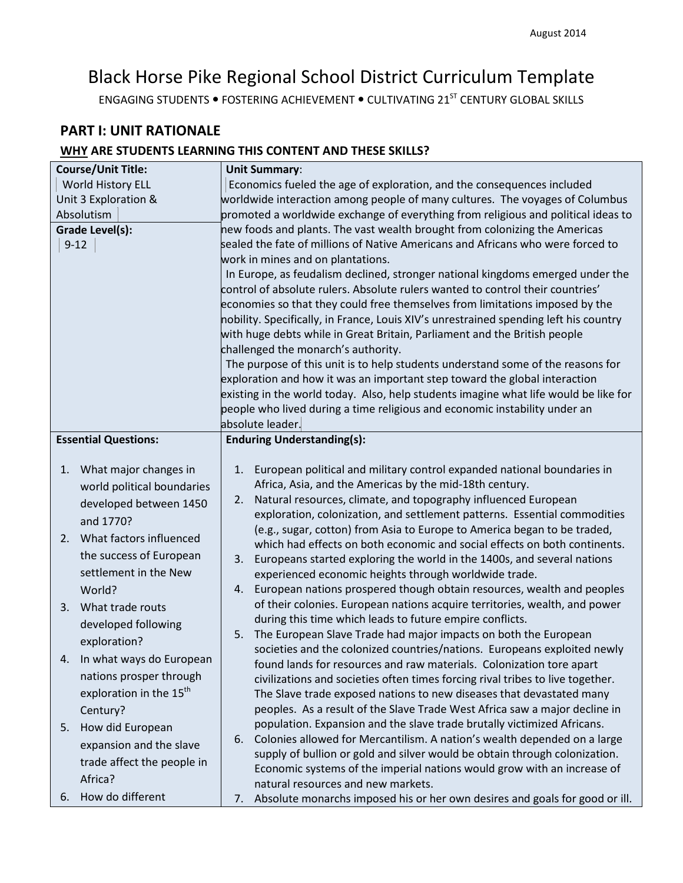# Black Horse Pike Regional School District Curriculum Template

ENGAGING STUDENTS . FOSTERING ACHIEVEMENT . CULTIVATING 21<sup>ST</sup> CENTURY GLOBAL SKILLS

# **PART I: UNIT RATIONALE**

## **WHY ARE STUDENTS LEARNING THIS CONTENT AND THESE SKILLS?**

| <b>Course/Unit Title:</b> |                                     | <b>Unit Summary:</b>                                                                                                                                                                                                                             |                                                                                       |  |  |  |
|---------------------------|-------------------------------------|--------------------------------------------------------------------------------------------------------------------------------------------------------------------------------------------------------------------------------------------------|---------------------------------------------------------------------------------------|--|--|--|
| World History ELL         |                                     | Economics fueled the age of exploration, and the consequences included                                                                                                                                                                           |                                                                                       |  |  |  |
| Unit 3 Exploration &      |                                     | worldwide interaction among people of many cultures. The voyages of Columbus                                                                                                                                                                     |                                                                                       |  |  |  |
| Absolutism                |                                     | promoted a worldwide exchange of everything from religious and political ideas to                                                                                                                                                                |                                                                                       |  |  |  |
|                           | Grade Level(s):                     |                                                                                                                                                                                                                                                  | new foods and plants. The vast wealth brought from colonizing the Americas            |  |  |  |
|                           | $9-12$                              | sealed the fate of millions of Native Americans and Africans who were forced to                                                                                                                                                                  |                                                                                       |  |  |  |
|                           |                                     | work in mines and on plantations.                                                                                                                                                                                                                |                                                                                       |  |  |  |
|                           |                                     | In Europe, as feudalism declined, stronger national kingdoms emerged under the<br>control of absolute rulers. Absolute rulers wanted to control their countries'<br>economies so that they could free themselves from limitations imposed by the |                                                                                       |  |  |  |
|                           |                                     |                                                                                                                                                                                                                                                  | nobility. Specifically, in France, Louis XIV's unrestrained spending left his country |  |  |  |
|                           |                                     |                                                                                                                                                                                                                                                  | with huge debts while in Great Britain, Parliament and the British people             |  |  |  |
|                           |                                     |                                                                                                                                                                                                                                                  | challenged the monarch's authority.                                                   |  |  |  |
|                           |                                     |                                                                                                                                                                                                                                                  | The purpose of this unit is to help students understand some of the reasons for       |  |  |  |
|                           |                                     |                                                                                                                                                                                                                                                  | exploration and how it was an important step toward the global interaction            |  |  |  |
|                           |                                     |                                                                                                                                                                                                                                                  | existing in the world today. Also, help students imagine what life would be like for  |  |  |  |
|                           |                                     |                                                                                                                                                                                                                                                  | people who lived during a time religious and economic instability under an            |  |  |  |
|                           |                                     | absolute leader.                                                                                                                                                                                                                                 |                                                                                       |  |  |  |
|                           | <b>Essential Questions:</b>         |                                                                                                                                                                                                                                                  | <b>Enduring Understanding(s):</b>                                                     |  |  |  |
|                           |                                     |                                                                                                                                                                                                                                                  |                                                                                       |  |  |  |
| 1.                        | What major changes in               | 1.                                                                                                                                                                                                                                               | European political and military control expanded national boundaries in               |  |  |  |
|                           | world political boundaries          |                                                                                                                                                                                                                                                  | Africa, Asia, and the Americas by the mid-18th century.                               |  |  |  |
|                           | developed between 1450              | 2.                                                                                                                                                                                                                                               | Natural resources, climate, and topography influenced European                        |  |  |  |
|                           | and 1770?                           |                                                                                                                                                                                                                                                  | exploration, colonization, and settlement patterns. Essential commodities             |  |  |  |
| 2.                        | What factors influenced             |                                                                                                                                                                                                                                                  | (e.g., sugar, cotton) from Asia to Europe to America began to be traded,              |  |  |  |
|                           |                                     |                                                                                                                                                                                                                                                  | which had effects on both economic and social effects on both continents.             |  |  |  |
|                           | the success of European             | 3.                                                                                                                                                                                                                                               | Europeans started exploring the world in the 1400s, and several nations               |  |  |  |
|                           | settlement in the New               |                                                                                                                                                                                                                                                  | experienced economic heights through worldwide trade.                                 |  |  |  |
|                           | World?                              | 4.                                                                                                                                                                                                                                               | European nations prospered though obtain resources, wealth and peoples                |  |  |  |
| 3.                        | What trade routs                    |                                                                                                                                                                                                                                                  | of their colonies. European nations acquire territories, wealth, and power            |  |  |  |
|                           | developed following                 |                                                                                                                                                                                                                                                  | during this time which leads to future empire conflicts.                              |  |  |  |
|                           | exploration?                        | 5.                                                                                                                                                                                                                                               | The European Slave Trade had major impacts on both the European                       |  |  |  |
| 4.                        | In what ways do European            |                                                                                                                                                                                                                                                  | societies and the colonized countries/nations. Europeans exploited newly              |  |  |  |
|                           |                                     |                                                                                                                                                                                                                                                  | found lands for resources and raw materials. Colonization tore apart                  |  |  |  |
|                           | nations prosper through             |                                                                                                                                                                                                                                                  | civilizations and societies often times forcing rival tribes to live together.        |  |  |  |
|                           | exploration in the 15 <sup>th</sup> |                                                                                                                                                                                                                                                  | The Slave trade exposed nations to new diseases that devastated many                  |  |  |  |
|                           | Century?                            |                                                                                                                                                                                                                                                  | peoples. As a result of the Slave Trade West Africa saw a major decline in            |  |  |  |
| 5.                        | How did European                    |                                                                                                                                                                                                                                                  | population. Expansion and the slave trade brutally victimized Africans.               |  |  |  |
|                           | expansion and the slave             | 6.                                                                                                                                                                                                                                               | Colonies allowed for Mercantilism. A nation's wealth depended on a large              |  |  |  |
|                           | trade affect the people in          |                                                                                                                                                                                                                                                  | supply of bullion or gold and silver would be obtain through colonization.            |  |  |  |
|                           | Africa?                             |                                                                                                                                                                                                                                                  | Economic systems of the imperial nations would grow with an increase of               |  |  |  |
| 6.                        | How do different                    |                                                                                                                                                                                                                                                  | natural resources and new markets.                                                    |  |  |  |
|                           |                                     | 7.                                                                                                                                                                                                                                               | Absolute monarchs imposed his or her own desires and goals for good or ill.           |  |  |  |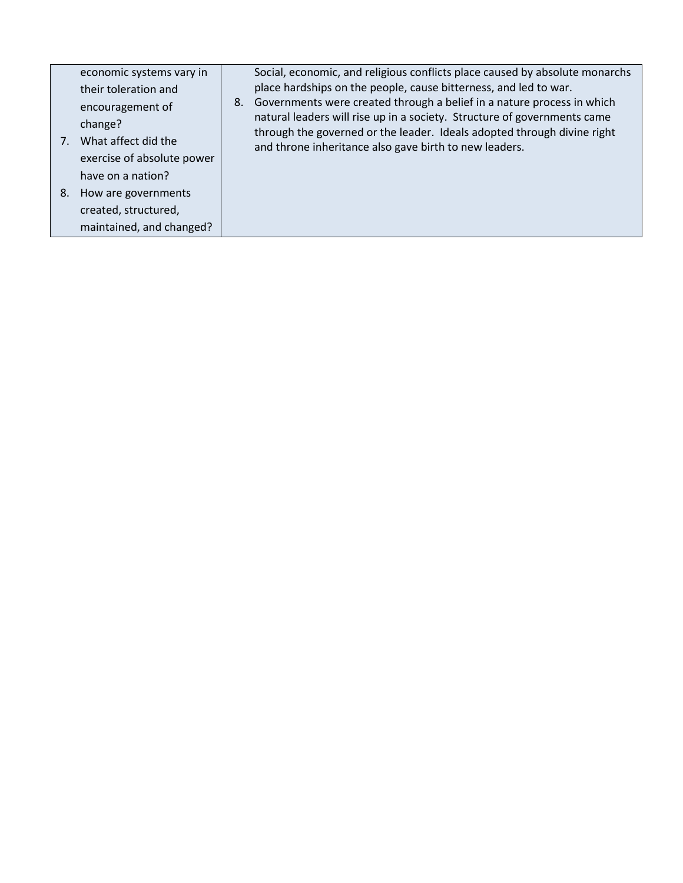| economic systems vary in<br>their toleration and<br>encouragement of<br>change?<br>What affect did the<br>7 <sup>1</sup><br>exercise of absolute power<br>have on a nation?<br>How are governments<br>8.<br>created, structured,<br>maintained, and changed? | Social, economic, and religious conflicts place caused by absolute monarchs<br>place hardships on the people, cause bitterness, and led to war.<br>8. Governments were created through a belief in a nature process in which<br>natural leaders will rise up in a society. Structure of governments came<br>through the governed or the leader. Ideals adopted through divine right<br>and throne inheritance also gave birth to new leaders. |
|--------------------------------------------------------------------------------------------------------------------------------------------------------------------------------------------------------------------------------------------------------------|-----------------------------------------------------------------------------------------------------------------------------------------------------------------------------------------------------------------------------------------------------------------------------------------------------------------------------------------------------------------------------------------------------------------------------------------------|
|--------------------------------------------------------------------------------------------------------------------------------------------------------------------------------------------------------------------------------------------------------------|-----------------------------------------------------------------------------------------------------------------------------------------------------------------------------------------------------------------------------------------------------------------------------------------------------------------------------------------------------------------------------------------------------------------------------------------------|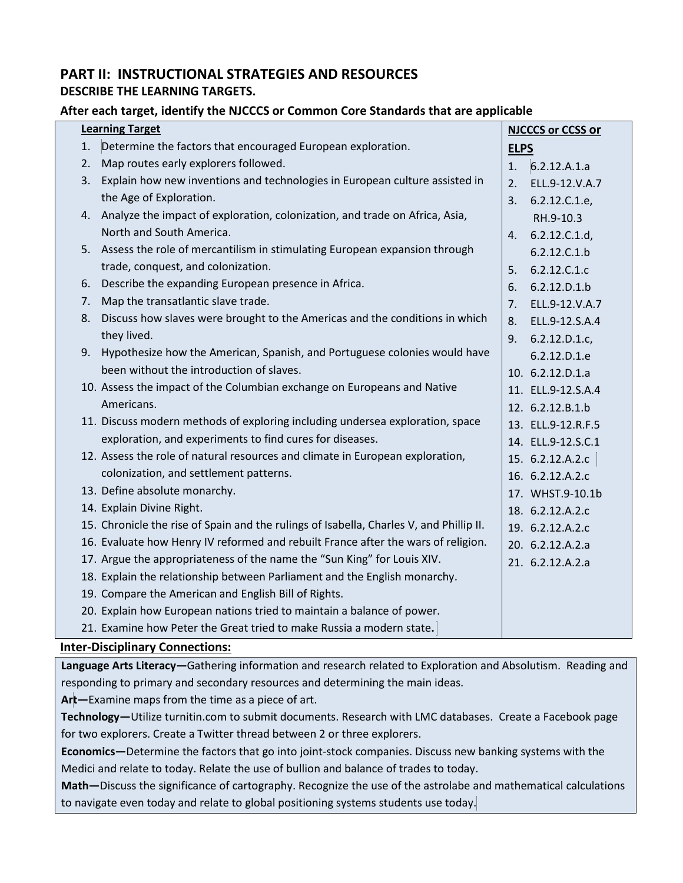## **PART II: INSTRUCTIONAL STRATEGIES AND RESOURCES DESCRIBE THE LEARNING TARGETS.**

#### **After each target, identify the NJCCCS or Common Core Standards that are applicable**

| <b>Learning Target</b> |                                                                                         |             | <b>NJCCCS or CCSS or</b> |  |
|------------------------|-----------------------------------------------------------------------------------------|-------------|--------------------------|--|
| 1.                     | Determine the factors that encouraged European exploration.                             | <b>ELPS</b> |                          |  |
| 2.                     | Map routes early explorers followed.                                                    | 1.          | 6.2.12.A.1.a             |  |
| 3.                     | Explain how new inventions and technologies in European culture assisted in             | 2.          | ELL.9-12.V.A.7           |  |
|                        | the Age of Exploration.                                                                 | 3.          | 6.2.12.C.1.e,            |  |
|                        | 4. Analyze the impact of exploration, colonization, and trade on Africa, Asia,          |             | RH.9-10.3                |  |
|                        | North and South America.                                                                | 4.          | 6.2.12.C.1.d,            |  |
|                        | 5. Assess the role of mercantilism in stimulating European expansion through            |             | 6.2.12.C.1.b             |  |
|                        | trade, conquest, and colonization.                                                      | 5.          | 6.2.12.C.1.c             |  |
| 6.                     | Describe the expanding European presence in Africa.                                     | 6.          | 6.2.12.D.1.b             |  |
| 7.                     | Map the transatlantic slave trade.                                                      | 7.          | ELL.9-12.V.A.7           |  |
| 8.                     | Discuss how slaves were brought to the Americas and the conditions in which             | 8.          | ELL.9-12.S.A.4           |  |
|                        | they lived.                                                                             | 9.          | 6.2.12.D.1.c.            |  |
| 9.                     | Hypothesize how the American, Spanish, and Portuguese colonies would have               |             | 6.2.12.D.1.e             |  |
|                        | been without the introduction of slaves.                                                |             | 10. 6.2.12.D.1.a         |  |
|                        | 10. Assess the impact of the Columbian exchange on Europeans and Native                 |             | 11. ELL.9-12.S.A.4       |  |
|                        | Americans.                                                                              |             | 12. 6.2.12.B.1.b         |  |
|                        | 11. Discuss modern methods of exploring including undersea exploration, space           |             | 13. ELL.9-12.R.F.5       |  |
|                        | exploration, and experiments to find cures for diseases.                                |             | 14. ELL.9-12.S.C.1       |  |
|                        | 12. Assess the role of natural resources and climate in European exploration,           |             | 15. 6.2.12.A.2.c         |  |
|                        | colonization, and settlement patterns.                                                  |             | 16. 6.2.12.A.2.c         |  |
|                        | 13. Define absolute monarchy.                                                           |             | 17. WHST.9-10.1b         |  |
|                        | 14. Explain Divine Right.                                                               |             | 18. 6.2.12.A.2.c         |  |
|                        | 15. Chronicle the rise of Spain and the rulings of Isabella, Charles V, and Phillip II. |             | 19. 6.2.12.A.2.c         |  |
|                        | 16. Evaluate how Henry IV reformed and rebuilt France after the wars of religion.       |             | 20. 6.2.12.A.2.a         |  |
|                        | 17. Argue the appropriateness of the name the "Sun King" for Louis XIV.                 |             | 21. 6.2.12.A.2.a         |  |
|                        | 18. Explain the relationship between Parliament and the English monarchy.               |             |                          |  |
|                        | 19. Compare the American and English Bill of Rights.                                    |             |                          |  |
|                        | 20. Explain how European nations tried to maintain a balance of power.                  |             |                          |  |
|                        | 21. Examine how Peter the Great tried to make Russia a modern state.                    |             |                          |  |

#### **Inter-Disciplinary Connections:**

**Language Arts Literacy—**Gathering information and research related to Exploration and Absolutism.Reading and responding to primary and secondary resources and determining the main ideas.

**Art—**Examine maps from the time as a piece of art.

**Technology—**Utilize turnitin.com to submit documents. Research with LMC databases. Create a Facebook page for two explorers. Create a Twitter thread between 2 or three explorers.

**Economics—**Determine the factors that go into joint-stock companies. Discuss new banking systems with the Medici and relate to today. Relate the use of bullion and balance of trades to today.

**Math—**Discuss the significance of cartography. Recognize the use of the astrolabe and mathematical calculations to navigate even today and relate to global positioning systems students use today.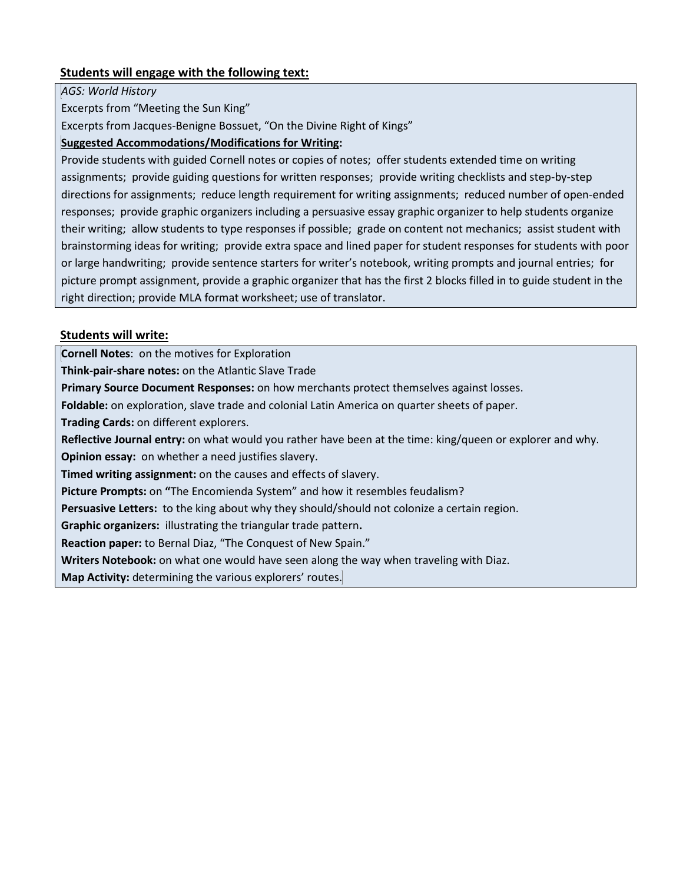## **Students will engage with the following text:**

#### *AGS: World History*

Excerpts from "Meeting the Sun King"

Excerpts from Jacques-Benigne Bossuet, "On the Divine Right of Kings"

#### **Suggested Accommodations/Modifications for Writing:**

Provide students with guided Cornell notes or copies of notes; offer students extended time on writing assignments; provide guiding questions for written responses; provide writing checklists and step-by-step directions for assignments; reduce length requirement for writing assignments; reduced number of open-ended responses; provide graphic organizers including a persuasive essay graphic organizer to help students organize their writing; allow students to type responses if possible; grade on content not mechanics; assist student with brainstorming ideas for writing; provide extra space and lined paper for student responses for students with poor or large handwriting;provide sentence starters for writer's notebook, writing prompts and journal entries; for picture prompt assignment, provide a graphic organizer that has the first 2 blocks filled in to guide student in the right direction; provide MLA format worksheet; use of translator.

#### **Students will write:**

**Cornell Notes**: on the motives for Exploration

**Think-pair-share notes:** on the Atlantic Slave Trade

**Primary Source Document Responses:** on how merchants protect themselves against losses.

**Foldable:** on exploration, slave trade and colonial Latin America on quarter sheets of paper.

**Trading Cards:** on different explorers.

**Reflective Journal entry:** on what would you rather have been at the time: king/queen or explorer and why. **Opinion essay:** on whether a need justifies slavery.

**Timed writing assignment:** on the causes and effects of slavery.

**Picture Prompts:** on **"**The Encomienda System" and how it resembles feudalism?

**Persuasive Letters:** to the king about why they should/should not colonize a certain region.

**Graphic organizers:** illustrating the triangular trade pattern**.**

**Reaction paper:** to Bernal Diaz, "The Conquest of New Spain."

**Writers Notebook:** on what one would have seen along the way when traveling with Diaz.

**Map Activity:** determining the various explorers' routes.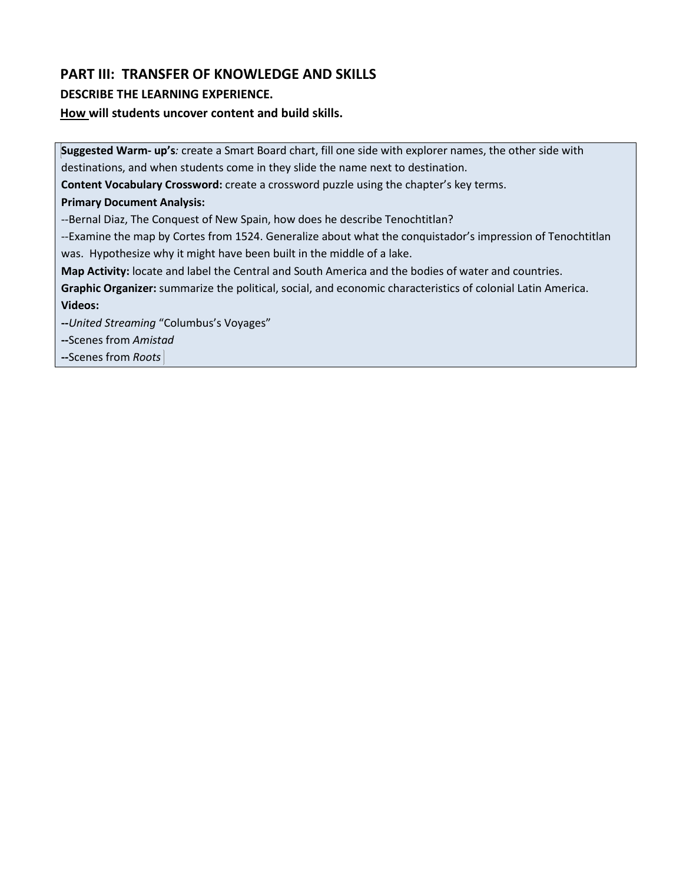# **PART III: TRANSFER OF KNOWLEDGE AND SKILLS**

## **DESCRIBE THE LEARNING EXPERIENCE.**

### **How will students uncover content and build skills.**

**Suggested Warm- up's***:* create a Smart Board chart, fill one side with explorer names, the other side with destinations, and when students come in they slide the name next to destination.

**Content Vocabulary Crossword:** create a crossword puzzle using the chapter's key terms.

#### **Primary Document Analysis:**

--Bernal Diaz, The Conquest of New Spain, how does he describe Tenochtitlan?

--Examine the map by Cortes from 1524. Generalize about what the conquistador's impression of Tenochtitlan was. Hypothesize why it might have been built in the middle of a lake.

**Map Activity:** locate and label the Central and South America and the bodies of water and countries.

**Graphic Organizer:** summarize the political, social, and economic characteristics of colonial Latin America. **Videos:**

**--***United Streaming* "Columbus's Voyages"

**--**Scenes from *Amistad* 

**--**Scenes from *Roots*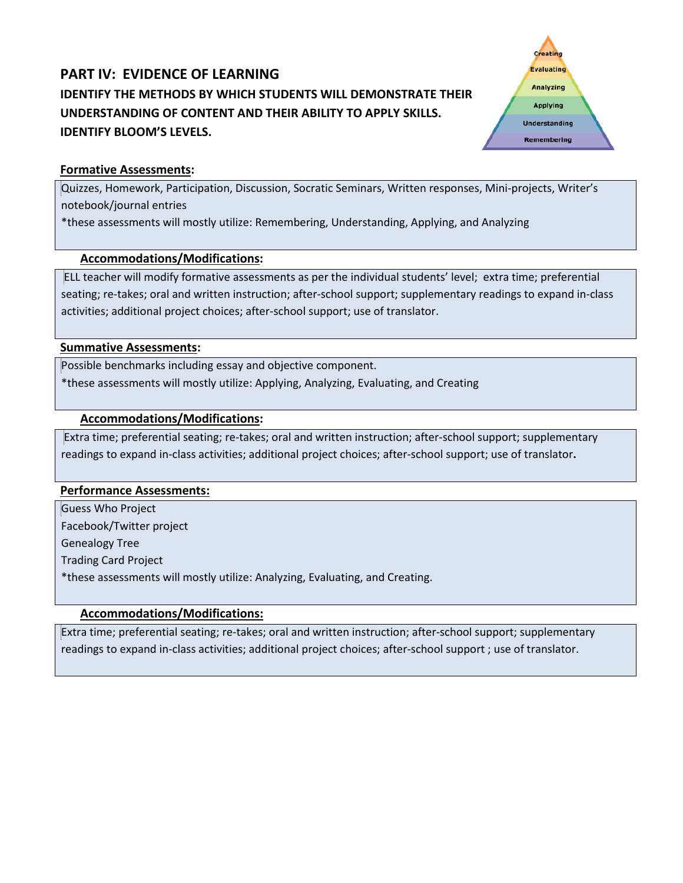# **PART IV: EVIDENCE OF LEARNING IDENTIFY THE METHODS BY WHICH STUDENTS WILL DEMONSTRATE THEIR UNDERSTANDING OF CONTENT AND THEIR ABILITY TO APPLY SKILLS. IDENTIFY BLOOM'S LEVELS.**



## **Formative Assessments:**

Quizzes, Homework, Participation, Discussion, Socratic Seminars, Written responses, Mini-projects, Writer's notebook/journal entries

\*these assessments will mostly utilize: Remembering, Understanding, Applying, and Analyzing

#### **Accommodations/Modifications:**

ELL teacher will modify formative assessments as per the individual students' level; extra time; preferential seating; re-takes; oral and written instruction; after-school support; supplementary readings to expand in-class activities; additional project choices; after-school support; use of translator.

#### **Summative Assessments:**

Possible benchmarks including essay and objective component.

\*these assessments will mostly utilize: Applying, Analyzing, Evaluating, and Creating

## **Accommodations/Modifications:**

Extra time; preferential seating; re-takes; oral and written instruction; after-school support; supplementary readings to expand in-class activities; additional project choices; after-school support; use of translator**.** 

# **Performance Assessments:**

Guess Who Project Facebook/Twitter project Genealogy Tree Trading Card Project \*these assessments will mostly utilize: Analyzing, Evaluating, and Creating.

# **Accommodations/Modifications:**

Extra time; preferential seating; re-takes; oral and written instruction; after-school support; supplementary readings to expand in-class activities; additional project choices; after-school support ; use of translator.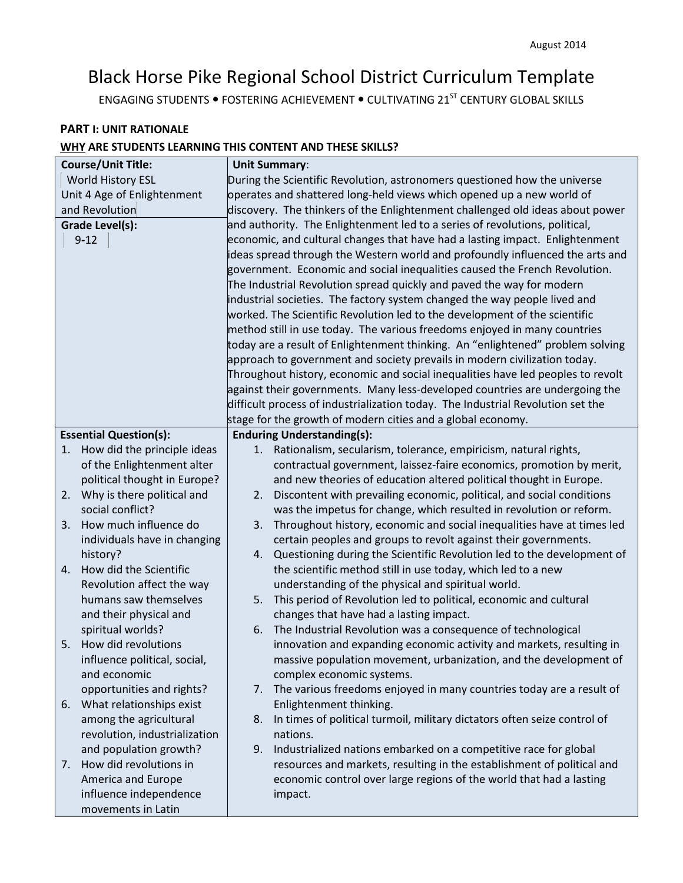# Black Horse Pike Regional School District Curriculum Template

ENGAGING STUDENTS . FOSTERING ACHIEVEMENT . CULTIVATING 21<sup>ST</sup> CENTURY GLOBAL SKILLS

#### **PART I: UNIT RATIONALE**

# **WHY ARE STUDENTS LEARNING THIS CONTENT AND THESE SKILLS?**

| <b>Course/Unit Title:</b>   |                               | <b>Unit Summary:</b>                                                          |                                                                                 |  |  |  |
|-----------------------------|-------------------------------|-------------------------------------------------------------------------------|---------------------------------------------------------------------------------|--|--|--|
| World History ESL           |                               | During the Scientific Revolution, astronomers questioned how the universe     |                                                                                 |  |  |  |
| Unit 4 Age of Enlightenment |                               | operates and shattered long-held views which opened up a new world of         |                                                                                 |  |  |  |
|                             | and Revolution                | discovery. The thinkers of the Enlightenment challenged old ideas about power |                                                                                 |  |  |  |
|                             | Grade Level(s):               |                                                                               | and authority. The Enlightenment led to a series of revolutions, political,     |  |  |  |
|                             | $9 - 12$                      | economic, and cultural changes that have had a lasting impact. Enlightenment  |                                                                                 |  |  |  |
|                             |                               | ideas spread through the Western world and profoundly influenced the arts and |                                                                                 |  |  |  |
|                             |                               | government. Economic and social inequalities caused the French Revolution.    |                                                                                 |  |  |  |
|                             |                               | The Industrial Revolution spread quickly and paved the way for modern         |                                                                                 |  |  |  |
|                             |                               |                                                                               | industrial societies. The factory system changed the way people lived and       |  |  |  |
|                             |                               |                                                                               | worked. The Scientific Revolution led to the development of the scientific      |  |  |  |
|                             |                               |                                                                               | method still in use today. The various freedoms enjoyed in many countries       |  |  |  |
|                             |                               |                                                                               | today are a result of Enlightenment thinking. An "enlightened" problem solving  |  |  |  |
|                             |                               |                                                                               | approach to government and society prevails in modern civilization today.       |  |  |  |
|                             |                               |                                                                               | Throughout history, economic and social inequalities have led peoples to revolt |  |  |  |
|                             |                               |                                                                               | against their governments. Many less-developed countries are undergoing the     |  |  |  |
|                             |                               |                                                                               | difficult process of industrialization today. The Industrial Revolution set the |  |  |  |
|                             |                               |                                                                               | stage for the growth of modern cities and a global economy.                     |  |  |  |
|                             |                               |                                                                               |                                                                                 |  |  |  |
|                             | <b>Essential Question(s):</b> |                                                                               | <b>Enduring Understanding(s):</b>                                               |  |  |  |
| 1.                          | How did the principle ideas   |                                                                               | 1. Rationalism, secularism, tolerance, empiricism, natural rights,              |  |  |  |
|                             | of the Enlightenment alter    |                                                                               | contractual government, laissez-faire economics, promotion by merit,            |  |  |  |
|                             | political thought in Europe?  |                                                                               | and new theories of education altered political thought in Europe.              |  |  |  |
|                             | 2. Why is there political and |                                                                               | 2. Discontent with prevailing economic, political, and social conditions        |  |  |  |
|                             | social conflict?              |                                                                               | was the impetus for change, which resulted in revolution or reform.             |  |  |  |
| 3.                          | How much influence do         | 3.                                                                            | Throughout history, economic and social inequalities have at times led          |  |  |  |
|                             | individuals have in changing  |                                                                               | certain peoples and groups to revolt against their governments.                 |  |  |  |
|                             | history?                      | 4.                                                                            | Questioning during the Scientific Revolution led to the development of          |  |  |  |
| 4.                          | How did the Scientific        |                                                                               | the scientific method still in use today, which led to a new                    |  |  |  |
|                             | Revolution affect the way     |                                                                               | understanding of the physical and spiritual world.                              |  |  |  |
|                             | humans saw themselves         | 5.                                                                            | This period of Revolution led to political, economic and cultural               |  |  |  |
|                             | and their physical and        |                                                                               | changes that have had a lasting impact.                                         |  |  |  |
|                             | spiritual worlds?             | 6.                                                                            | The Industrial Revolution was a consequence of technological                    |  |  |  |
|                             | 5. How did revolutions        |                                                                               | innovation and expanding economic activity and markets, resulting in            |  |  |  |
|                             | influence political, social,  |                                                                               | massive population movement, urbanization, and the development of               |  |  |  |
|                             | and economic                  |                                                                               | complex economic systems.                                                       |  |  |  |
|                             | opportunities and rights?     |                                                                               | 7. The various freedoms enjoyed in many countries today are a result of         |  |  |  |
| 6.                          | What relationships exist      |                                                                               | Enlightenment thinking.                                                         |  |  |  |
|                             | among the agricultural        | 8.                                                                            | In times of political turmoil, military dictators often seize control of        |  |  |  |
|                             | revolution, industrialization |                                                                               | nations.                                                                        |  |  |  |
|                             | and population growth?        | 9.                                                                            | Industrialized nations embarked on a competitive race for global                |  |  |  |
| 7.                          | How did revolutions in        |                                                                               | resources and markets, resulting in the establishment of political and          |  |  |  |
|                             | America and Europe            |                                                                               | economic control over large regions of the world that had a lasting             |  |  |  |
|                             | influence independence        |                                                                               | impact.                                                                         |  |  |  |
|                             | movements in Latin            |                                                                               |                                                                                 |  |  |  |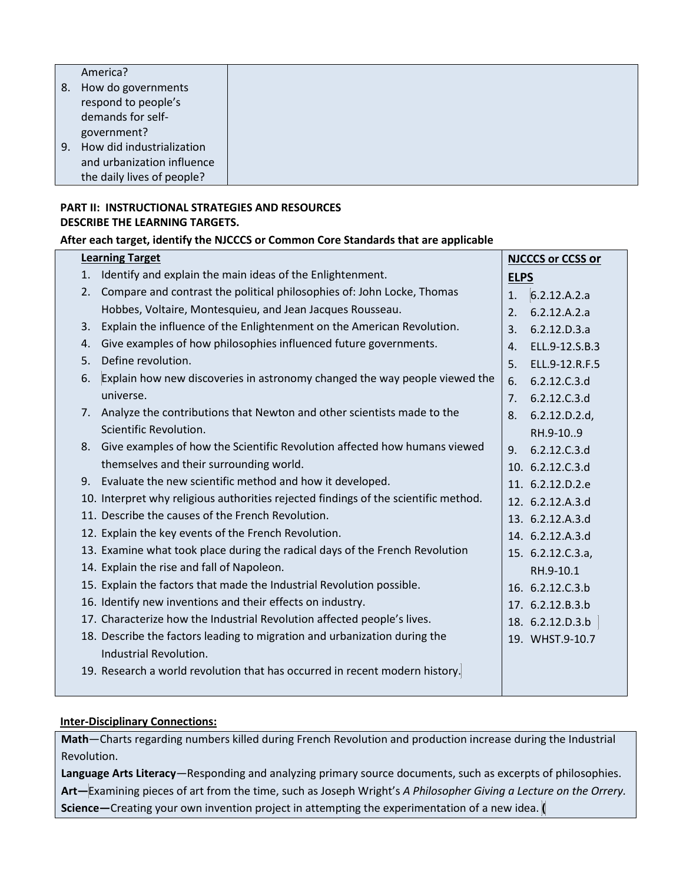|    | America?                   |
|----|----------------------------|
| 8. | How do governments         |
|    | respond to people's        |
|    | demands for self-          |
|    | government?                |
| 9. | How did industrialization  |
|    | and urbanization influence |
|    | the daily lives of people? |

#### **PART II: INSTRUCTIONAL STRATEGIES AND RESOURCES DESCRIBE THE LEARNING TARGETS.**

#### **After each target, identify the NJCCCS or Common Core Standards that are applicable**

| <b>Learning Target</b>                                                                              | <b>NJCCCS or CCSS or</b>       |  |
|-----------------------------------------------------------------------------------------------------|--------------------------------|--|
| Identify and explain the main ideas of the Enlightenment.<br>1.                                     | <b>ELPS</b>                    |  |
| Compare and contrast the political philosophies of: John Locke, Thomas<br>2.                        | 6.2.12.A.2.a<br>1.             |  |
| Hobbes, Voltaire, Montesquieu, and Jean Jacques Rousseau.                                           | 6.2.12.A.2.a<br>2.             |  |
| Explain the influence of the Enlightenment on the American Revolution.<br>3.                        | 6.2.12.D.3.a<br>3.             |  |
| Give examples of how philosophies influenced future governments.<br>4.                              | ELL.9-12.S.B.3<br>4.           |  |
| Define revolution.<br>5.                                                                            | ELL.9-12.R.F.5<br>5.           |  |
| 6.<br>Explain how new discoveries in astronomy changed the way people viewed the                    | 6.2.12.C.3.d<br>6.             |  |
| universe.                                                                                           | 7 <sub>1</sub><br>6.2.12.C.3.d |  |
| Analyze the contributions that Newton and other scientists made to the<br>7.                        | 6.2.12.D.2.d,<br>8.            |  |
| Scientific Revolution.                                                                              | RH.9-10.9                      |  |
| Give examples of how the Scientific Revolution affected how humans viewed<br>8.                     | 6.2.12.C.3.d<br>9 <sub>1</sub> |  |
| themselves and their surrounding world.                                                             | 10. 6.2.12.C.3.d               |  |
| Evaluate the new scientific method and how it developed.<br>9.                                      | 11. 6.2.12.D.2.e               |  |
| 10. Interpret why religious authorities rejected findings of the scientific method.                 | 12. 6.2.12.A.3.d               |  |
| 11. Describe the causes of the French Revolution.                                                   | 13. 6.2.12.A.3.d               |  |
| 12. Explain the key events of the French Revolution.                                                | 14. 6.2.12.A.3.d               |  |
| 13. Examine what took place during the radical days of the French Revolution                        | 15. 6.2.12.C.3.a,              |  |
| 14. Explain the rise and fall of Napoleon.                                                          | RH.9-10.1                      |  |
| 15. Explain the factors that made the Industrial Revolution possible.                               | 16. 6.2.12.C.3.b               |  |
| 16. Identify new inventions and their effects on industry.                                          | 17. 6.2.12.B.3.b               |  |
| 17. Characterize how the Industrial Revolution affected people's lives.                             | 18. 6.2.12.D.3.b               |  |
| 18. Describe the factors leading to migration and urbanization during the<br>Industrial Revolution. | 19. WHST.9-10.7                |  |
| 19. Research a world revolution that has occurred in recent modern history.                         |                                |  |

#### **Inter-Disciplinary Connections:**

**Math**—Charts regarding numbers killed during French Revolution and production increase during the Industrial Revolution.

**Language Arts Literacy**—Responding and analyzing primary source documents, such as excerpts of philosophies. **Art—**Examining pieces of art from the time, such as Joseph Wright's *A Philosopher Giving a Lecture on the Orrery.* **Science—**Creating your own invention project in attempting the experimentation of a new idea. **(**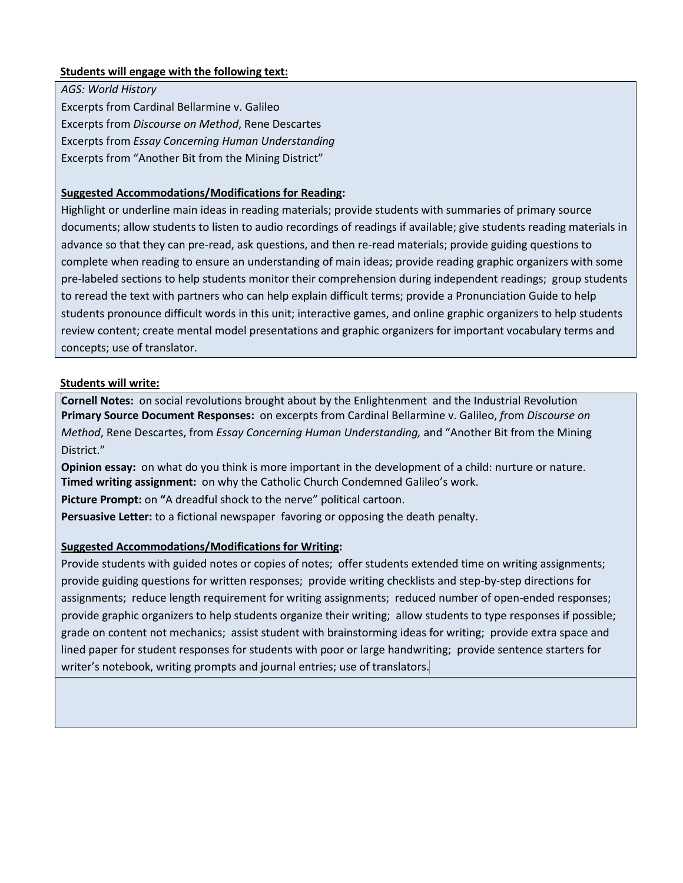#### **Students will engage with the following text:**

*AGS: World History* Excerpts from Cardinal Bellarmine v. Galileo Excerpts from *Discourse on Method*, Rene Descartes Excerpts from *Essay Concerning Human Understanding*  Excerpts from "Another Bit from the Mining District"

#### **Suggested Accommodations/Modifications for Reading:**

Highlight or underline main ideas in reading materials; provide students with summaries of primary source documents; allow students to listen to audio recordings of readings if available; give students reading materials in advance so that they can pre-read, ask questions, and then re-read materials; provide guiding questions to complete when reading to ensure an understanding of main ideas; provide reading graphic organizers with some pre-labeled sections to help students monitor their comprehension during independent readings; group students to reread the text with partners who can help explain difficult terms; provide a Pronunciation Guide to help students pronounce difficult words in this unit; interactive games, and online graphic organizers to help students review content; create mental model presentations and graphic organizers for important vocabulary terms and concepts; use of translator.

#### **Students will write:**

**Cornell Notes:** on social revolutions brought about by the Enlightenment and the Industrial Revolution **Primary Source Document Responses:** on excerpts from Cardinal Bellarmine v. Galileo, *f*rom *Discourse on Method*, Rene Descartes, from *Essay Concerning Human Understanding,* and "Another Bit from the Mining District."

**Opinion essay:** on what do you think is more important in the development of a child: nurture or nature. **Timed writing assignment:** on why the Catholic Church Condemned Galileo's work.

**Picture Prompt:** on **"**A dreadful shock to the nerve" political cartoon.

**Persuasive Letter:** to a fictional newspaper favoring or opposing the death penalty.

#### **Suggested Accommodations/Modifications for Writing:**

Provide students with guided notes or copies of notes; offer students extended time on writing assignments; provide guiding questions for written responses; provide writing checklists and step-by-step directions for assignments; reduce length requirement for writing assignments; reduced number of open-ended responses; provide graphic organizers to help students organize their writing; allow students to type responses if possible; grade on content not mechanics; assist student with brainstorming ideas for writing; provide extra space and lined paper for student responses for students with poor or large handwriting;provide sentence starters for writer's notebook, writing prompts and journal entries; use of translators.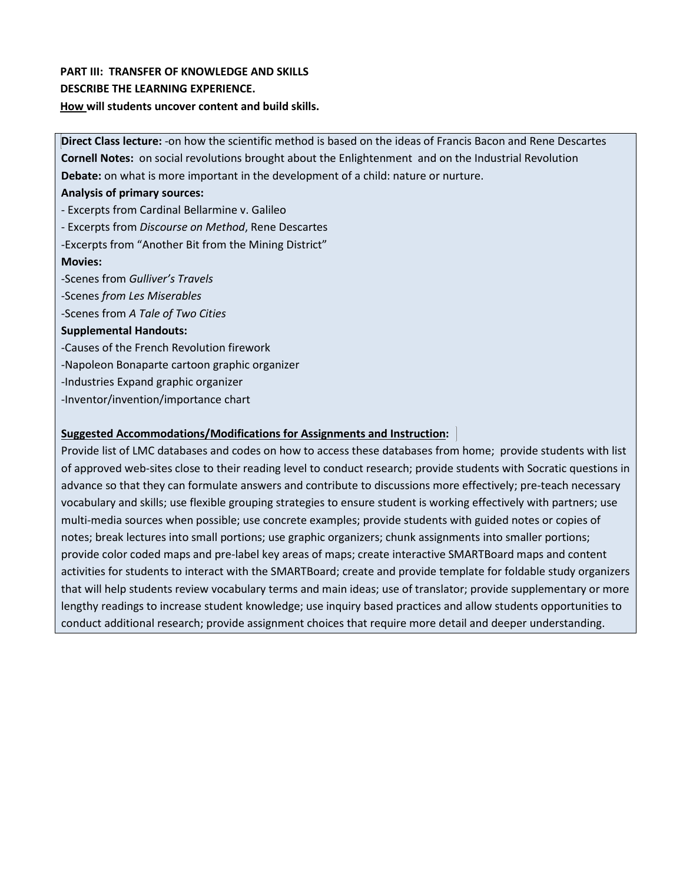## **PART III: TRANSFER OF KNOWLEDGE AND SKILLS DESCRIBE THE LEARNING EXPERIENCE. How will students uncover content and build skills.**

**Direct Class lecture:** -on how the scientific method is based on the ideas of Francis Bacon and Rene Descartes **Cornell Notes:** on social revolutions brought about the Enlightenment and on the Industrial Revolution **Debate:** on what is more important in the development of a child: nature or nurture. **Analysis of primary sources:**  - Excerpts from Cardinal Bellarmine v. Galileo - Excerpts from *Discourse on Method*, Rene Descartes -Excerpts from "Another Bit from the Mining District" **Movies:** -Scenes from *Gulliver's Travels*  -Scenes *from Les Miserables* -Scenes from *A Tale of Two Cities* **Supplemental Handouts:** -Causes of the French Revolution firework -Napoleon Bonaparte cartoon graphic organizer -Industries Expand graphic organizer -Inventor/invention/importance chart

#### **Suggested Accommodations/Modifications for Assignments and Instruction:**

Provide list of LMC databases and codes on how to access these databases from home; provide students with list of approved web-sites close to their reading level to conduct research; provide students with Socratic questions in advance so that they can formulate answers and contribute to discussions more effectively; pre-teach necessary vocabulary and skills; use flexible grouping strategies to ensure student is working effectively with partners; use multi-media sources when possible; use concrete examples; provide students with guided notes or copies of notes; break lectures into small portions; use graphic organizers; chunk assignments into smaller portions; provide color coded maps and pre-label key areas of maps; create interactive SMARTBoard maps and content activities for students to interact with the SMARTBoard; create and provide template for foldable study organizers that will help students review vocabulary terms and main ideas; use of translator; provide supplementary or more lengthy readings to increase student knowledge; use inquiry based practices and allow students opportunities to conduct additional research; provide assignment choices that require more detail and deeper understanding.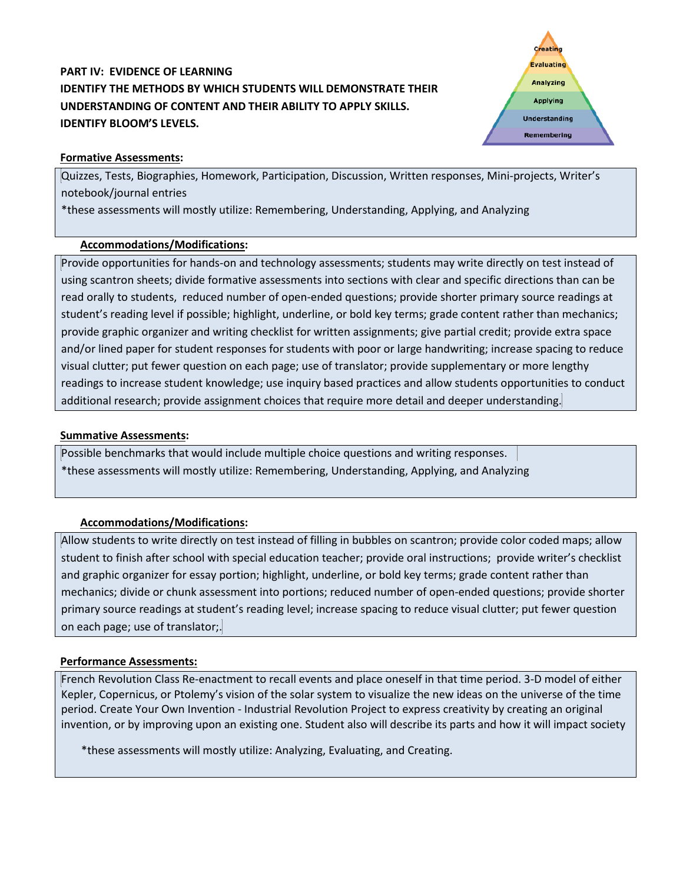# **PART IV: EVIDENCE OF LEARNING IDENTIFY THE METHODS BY WHICH STUDENTS WILL DEMONSTRATE THEIR UNDERSTANDING OF CONTENT AND THEIR ABILITY TO APPLY SKILLS. IDENTIFY BLOOM'S LEVELS.**

#### **Formative Assessments:**

Quizzes, Tests, Biographies, Homework, Participation, Discussion, Written responses, Mini-projects, Writer's notebook/journal entries

Creating **Evaluating** Analyzing **Applying Understanding** Remembering

\*these assessments will mostly utilize: Remembering, Understanding, Applying, and Analyzing

#### **Accommodations/Modifications:**

Provide opportunities for hands-on and technology assessments; students may write directly on test instead of using scantron sheets; divide formative assessments into sections with clear and specific directions than can be read orally to students, reduced number of open-ended questions; provide shorter primary source readings at student's reading level if possible; highlight, underline, or bold key terms; grade content rather than mechanics; provide graphic organizer and writing checklist for written assignments; give partial credit; provide extra space and/or lined paper for student responses for students with poor or large handwriting; increase spacing to reduce visual clutter; put fewer question on each page; use of translator; provide supplementary or more lengthy readings to increase student knowledge; use inquiry based practices and allow students opportunities to conduct additional research; provide assignment choices that require more detail and deeper understanding.

#### **Summative Assessments:**

Possible benchmarks that would include multiple choice questions and writing responses. \*these assessments will mostly utilize: Remembering, Understanding, Applying, and Analyzing

#### **Accommodations/Modifications:**

Allow students to write directly on test instead of filling in bubbles on scantron; provide color coded maps; allow student to finish after school with special education teacher; provide oral instructions; provide writer's checklist and graphic organizer for essay portion; highlight, underline, or bold key terms; grade content rather than mechanics; divide or chunk assessment into portions; reduced number of open-ended questions; provide shorter primary source readings at student's reading level; increase spacing to reduce visual clutter; put fewer question on each page; use of translator;.

#### **Performance Assessments:**

French Revolution Class Re-enactment to recall events and place oneself in that time period. 3-D model of either Kepler, Copernicus, or Ptolemy's vision of the solar system to visualize the new ideas on the universe of the time period. Create Your Own Invention - Industrial Revolution Project to express creativity by creating an original invention, or by improving upon an existing one. Student also will describe its parts and how it will impact society

\*these assessments will mostly utilize: Analyzing, Evaluating, and Creating.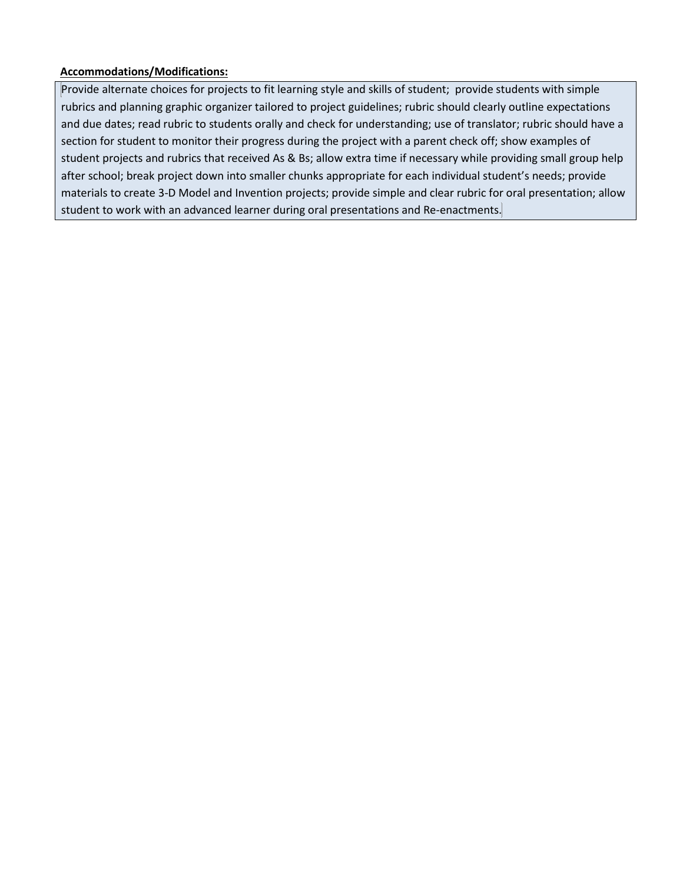#### **Accommodations/Modifications:**

Provide alternate choices for projects to fit learning style and skills of student; provide students with simple rubrics and planning graphic organizer tailored to project guidelines; rubric should clearly outline expectations and due dates; read rubric to students orally and check for understanding; use of translator; rubric should have a section for student to monitor their progress during the project with a parent check off; show examples of student projects and rubrics that received As & Bs; allow extra time if necessary while providing small group help after school; break project down into smaller chunks appropriate for each individual student's needs; provide materials to create 3-D Model and Invention projects; provide simple and clear rubric for oral presentation; allow student to work with an advanced learner during oral presentations and Re-enactments.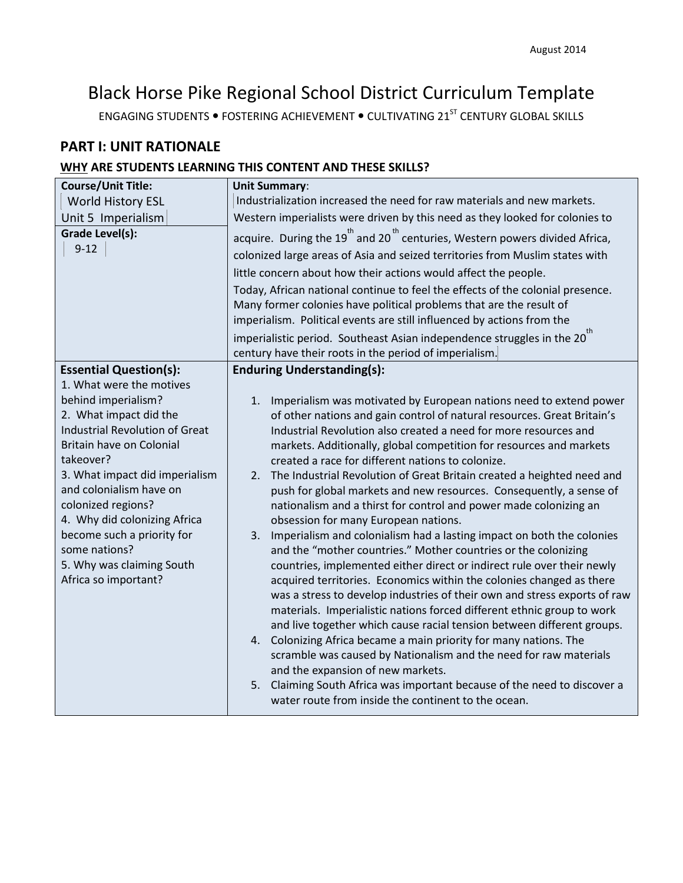# Black Horse Pike Regional School District Curriculum Template

ENGAGING STUDENTS  $\bullet$  FOSTERING ACHIEVEMENT  $\bullet$  CULTIVATING 21<sup>ST</sup> CENTURY GLOBAL SKILLS

# **PART I: UNIT RATIONALE**

# **WHY ARE STUDENTS LEARNING THIS CONTENT AND THESE SKILLS?**

| <b>Unit Summary:</b>                                                                                                |  |  |  |
|---------------------------------------------------------------------------------------------------------------------|--|--|--|
| Industrialization increased the need for raw materials and new markets.                                             |  |  |  |
| Western imperialists were driven by this need as they looked for colonies to                                        |  |  |  |
| acquire. During the $19^{th}$ and $20^{th}$ centuries, Western powers divided Africa,                               |  |  |  |
| colonized large areas of Asia and seized territories from Muslim states with                                        |  |  |  |
| little concern about how their actions would affect the people.                                                     |  |  |  |
| Today, African national continue to feel the effects of the colonial presence.                                      |  |  |  |
| Many former colonies have political problems that are the result of                                                 |  |  |  |
| imperialism. Political events are still influenced by actions from the                                              |  |  |  |
| th<br>imperialistic period. Southeast Asian independence struggles in the 20                                        |  |  |  |
| century have their roots in the period of imperialism.                                                              |  |  |  |
| <b>Enduring Understanding(s):</b>                                                                                   |  |  |  |
|                                                                                                                     |  |  |  |
| Imperialism was motivated by European nations need to extend power<br>1.                                            |  |  |  |
| of other nations and gain control of natural resources. Great Britain's                                             |  |  |  |
| Industrial Revolution also created a need for more resources and                                                    |  |  |  |
| markets. Additionally, global competition for resources and markets                                                 |  |  |  |
| created a race for different nations to colonize.                                                                   |  |  |  |
| The Industrial Revolution of Great Britain created a heighted need and<br>2.                                        |  |  |  |
| push for global markets and new resources. Consequently, a sense of                                                 |  |  |  |
| nationalism and a thirst for control and power made colonizing an                                                   |  |  |  |
| obsession for many European nations.<br>Imperialism and colonialism had a lasting impact on both the colonies<br>3. |  |  |  |
| and the "mother countries." Mother countries or the colonizing                                                      |  |  |  |
| countries, implemented either direct or indirect rule over their newly                                              |  |  |  |
| acquired territories. Economics within the colonies changed as there                                                |  |  |  |
| was a stress to develop industries of their own and stress exports of raw                                           |  |  |  |
| materials. Imperialistic nations forced different ethnic group to work                                              |  |  |  |
| and live together which cause racial tension between different groups.                                              |  |  |  |
| 4. Colonizing Africa became a main priority for many nations. The                                                   |  |  |  |
| scramble was caused by Nationalism and the need for raw materials                                                   |  |  |  |
| and the expansion of new markets.                                                                                   |  |  |  |
| Claiming South Africa was important because of the need to discover a<br>5.                                         |  |  |  |
| water route from inside the continent to the ocean.                                                                 |  |  |  |
|                                                                                                                     |  |  |  |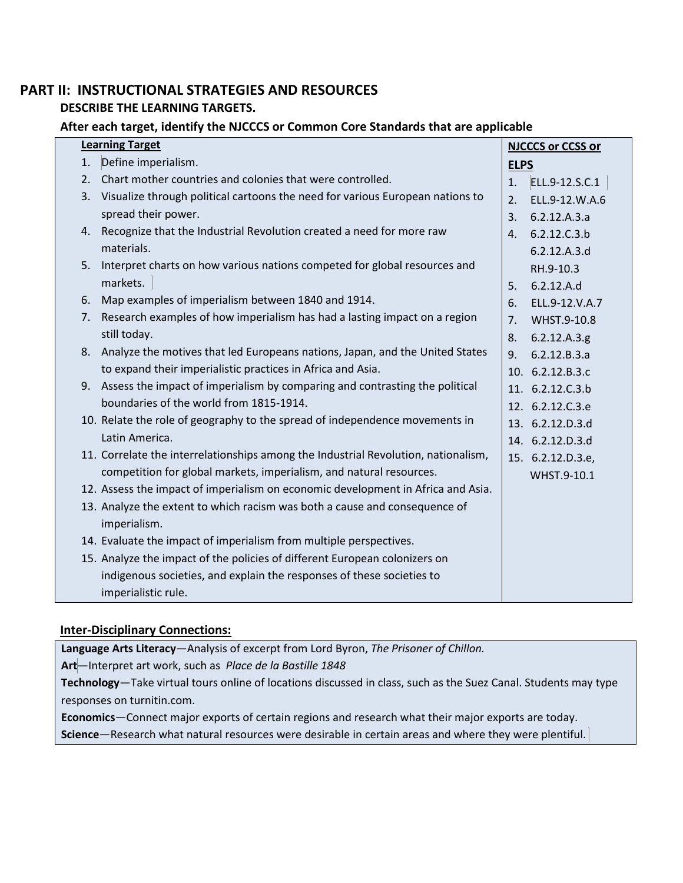# **PART II: INSTRUCTIONAL STRATEGIES AND RESOURCES**

**DESCRIBE THE LEARNING TARGETS.** 

# **After each target, identify the NJCCCS or Common Core Standards that are applicable**

|    | <b>Learning Target</b>                                                                     | <b>NJCCCS or CCSS or</b> |                   |  |  |
|----|--------------------------------------------------------------------------------------------|--------------------------|-------------------|--|--|
| 1. | Define imperialism.                                                                        |                          | <b>ELPS</b>       |  |  |
| 2. | Chart mother countries and colonies that were controlled.                                  | 1.                       | ELL.9-12.S.C.1    |  |  |
| 3. | Visualize through political cartoons the need for various European nations to              | 2.                       | ELL.9-12.W.A.6    |  |  |
|    | spread their power.                                                                        | 3.                       | 6.2.12.A.3.a      |  |  |
| 4. | Recognize that the Industrial Revolution created a need for more raw                       | 4.                       | 6.2.12.C.3.b      |  |  |
|    | materials.                                                                                 |                          | 6.2.12.A.3.d      |  |  |
| 5. | Interpret charts on how various nations competed for global resources and                  |                          | RH.9-10.3         |  |  |
|    | markets.                                                                                   | 5.                       | 6.2.12.A.d        |  |  |
| 6. | Map examples of imperialism between 1840 and 1914.                                         | 6.                       | ELL.9-12.V.A.7    |  |  |
| 7. | Research examples of how imperialism has had a lasting impact on a region                  | 7.                       | WHST.9-10.8       |  |  |
|    | still today.                                                                               | 8.                       | 6.2.12.A.3.g      |  |  |
| 8. | Analyze the motives that led Europeans nations, Japan, and the United States               | 9.                       | 6.2.12.B.3.a      |  |  |
|    | to expand their imperialistic practices in Africa and Asia.                                |                          | 10. 6.2.12.B.3.c  |  |  |
|    | 9. Assess the impact of imperialism by comparing and contrasting the political             |                          | 11. 6.2.12.C.3.b  |  |  |
|    | boundaries of the world from 1815-1914.                                                    |                          | 12. 6.2.12.C.3.e  |  |  |
|    | 10. Relate the role of geography to the spread of independence movements in                |                          | 13. 6.2.12.D.3.d  |  |  |
|    | Latin America.                                                                             |                          | 14. 6.2.12.D.3.d  |  |  |
|    | 11. Correlate the interrelationships among the Industrial Revolution, nationalism,         |                          | 15. 6.2.12.D.3.e, |  |  |
|    | competition for global markets, imperialism, and natural resources.                        |                          | WHST.9-10.1       |  |  |
|    | 12. Assess the impact of imperialism on economic development in Africa and Asia.           |                          |                   |  |  |
|    | 13. Analyze the extent to which racism was both a cause and consequence of<br>imperialism. |                          |                   |  |  |
|    | 14. Evaluate the impact of imperialism from multiple perspectives.                         |                          |                   |  |  |
|    | 15. Analyze the impact of the policies of different European colonizers on                 |                          |                   |  |  |
|    | indigenous societies, and explain the responses of these societies to                      |                          |                   |  |  |
|    | imperialistic rule.                                                                        |                          |                   |  |  |

# **Inter-Disciplinary Connections:**

**Language Arts Literacy**—Analysis of excerpt from Lord Byron, *The Prisoner of Chillon.*

**Art**—Interpret art work, such as *Place de la Bastille 1848*

**Technology**—Take virtual tours online of locations discussed in class, such as the Suez Canal. Students may type responses on turnitin.com.

**Economics**—Connect major exports of certain regions and research what their major exports are today. **Science**—Research what natural resources were desirable in certain areas and where they were plentiful.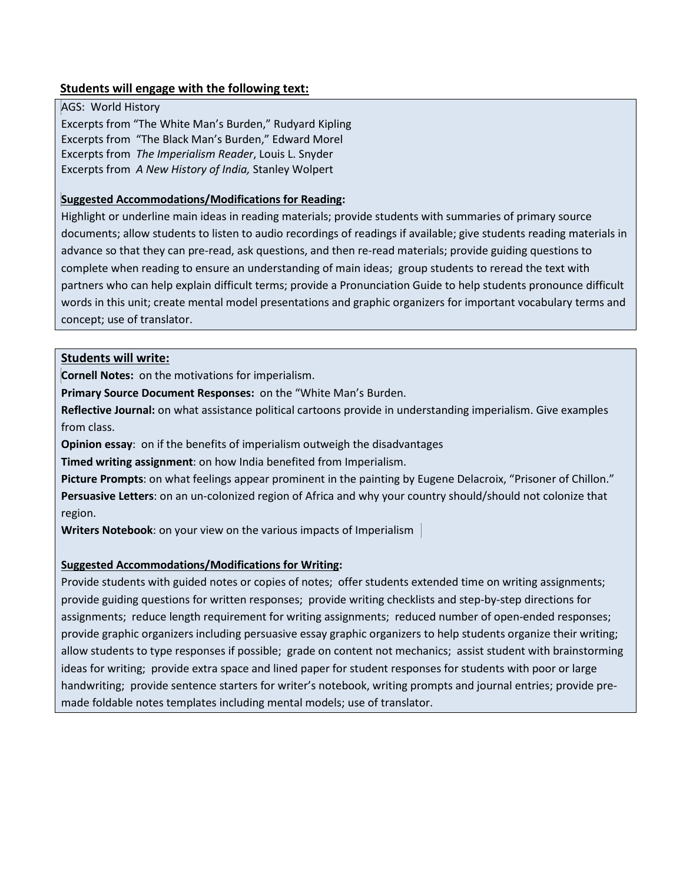#### **Students will engage with the following text:**

#### AGS: World History

Excerpts from "The White Man's Burden," Rudyard Kipling Excerpts from "The Black Man's Burden," Edward Morel Excerpts from *The Imperialism Reader*, Louis L. Snyder Excerpts from *A New History of India,* Stanley Wolpert

#### **Suggested Accommodations/Modifications for Reading:**

Highlight or underline main ideas in reading materials; provide students with summaries of primary source documents; allow students to listen to audio recordings of readings if available; give students reading materials in advance so that they can pre-read, ask questions, and then re-read materials; provide guiding questions to complete when reading to ensure an understanding of main ideas; group students to reread the text with partners who can help explain difficult terms; provide a Pronunciation Guide to help students pronounce difficult words in this unit; create mental model presentations and graphic organizers for important vocabulary terms and concept; use of translator.

#### **Students will write:**

**Cornell Notes:** on the motivations for imperialism.

**Primary Source Document Responses:** on the "White Man's Burden.

**Reflective Journal:** on what assistance political cartoons provide in understanding imperialism. Give examples from class.

**Opinion essay**: on if the benefits of imperialism outweigh the disadvantages

**Timed writing assignment**: on how India benefited from Imperialism.

**Picture Prompts**: on what feelings appear prominent in the painting by Eugene Delacroix, "Prisoner of Chillon." **Persuasive Letters**: on an un-colonized region of Africa and why your country should/should not colonize that region.

**Writers Notebook**: on your view on the various impacts of Imperialism

#### **Suggested Accommodations/Modifications for Writing:**

Provide students with guided notes or copies of notes; offer students extended time on writing assignments; provide guiding questions for written responses; provide writing checklists and step-by-step directions for assignments; reduce length requirement for writing assignments; reduced number of open-ended responses; provide graphic organizers including persuasive essay graphic organizers to help students organize their writing; allow students to type responses if possible; grade on content not mechanics; assist student with brainstorming ideas for writing; provide extra space and lined paper for student responses for students with poor or large handwriting;provide sentence starters for writer's notebook, writing prompts and journal entries; provide premade foldable notes templates including mental models; use of translator.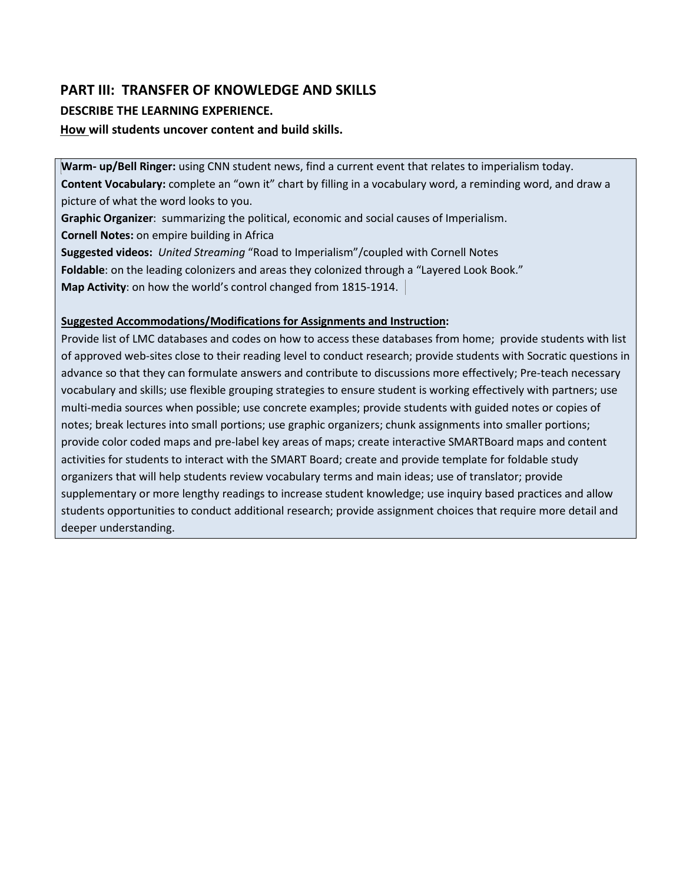# **PART III: TRANSFER OF KNOWLEDGE AND SKILLS DESCRIBE THE LEARNING EXPERIENCE. How will students uncover content and build skills.**

**Warm- up/Bell Ringer:** using CNN student news, find a current event that relates to imperialism today. **Content Vocabulary:** complete an "own it" chart by filling in a vocabulary word, a reminding word, and draw a picture of what the word looks to you.

**Graphic Organizer**: summarizing the political, economic and social causes of Imperialism. **Cornell Notes:** on empire building in Africa

**Suggested videos:** *United Streaming* "Road to Imperialism"/coupled with Cornell Notes **Foldable**: on the leading colonizers and areas they colonized through a "Layered Look Book." **Map Activity**: on how the world's control changed from 1815-1914.

#### **Suggested Accommodations/Modifications for Assignments and Instruction:**

Provide list of LMC databases and codes on how to access these databases from home; provide students with list of approved web-sites close to their reading level to conduct research; provide students with Socratic questions in advance so that they can formulate answers and contribute to discussions more effectively; Pre-teach necessary vocabulary and skills; use flexible grouping strategies to ensure student is working effectively with partners; use multi-media sources when possible; use concrete examples; provide students with guided notes or copies of notes; break lectures into small portions; use graphic organizers; chunk assignments into smaller portions; provide color coded maps and pre-label key areas of maps; create interactive SMARTBoard maps and content activities for students to interact with the SMART Board; create and provide template for foldable study organizers that will help students review vocabulary terms and main ideas; use of translator; provide supplementary or more lengthy readings to increase student knowledge; use inquiry based practices and allow students opportunities to conduct additional research; provide assignment choices that require more detail and deeper understanding.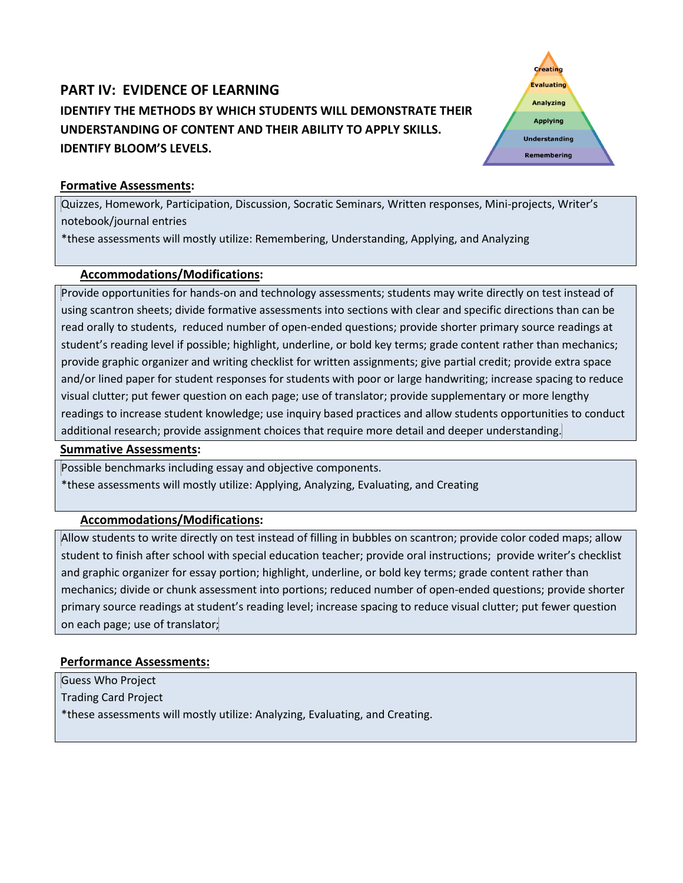# **PART IV: EVIDENCE OF LEARNING IDENTIFY THE METHODS BY WHICH STUDENTS WILL DEMONSTRATE THEIR UNDERSTANDING OF CONTENT AND THEIR ABILITY TO APPLY SKILLS. IDENTIFY BLOOM'S LEVELS.**



Quizzes, Homework, Participation, Discussion, Socratic Seminars, Written responses, Mini-projects, Writer's notebook/journal entries

Creating Evaluatino Analyzing **Applying Understanding** Remembering

\*these assessments will mostly utilize: Remembering, Understanding, Applying, and Analyzing

## **Accommodations/Modifications:**

Provide opportunities for hands-on and technology assessments; students may write directly on test instead of using scantron sheets; divide formative assessments into sections with clear and specific directions than can be read orally to students, reduced number of open-ended questions; provide shorter primary source readings at student's reading level if possible; highlight, underline, or bold key terms; grade content rather than mechanics; provide graphic organizer and writing checklist for written assignments; give partial credit; provide extra space and/or lined paper for student responses for students with poor or large handwriting; increase spacing to reduce visual clutter; put fewer question on each page; use of translator; provide supplementary or more lengthy readings to increase student knowledge; use inquiry based practices and allow students opportunities to conduct additional research; provide assignment choices that require more detail and deeper understanding.

#### **Summative Assessments:**

Possible benchmarks including essay and objective components.

\*these assessments will mostly utilize: Applying, Analyzing, Evaluating, and Creating

#### **Accommodations/Modifications:**

Allow students to write directly on test instead of filling in bubbles on scantron; provide color coded maps; allow student to finish after school with special education teacher; provide oral instructions; provide writer's checklist and graphic organizer for essay portion; highlight, underline, or bold key terms; grade content rather than mechanics; divide or chunk assessment into portions; reduced number of open-ended questions; provide shorter primary source readings at student's reading level; increase spacing to reduce visual clutter; put fewer question on each page; use of translator;

#### **Performance Assessments:**

Guess Who Project Trading Card Project \*these assessments will mostly utilize: Analyzing, Evaluating, and Creating.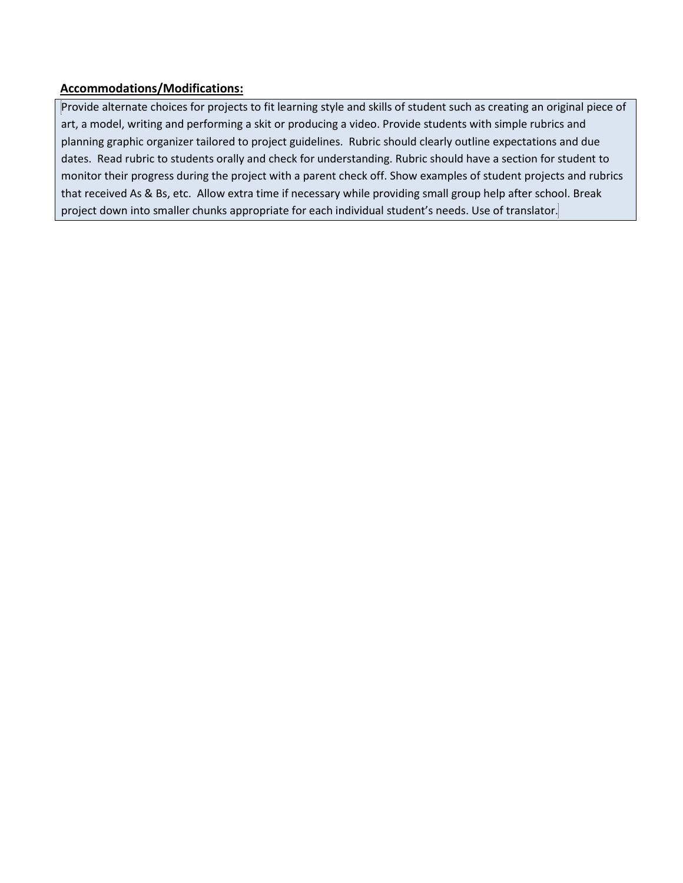# **Accommodations/Modifications:**

Provide alternate choices for projects to fit learning style and skills of student such as creating an original piece of art, a model, writing and performing a skit or producing a video. Provide students with simple rubrics and planning graphic organizer tailored to project guidelines. Rubric should clearly outline expectations and due dates. Read rubric to students orally and check for understanding. Rubric should have a section for student to monitor their progress during the project with a parent check off. Show examples of student projects and rubrics that received As & Bs, etc. Allow extra time if necessary while providing small group help after school. Break project down into smaller chunks appropriate for each individual student's needs. Use of translator.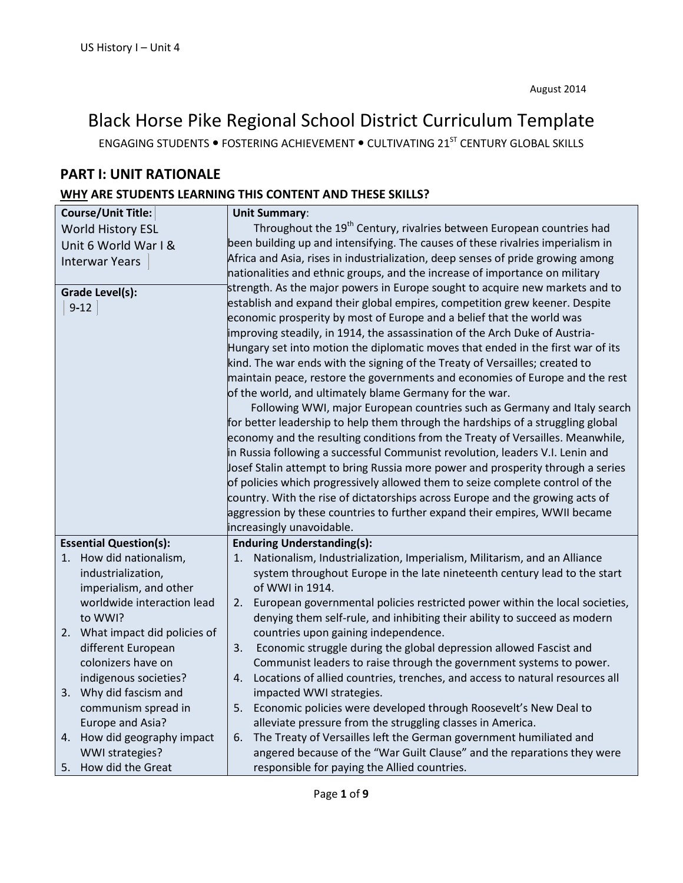# Black Horse Pike Regional School District Curriculum Template

ENGAGING STUDENTS . FOSTERING ACHIEVEMENT . CULTIVATING 21<sup>ST</sup> CENTURY GLOBAL SKILLS

# **PART I: UNIT RATIONALE**

# **WHY ARE STUDENTS LEARNING THIS CONTENT AND THESE SKILLS?**

| <b>Course/Unit Title:</b>                                                      | <b>Unit Summary:</b>                                                               |  |  |  |
|--------------------------------------------------------------------------------|------------------------------------------------------------------------------------|--|--|--|
| <b>World History ESL</b>                                                       | Throughout the 19 <sup>th</sup> Century, rivalries between European countries had  |  |  |  |
| Unit 6 World War I &                                                           | been building up and intensifying. The causes of these rivalries imperialism in    |  |  |  |
| <b>Interwar Years</b>                                                          | Africa and Asia, rises in industrialization, deep senses of pride growing among    |  |  |  |
|                                                                                | nationalities and ethnic groups, and the increase of importance on military        |  |  |  |
| <b>Grade Level(s):</b>                                                         | strength. As the major powers in Europe sought to acquire new markets and to       |  |  |  |
| $9-12$                                                                         | establish and expand their global empires, competition grew keener. Despite        |  |  |  |
|                                                                                | economic prosperity by most of Europe and a belief that the world was              |  |  |  |
|                                                                                | improving steadily, in 1914, the assassination of the Arch Duke of Austria-        |  |  |  |
|                                                                                | Hungary set into motion the diplomatic moves that ended in the first war of its    |  |  |  |
|                                                                                | kind. The war ends with the signing of the Treaty of Versailles; created to        |  |  |  |
|                                                                                | maintain peace, restore the governments and economies of Europe and the rest       |  |  |  |
| of the world, and ultimately blame Germany for the war.                        |                                                                                    |  |  |  |
| Following WWI, major European countries such as Germany and Italy search       |                                                                                    |  |  |  |
|                                                                                | for better leadership to help them through the hardships of a struggling global    |  |  |  |
| economy and the resulting conditions from the Treaty of Versailles. Meanwhile, |                                                                                    |  |  |  |
| in Russia following a successful Communist revolution, leaders V.I. Lenin and  |                                                                                    |  |  |  |
|                                                                                | Josef Stalin attempt to bring Russia more power and prosperity through a series    |  |  |  |
|                                                                                | of policies which progressively allowed them to seize complete control of the      |  |  |  |
|                                                                                | country. With the rise of dictatorships across Europe and the growing acts of      |  |  |  |
|                                                                                | aggression by these countries to further expand their empires, WWII became         |  |  |  |
|                                                                                | increasingly unavoidable.                                                          |  |  |  |
| <b>Essential Question(s):</b>                                                  | <b>Enduring Understanding(s):</b>                                                  |  |  |  |
| How did nationalism,<br>1.                                                     | Nationalism, Industrialization, Imperialism, Militarism, and an Alliance<br>1.     |  |  |  |
| industrialization,                                                             | system throughout Europe in the late nineteenth century lead to the start          |  |  |  |
| imperialism, and other                                                         | of WWI in 1914.                                                                    |  |  |  |
| worldwide interaction lead                                                     | 2. European governmental policies restricted power within the local societies,     |  |  |  |
| to WWI?                                                                        | denying them self-rule, and inhibiting their ability to succeed as modern          |  |  |  |
| 2. What impact did policies of                                                 | countries upon gaining independence.                                               |  |  |  |
| different European                                                             | Economic struggle during the global depression allowed Fascist and<br>3.           |  |  |  |
| colonizers have on                                                             | Communist leaders to raise through the government systems to power.                |  |  |  |
| indigenous societies?                                                          | Locations of allied countries, trenches, and access to natural resources all<br>4. |  |  |  |
| 3. Why did fascism and                                                         | impacted WWI strategies.                                                           |  |  |  |
| communism spread in                                                            | Economic policies were developed through Roosevelt's New Deal to<br>5.             |  |  |  |
| Europe and Asia?                                                               | alleviate pressure from the struggling classes in America.                         |  |  |  |
| 4. How did geography impact                                                    | The Treaty of Versailles left the German government humiliated and<br>6.           |  |  |  |
| WWI strategies?                                                                | angered because of the "War Guilt Clause" and the reparations they were            |  |  |  |
| 5. How did the Great                                                           | responsible for paying the Allied countries.                                       |  |  |  |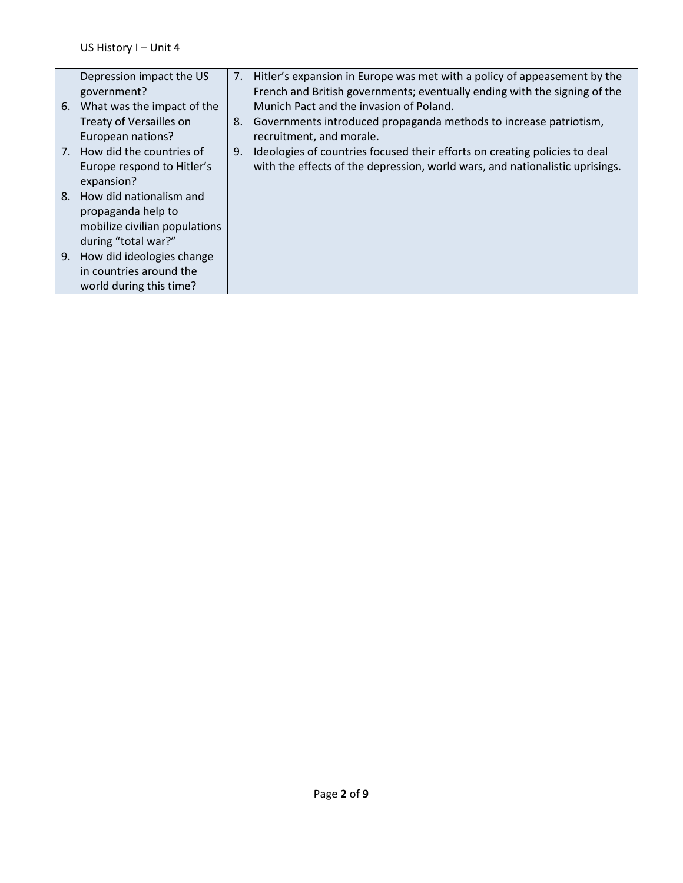| Depression impact the US      |    | 7. Hitler's expansion in Europe was met with a policy of appeasement by the  |
|-------------------------------|----|------------------------------------------------------------------------------|
| government?                   |    | French and British governments; eventually ending with the signing of the    |
| 6. What was the impact of the |    | Munich Pact and the invasion of Poland.                                      |
| Treaty of Versailles on       |    | 8. Governments introduced propaganda methods to increase patriotism,         |
| European nations?             |    | recruitment, and morale.                                                     |
| 7. How did the countries of   | 9. | Ideologies of countries focused their efforts on creating policies to deal   |
| Europe respond to Hitler's    |    | with the effects of the depression, world wars, and nationalistic uprisings. |
| expansion?                    |    |                                                                              |
| 8. How did nationalism and    |    |                                                                              |
| propaganda help to            |    |                                                                              |
| mobilize civilian populations |    |                                                                              |
| during "total war?"           |    |                                                                              |
| 9. How did ideologies change  |    |                                                                              |
| in countries around the       |    |                                                                              |
| world during this time?       |    |                                                                              |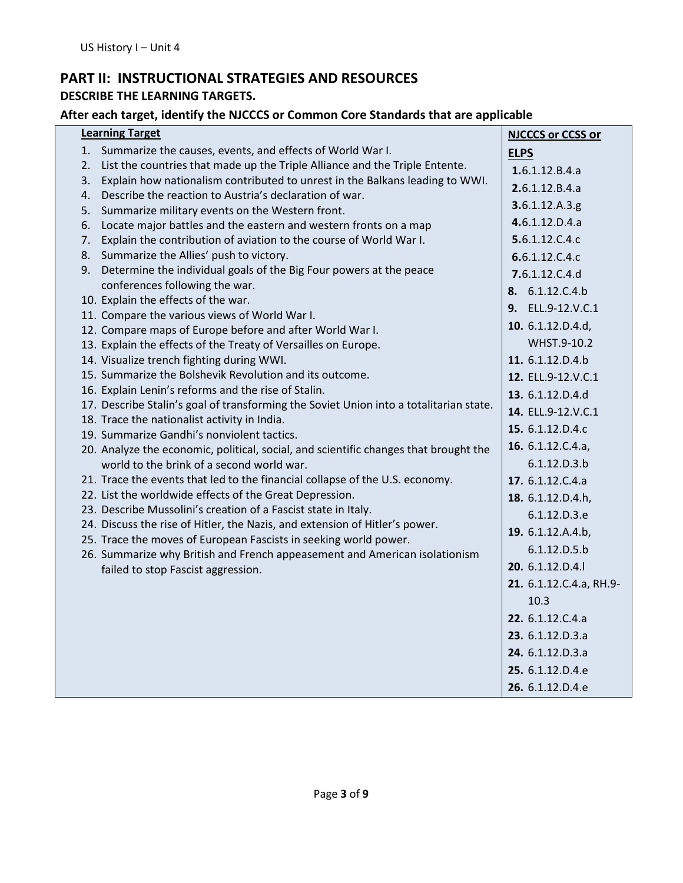# **PART II: INSTRUCTIONAL STRATEGIES AND RESOURCES DESCRIBE THE LEARNING TARGETS.**

# **After each target, identify the NJCCCS or Common Core Standards that are applicable**

| 1. Summarize the causes, events, and effects of World War I.<br><b>ELPS</b><br>2.<br>List the countries that made up the Triple Alliance and the Triple Entente.<br>1.6.1.12.B.4.a<br>Explain how nationalism contributed to unrest in the Balkans leading to WWI.<br>3.<br>2.6.1.12.B.4.a<br>Describe the reaction to Austria's declaration of war.<br>4.<br>3.6.1.12.A.3.g<br>Summarize military events on the Western front.<br>5.<br>4.6.1.12.D.4.a<br>Locate major battles and the eastern and western fronts on a map<br>6.<br>5.6.1.12.C.4.c<br>7. Explain the contribution of aviation to the course of World War I.<br>8. Summarize the Allies' push to victory.<br>6.6.1.12.C.4.c<br>9. Determine the individual goals of the Big Four powers at the peace<br>7.6.1.12.C.4.d<br>conferences following the war.<br>8. 6.1.12.C.4.b<br>10. Explain the effects of the war.<br>9. ELL.9-12.V.C.1<br>11. Compare the various views of World War I.<br>10. 6.1.12.D.4.d,<br>12. Compare maps of Europe before and after World War I.<br>WHST.9-10.2<br>13. Explain the effects of the Treaty of Versailles on Europe.<br>14. Visualize trench fighting during WWI.<br>11. 6.1.12.D.4.b<br>15. Summarize the Bolshevik Revolution and its outcome.<br>12. ELL.9-12.V.C.1<br>16. Explain Lenin's reforms and the rise of Stalin.<br>13. 6.1.12.D.4.d<br>17. Describe Stalin's goal of transforming the Soviet Union into a totalitarian state.<br>14. ELL.9-12.V.C.1<br>18. Trace the nationalist activity in India.<br>15. 6.1.12.D.4.c<br>19. Summarize Gandhi's nonviolent tactics.<br>16. 6.1.12.C.4.a,<br>20. Analyze the economic, political, social, and scientific changes that brought the<br>6.1.12.D.3.b<br>world to the brink of a second world war.<br>21. Trace the events that led to the financial collapse of the U.S. economy.<br>17. 6.1.12.C.4.a<br>22. List the worldwide effects of the Great Depression.<br>18. 6.1.12.D.4.h,<br>23. Describe Mussolini's creation of a Fascist state in Italy.<br>6.1.12.D.3.e<br>24. Discuss the rise of Hitler, the Nazis, and extension of Hitler's power.<br>19. 6.1.12.A.4.b,<br>25. Trace the moves of European Fascists in seeking world power.<br>6.1.12.D.5.b<br>26. Summarize why British and French appeasement and American isolationism<br>20. 6.1.12.D.4.I<br>failed to stop Fascist aggression.<br>21. 6.1.12.C.4.a, RH.9-<br>10.3<br>22. 6.1.12.C.4.a<br>23. 6.1.12.D.3.a<br>24. 6.1.12.D.3.a<br>25. 6.1.12.D.4.e<br>26. 6.1.12.D.4.e | <b>Learning Target</b> | <b>NJCCCS or CCSS or</b> |
|------------------------------------------------------------------------------------------------------------------------------------------------------------------------------------------------------------------------------------------------------------------------------------------------------------------------------------------------------------------------------------------------------------------------------------------------------------------------------------------------------------------------------------------------------------------------------------------------------------------------------------------------------------------------------------------------------------------------------------------------------------------------------------------------------------------------------------------------------------------------------------------------------------------------------------------------------------------------------------------------------------------------------------------------------------------------------------------------------------------------------------------------------------------------------------------------------------------------------------------------------------------------------------------------------------------------------------------------------------------------------------------------------------------------------------------------------------------------------------------------------------------------------------------------------------------------------------------------------------------------------------------------------------------------------------------------------------------------------------------------------------------------------------------------------------------------------------------------------------------------------------------------------------------------------------------------------------------------------------------------------------------------------------------------------------------------------------------------------------------------------------------------------------------------------------------------------------------------------------------------------------------------------------------------------------------------------------------------------------------------------------------------------------------------------------------------------------------------------------------------------------------|------------------------|--------------------------|
|                                                                                                                                                                                                                                                                                                                                                                                                                                                                                                                                                                                                                                                                                                                                                                                                                                                                                                                                                                                                                                                                                                                                                                                                                                                                                                                                                                                                                                                                                                                                                                                                                                                                                                                                                                                                                                                                                                                                                                                                                                                                                                                                                                                                                                                                                                                                                                                                                                                                                                                  |                        |                          |
|                                                                                                                                                                                                                                                                                                                                                                                                                                                                                                                                                                                                                                                                                                                                                                                                                                                                                                                                                                                                                                                                                                                                                                                                                                                                                                                                                                                                                                                                                                                                                                                                                                                                                                                                                                                                                                                                                                                                                                                                                                                                                                                                                                                                                                                                                                                                                                                                                                                                                                                  |                        |                          |
|                                                                                                                                                                                                                                                                                                                                                                                                                                                                                                                                                                                                                                                                                                                                                                                                                                                                                                                                                                                                                                                                                                                                                                                                                                                                                                                                                                                                                                                                                                                                                                                                                                                                                                                                                                                                                                                                                                                                                                                                                                                                                                                                                                                                                                                                                                                                                                                                                                                                                                                  |                        |                          |
|                                                                                                                                                                                                                                                                                                                                                                                                                                                                                                                                                                                                                                                                                                                                                                                                                                                                                                                                                                                                                                                                                                                                                                                                                                                                                                                                                                                                                                                                                                                                                                                                                                                                                                                                                                                                                                                                                                                                                                                                                                                                                                                                                                                                                                                                                                                                                                                                                                                                                                                  |                        |                          |
|                                                                                                                                                                                                                                                                                                                                                                                                                                                                                                                                                                                                                                                                                                                                                                                                                                                                                                                                                                                                                                                                                                                                                                                                                                                                                                                                                                                                                                                                                                                                                                                                                                                                                                                                                                                                                                                                                                                                                                                                                                                                                                                                                                                                                                                                                                                                                                                                                                                                                                                  |                        |                          |
|                                                                                                                                                                                                                                                                                                                                                                                                                                                                                                                                                                                                                                                                                                                                                                                                                                                                                                                                                                                                                                                                                                                                                                                                                                                                                                                                                                                                                                                                                                                                                                                                                                                                                                                                                                                                                                                                                                                                                                                                                                                                                                                                                                                                                                                                                                                                                                                                                                                                                                                  |                        |                          |
|                                                                                                                                                                                                                                                                                                                                                                                                                                                                                                                                                                                                                                                                                                                                                                                                                                                                                                                                                                                                                                                                                                                                                                                                                                                                                                                                                                                                                                                                                                                                                                                                                                                                                                                                                                                                                                                                                                                                                                                                                                                                                                                                                                                                                                                                                                                                                                                                                                                                                                                  |                        |                          |
|                                                                                                                                                                                                                                                                                                                                                                                                                                                                                                                                                                                                                                                                                                                                                                                                                                                                                                                                                                                                                                                                                                                                                                                                                                                                                                                                                                                                                                                                                                                                                                                                                                                                                                                                                                                                                                                                                                                                                                                                                                                                                                                                                                                                                                                                                                                                                                                                                                                                                                                  |                        |                          |
|                                                                                                                                                                                                                                                                                                                                                                                                                                                                                                                                                                                                                                                                                                                                                                                                                                                                                                                                                                                                                                                                                                                                                                                                                                                                                                                                                                                                                                                                                                                                                                                                                                                                                                                                                                                                                                                                                                                                                                                                                                                                                                                                                                                                                                                                                                                                                                                                                                                                                                                  |                        |                          |
|                                                                                                                                                                                                                                                                                                                                                                                                                                                                                                                                                                                                                                                                                                                                                                                                                                                                                                                                                                                                                                                                                                                                                                                                                                                                                                                                                                                                                                                                                                                                                                                                                                                                                                                                                                                                                                                                                                                                                                                                                                                                                                                                                                                                                                                                                                                                                                                                                                                                                                                  |                        |                          |
|                                                                                                                                                                                                                                                                                                                                                                                                                                                                                                                                                                                                                                                                                                                                                                                                                                                                                                                                                                                                                                                                                                                                                                                                                                                                                                                                                                                                                                                                                                                                                                                                                                                                                                                                                                                                                                                                                                                                                                                                                                                                                                                                                                                                                                                                                                                                                                                                                                                                                                                  |                        |                          |
|                                                                                                                                                                                                                                                                                                                                                                                                                                                                                                                                                                                                                                                                                                                                                                                                                                                                                                                                                                                                                                                                                                                                                                                                                                                                                                                                                                                                                                                                                                                                                                                                                                                                                                                                                                                                                                                                                                                                                                                                                                                                                                                                                                                                                                                                                                                                                                                                                                                                                                                  |                        |                          |
|                                                                                                                                                                                                                                                                                                                                                                                                                                                                                                                                                                                                                                                                                                                                                                                                                                                                                                                                                                                                                                                                                                                                                                                                                                                                                                                                                                                                                                                                                                                                                                                                                                                                                                                                                                                                                                                                                                                                                                                                                                                                                                                                                                                                                                                                                                                                                                                                                                                                                                                  |                        |                          |
|                                                                                                                                                                                                                                                                                                                                                                                                                                                                                                                                                                                                                                                                                                                                                                                                                                                                                                                                                                                                                                                                                                                                                                                                                                                                                                                                                                                                                                                                                                                                                                                                                                                                                                                                                                                                                                                                                                                                                                                                                                                                                                                                                                                                                                                                                                                                                                                                                                                                                                                  |                        |                          |
|                                                                                                                                                                                                                                                                                                                                                                                                                                                                                                                                                                                                                                                                                                                                                                                                                                                                                                                                                                                                                                                                                                                                                                                                                                                                                                                                                                                                                                                                                                                                                                                                                                                                                                                                                                                                                                                                                                                                                                                                                                                                                                                                                                                                                                                                                                                                                                                                                                                                                                                  |                        |                          |
|                                                                                                                                                                                                                                                                                                                                                                                                                                                                                                                                                                                                                                                                                                                                                                                                                                                                                                                                                                                                                                                                                                                                                                                                                                                                                                                                                                                                                                                                                                                                                                                                                                                                                                                                                                                                                                                                                                                                                                                                                                                                                                                                                                                                                                                                                                                                                                                                                                                                                                                  |                        |                          |
|                                                                                                                                                                                                                                                                                                                                                                                                                                                                                                                                                                                                                                                                                                                                                                                                                                                                                                                                                                                                                                                                                                                                                                                                                                                                                                                                                                                                                                                                                                                                                                                                                                                                                                                                                                                                                                                                                                                                                                                                                                                                                                                                                                                                                                                                                                                                                                                                                                                                                                                  |                        |                          |
|                                                                                                                                                                                                                                                                                                                                                                                                                                                                                                                                                                                                                                                                                                                                                                                                                                                                                                                                                                                                                                                                                                                                                                                                                                                                                                                                                                                                                                                                                                                                                                                                                                                                                                                                                                                                                                                                                                                                                                                                                                                                                                                                                                                                                                                                                                                                                                                                                                                                                                                  |                        |                          |
|                                                                                                                                                                                                                                                                                                                                                                                                                                                                                                                                                                                                                                                                                                                                                                                                                                                                                                                                                                                                                                                                                                                                                                                                                                                                                                                                                                                                                                                                                                                                                                                                                                                                                                                                                                                                                                                                                                                                                                                                                                                                                                                                                                                                                                                                                                                                                                                                                                                                                                                  |                        |                          |
|                                                                                                                                                                                                                                                                                                                                                                                                                                                                                                                                                                                                                                                                                                                                                                                                                                                                                                                                                                                                                                                                                                                                                                                                                                                                                                                                                                                                                                                                                                                                                                                                                                                                                                                                                                                                                                                                                                                                                                                                                                                                                                                                                                                                                                                                                                                                                                                                                                                                                                                  |                        |                          |
|                                                                                                                                                                                                                                                                                                                                                                                                                                                                                                                                                                                                                                                                                                                                                                                                                                                                                                                                                                                                                                                                                                                                                                                                                                                                                                                                                                                                                                                                                                                                                                                                                                                                                                                                                                                                                                                                                                                                                                                                                                                                                                                                                                                                                                                                                                                                                                                                                                                                                                                  |                        |                          |
|                                                                                                                                                                                                                                                                                                                                                                                                                                                                                                                                                                                                                                                                                                                                                                                                                                                                                                                                                                                                                                                                                                                                                                                                                                                                                                                                                                                                                                                                                                                                                                                                                                                                                                                                                                                                                                                                                                                                                                                                                                                                                                                                                                                                                                                                                                                                                                                                                                                                                                                  |                        |                          |
|                                                                                                                                                                                                                                                                                                                                                                                                                                                                                                                                                                                                                                                                                                                                                                                                                                                                                                                                                                                                                                                                                                                                                                                                                                                                                                                                                                                                                                                                                                                                                                                                                                                                                                                                                                                                                                                                                                                                                                                                                                                                                                                                                                                                                                                                                                                                                                                                                                                                                                                  |                        |                          |
|                                                                                                                                                                                                                                                                                                                                                                                                                                                                                                                                                                                                                                                                                                                                                                                                                                                                                                                                                                                                                                                                                                                                                                                                                                                                                                                                                                                                                                                                                                                                                                                                                                                                                                                                                                                                                                                                                                                                                                                                                                                                                                                                                                                                                                                                                                                                                                                                                                                                                                                  |                        |                          |
|                                                                                                                                                                                                                                                                                                                                                                                                                                                                                                                                                                                                                                                                                                                                                                                                                                                                                                                                                                                                                                                                                                                                                                                                                                                                                                                                                                                                                                                                                                                                                                                                                                                                                                                                                                                                                                                                                                                                                                                                                                                                                                                                                                                                                                                                                                                                                                                                                                                                                                                  |                        |                          |
|                                                                                                                                                                                                                                                                                                                                                                                                                                                                                                                                                                                                                                                                                                                                                                                                                                                                                                                                                                                                                                                                                                                                                                                                                                                                                                                                                                                                                                                                                                                                                                                                                                                                                                                                                                                                                                                                                                                                                                                                                                                                                                                                                                                                                                                                                                                                                                                                                                                                                                                  |                        |                          |
|                                                                                                                                                                                                                                                                                                                                                                                                                                                                                                                                                                                                                                                                                                                                                                                                                                                                                                                                                                                                                                                                                                                                                                                                                                                                                                                                                                                                                                                                                                                                                                                                                                                                                                                                                                                                                                                                                                                                                                                                                                                                                                                                                                                                                                                                                                                                                                                                                                                                                                                  |                        |                          |
|                                                                                                                                                                                                                                                                                                                                                                                                                                                                                                                                                                                                                                                                                                                                                                                                                                                                                                                                                                                                                                                                                                                                                                                                                                                                                                                                                                                                                                                                                                                                                                                                                                                                                                                                                                                                                                                                                                                                                                                                                                                                                                                                                                                                                                                                                                                                                                                                                                                                                                                  |                        |                          |
|                                                                                                                                                                                                                                                                                                                                                                                                                                                                                                                                                                                                                                                                                                                                                                                                                                                                                                                                                                                                                                                                                                                                                                                                                                                                                                                                                                                                                                                                                                                                                                                                                                                                                                                                                                                                                                                                                                                                                                                                                                                                                                                                                                                                                                                                                                                                                                                                                                                                                                                  |                        |                          |
|                                                                                                                                                                                                                                                                                                                                                                                                                                                                                                                                                                                                                                                                                                                                                                                                                                                                                                                                                                                                                                                                                                                                                                                                                                                                                                                                                                                                                                                                                                                                                                                                                                                                                                                                                                                                                                                                                                                                                                                                                                                                                                                                                                                                                                                                                                                                                                                                                                                                                                                  |                        |                          |
|                                                                                                                                                                                                                                                                                                                                                                                                                                                                                                                                                                                                                                                                                                                                                                                                                                                                                                                                                                                                                                                                                                                                                                                                                                                                                                                                                                                                                                                                                                                                                                                                                                                                                                                                                                                                                                                                                                                                                                                                                                                                                                                                                                                                                                                                                                                                                                                                                                                                                                                  |                        |                          |
|                                                                                                                                                                                                                                                                                                                                                                                                                                                                                                                                                                                                                                                                                                                                                                                                                                                                                                                                                                                                                                                                                                                                                                                                                                                                                                                                                                                                                                                                                                                                                                                                                                                                                                                                                                                                                                                                                                                                                                                                                                                                                                                                                                                                                                                                                                                                                                                                                                                                                                                  |                        |                          |
|                                                                                                                                                                                                                                                                                                                                                                                                                                                                                                                                                                                                                                                                                                                                                                                                                                                                                                                                                                                                                                                                                                                                                                                                                                                                                                                                                                                                                                                                                                                                                                                                                                                                                                                                                                                                                                                                                                                                                                                                                                                                                                                                                                                                                                                                                                                                                                                                                                                                                                                  |                        |                          |
|                                                                                                                                                                                                                                                                                                                                                                                                                                                                                                                                                                                                                                                                                                                                                                                                                                                                                                                                                                                                                                                                                                                                                                                                                                                                                                                                                                                                                                                                                                                                                                                                                                                                                                                                                                                                                                                                                                                                                                                                                                                                                                                                                                                                                                                                                                                                                                                                                                                                                                                  |                        |                          |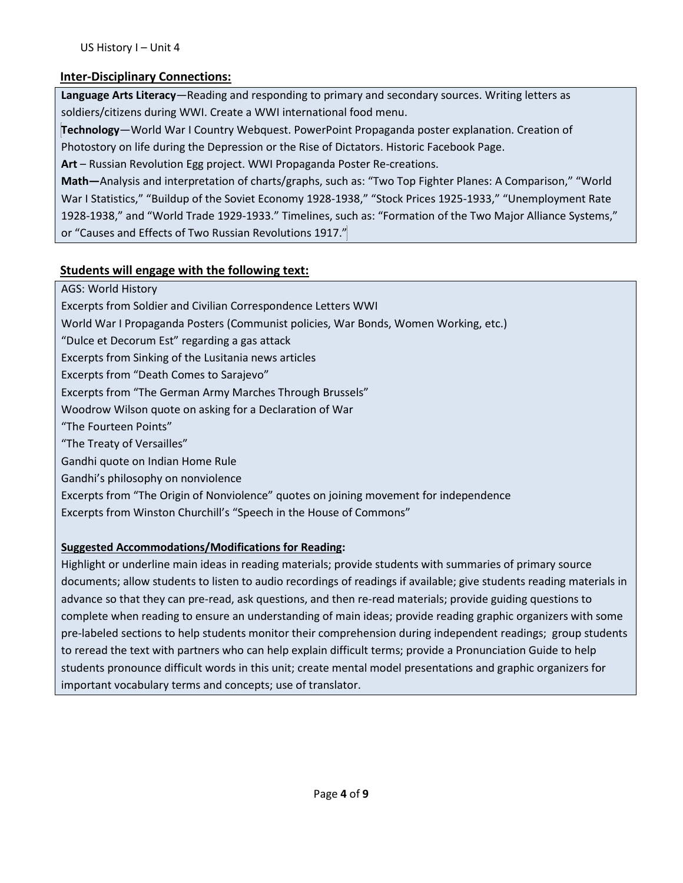# **Inter-Disciplinary Connections:**

**Language Arts Literacy**—Reading and responding to primary and secondary sources. Writing letters as soldiers/citizens during WWI. Create a WWI international food menu.

**Technology**—World War I Country Webquest. PowerPoint Propaganda poster explanation. Creation of Photostory on life during the Depression or the Rise of Dictators. Historic Facebook Page.

**Art** – Russian Revolution Egg project. WWI Propaganda Poster Re-creations.

**Math—**Analysis and interpretation of charts/graphs, such as: "Two Top Fighter Planes: A Comparison," "World War I Statistics," "Buildup of the Soviet Economy 1928-1938," "Stock Prices 1925-1933," "Unemployment Rate 1928-1938," and "World Trade 1929-1933." Timelines, such as: "Formation of the Two Major Alliance Systems," or "Causes and Effects of Two Russian Revolutions 1917."

# **Students will engage with the following text:**

## AGS: World History

Excerpts from Soldier and Civilian Correspondence Letters WWI

- World War I Propaganda Posters (Communist policies, War Bonds, Women Working, etc.)
- "Dulce et Decorum Est" regarding a gas attack
- Excerpts from Sinking of the Lusitania news articles
- Excerpts from "Death Comes to Sarajevo"
- Excerpts from "The German Army Marches Through Brussels"
- Woodrow Wilson quote on asking for a Declaration of War
- "The Fourteen Points"
- "The Treaty of Versailles"
- Gandhi quote on Indian Home Rule
- Gandhi's philosophy on nonviolence
- Excerpts from "The Origin of Nonviolence" quotes on joining movement for independence
- Excerpts from Winston Churchill's "Speech in the House of Commons"

# **Suggested Accommodations/Modifications for Reading:**

Highlight or underline main ideas in reading materials; provide students with summaries of primary source documents; allow students to listen to audio recordings of readings if available; give students reading materials in advance so that they can pre-read, ask questions, and then re-read materials; provide guiding questions to complete when reading to ensure an understanding of main ideas; provide reading graphic organizers with some pre-labeled sections to help students monitor their comprehension during independent readings; group students to reread the text with partners who can help explain difficult terms; provide a Pronunciation Guide to help students pronounce difficult words in this unit; create mental model presentations and graphic organizers for important vocabulary terms and concepts; use of translator.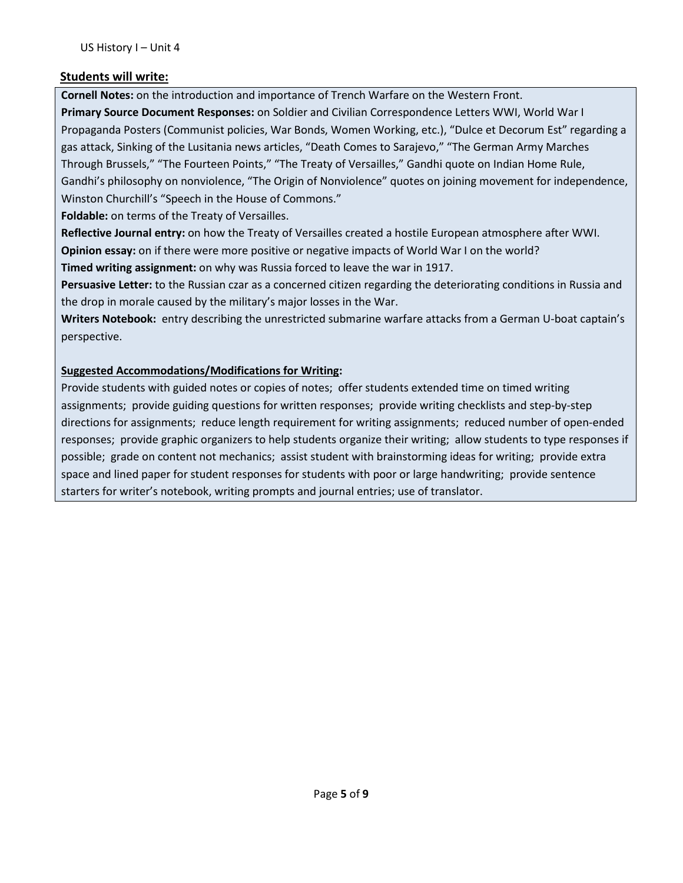# **Students will write:**

**Cornell Notes:** on the introduction and importance of Trench Warfare on the Western Front. **Primary Source Document Responses:** on Soldier and Civilian Correspondence Letters WWI, World War I Propaganda Posters (Communist policies, War Bonds, Women Working, etc.), "Dulce et Decorum Est" regarding a gas attack, Sinking of the Lusitania news articles, "Death Comes to Sarajevo," "The German Army Marches Through Brussels," "The Fourteen Points," "The Treaty of Versailles," Gandhi quote on Indian Home Rule, Gandhi's philosophy on nonviolence, "The Origin of Nonviolence" quotes on joining movement for independence, Winston Churchill's "Speech in the House of Commons."

**Foldable:** on terms of the Treaty of Versailles.

**Reflective Journal entry:** on how the Treaty of Versailles created a hostile European atmosphere after WWI. **Opinion essay:** on if there were more positive or negative impacts of World War I on the world?

**Timed writing assignment:** on why was Russia forced to leave the war in 1917.

**Persuasive Letter:** to the Russian czar as a concerned citizen regarding the deteriorating conditions in Russia and the drop in morale caused by the military's major losses in the War.

**Writers Notebook:** entry describing the unrestricted submarine warfare attacks from a German U-boat captain's perspective.

# **Suggested Accommodations/Modifications for Writing:**

Provide students with guided notes or copies of notes; offer students extended time on timed writing assignments; provide guiding questions for written responses; provide writing checklists and step-by-step directions for assignments; reduce length requirement for writing assignments; reduced number of open-ended responses; provide graphic organizers to help students organize their writing; allow students to type responses if possible; grade on content not mechanics; assist student with brainstorming ideas for writing; provide extra space and lined paper for student responses for students with poor or large handwriting;provide sentence starters for writer's notebook, writing prompts and journal entries; use of translator.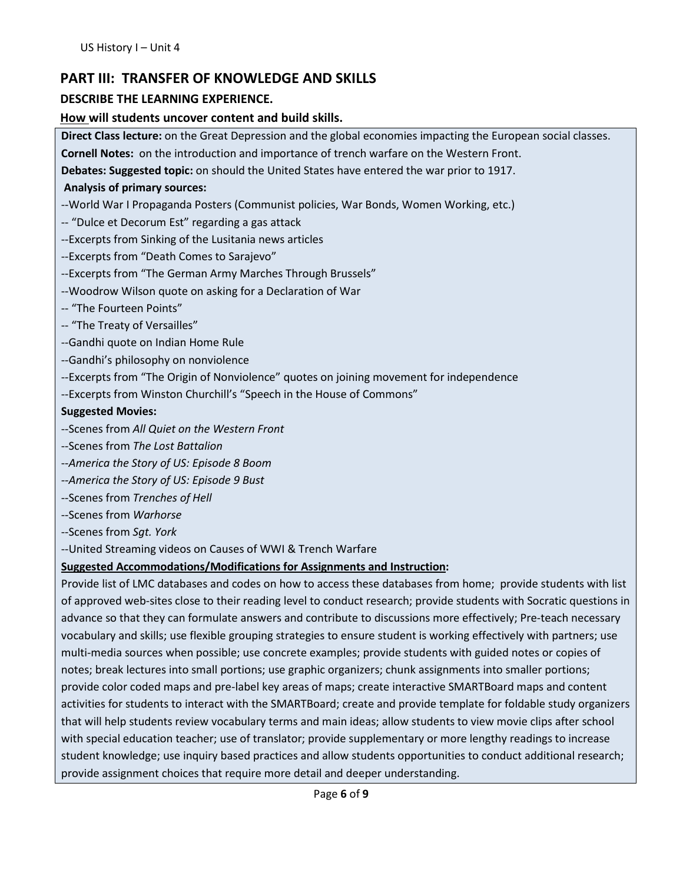# **PART III: TRANSFER OF KNOWLEDGE AND SKILLS**

# **DESCRIBE THE LEARNING EXPERIENCE.**

# **How will students uncover content and build skills.**

**Direct Class lecture:** on the Great Depression and the global economies impacting the European social classes.

**Cornell Notes:** on the introduction and importance of trench warfare on the Western Front.

**Debates: Suggested topic:** on should the United States have entered the war prior to 1917.

# **Analysis of primary sources:**

--World War I Propaganda Posters (Communist policies, War Bonds, Women Working, etc.)

- -- "Dulce et Decorum Est" regarding a gas attack
- --Excerpts from Sinking of the Lusitania news articles
- --Excerpts from "Death Comes to Sarajevo"
- --Excerpts from "The German Army Marches Through Brussels"
- --Woodrow Wilson quote on asking for a Declaration of War
- -- "The Fourteen Points"
- -- "The Treaty of Versailles"
- --Gandhi quote on Indian Home Rule
- --Gandhi's philosophy on nonviolence
- --Excerpts from "The Origin of Nonviolence" quotes on joining movement for independence
- --Excerpts from Winston Churchill's "Speech in the House of Commons"

## **Suggested Movies:**

- --Scenes from *All Quiet on the Western Front*
- --Scenes from *The Lost Battalion*
- --*America the Story of US: Episode 8 Boom*
- *--America the Story of US: Episode 9 Bust*
- --Scenes from *Trenches of Hell*
- --Scenes from *Warhorse*
- --Scenes from *Sgt. York*

--United Streaming videos on Causes of WWI & Trench Warfare

#### **Suggested Accommodations/Modifications for Assignments and Instruction:**

Provide list of LMC databases and codes on how to access these databases from home; provide students with list of approved web-sites close to their reading level to conduct research; provide students with Socratic questions in advance so that they can formulate answers and contribute to discussions more effectively; Pre-teach necessary vocabulary and skills; use flexible grouping strategies to ensure student is working effectively with partners; use multi-media sources when possible; use concrete examples; provide students with guided notes or copies of notes; break lectures into small portions; use graphic organizers; chunk assignments into smaller portions; provide color coded maps and pre-label key areas of maps; create interactive SMARTBoard maps and content activities for students to interact with the SMARTBoard; create and provide template for foldable study organizers that will help students review vocabulary terms and main ideas; allow students to view movie clips after school with special education teacher; use of translator; provide supplementary or more lengthy readings to increase student knowledge; use inquiry based practices and allow students opportunities to conduct additional research; provide assignment choices that require more detail and deeper understanding.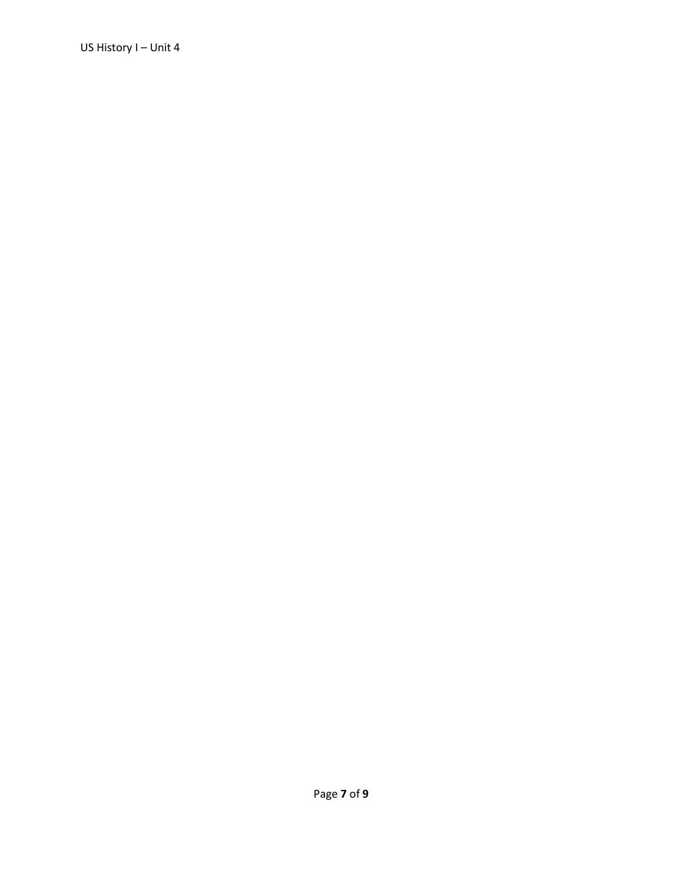US History I – Unit 4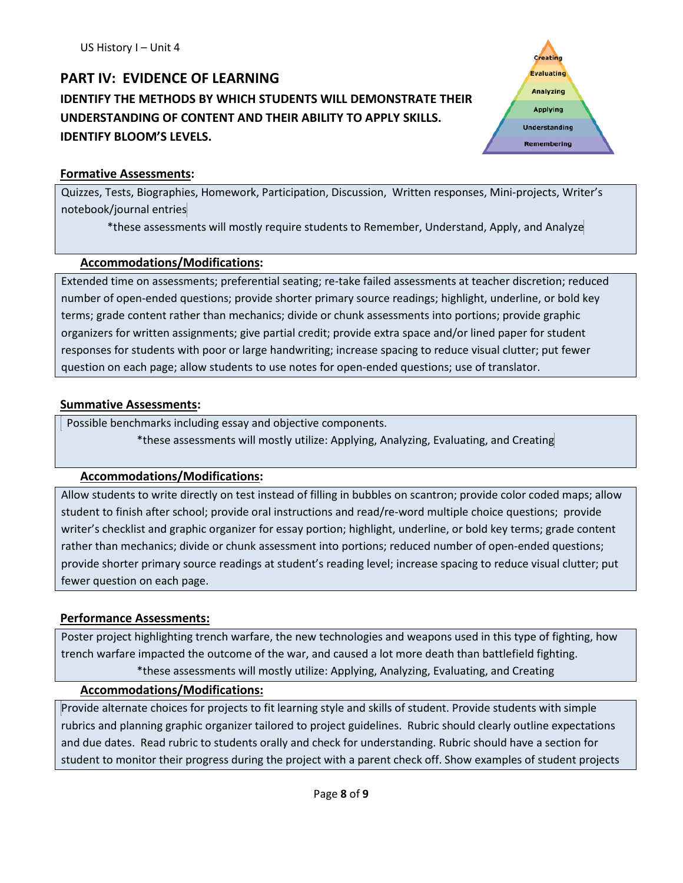# **PART IV: EVIDENCE OF LEARNING IDENTIFY THE METHODS BY WHICH STUDENTS WILL DEMONSTRATE THEIR UNDERSTANDING OF CONTENT AND THEIR ABILITY TO APPLY SKILLS. IDENTIFY BLOOM'S LEVELS.**

## **Formative Assessments:**

Quizzes, Tests, Biographies, Homework, Participation, Discussion, Written responses, Mini-projects, Writer's notebook/journal entries

\*these assessments will mostly require students to Remember, Understand, Apply, and Analyze

Creatin **Evaluating** Analyzing **Applying Understanding** Remembering

# **Accommodations/Modifications:**

Extended time on assessments; preferential seating; re-take failed assessments at teacher discretion; reduced number of open-ended questions; provide shorter primary source readings; highlight, underline, or bold key terms; grade content rather than mechanics; divide or chunk assessments into portions; provide graphic organizers for written assignments; give partial credit; provide extra space and/or lined paper for student responses for students with poor or large handwriting; increase spacing to reduce visual clutter; put fewer question on each page; allow students to use notes for open-ended questions; use of translator.

#### **Summative Assessments:**

Possible benchmarks including essay and objective components. \*these assessments will mostly utilize: Applying, Analyzing, Evaluating, and Creating

#### **Accommodations/Modifications:**

Allow students to write directly on test instead of filling in bubbles on scantron; provide color coded maps; allow student to finish after school; provide oral instructions and read/re-word multiple choice questions; provide writer's checklist and graphic organizer for essay portion; highlight, underline, or bold key terms; grade content rather than mechanics; divide or chunk assessment into portions; reduced number of open-ended questions; provide shorter primary source readings at student's reading level; increase spacing to reduce visual clutter; put fewer question on each page.

#### **Performance Assessments:**

Poster project highlighting trench warfare, the new technologies and weapons used in this type of fighting, how trench warfare impacted the outcome of the war, and caused a lot more death than battlefield fighting. \*these assessments will mostly utilize: Applying, Analyzing, Evaluating, and Creating

#### **Accommodations/Modifications:**

Provide alternate choices for projects to fit learning style and skills of student. Provide students with simple rubrics and planning graphic organizer tailored to project guidelines. Rubric should clearly outline expectations and due dates. Read rubric to students orally and check for understanding. Rubric should have a section for student to monitor their progress during the project with a parent check off. Show examples of student projects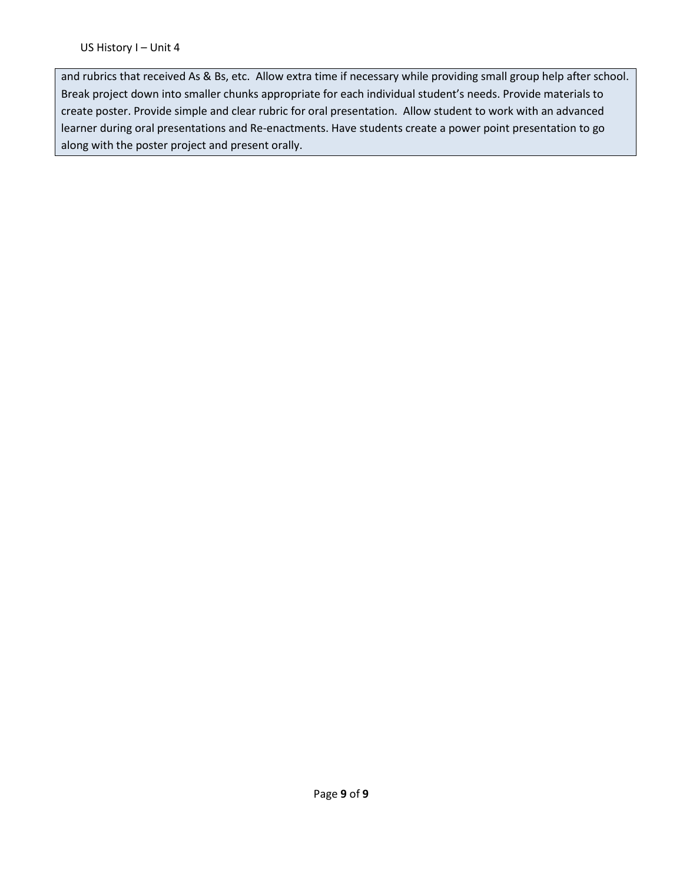and rubrics that received As & Bs, etc. Allow extra time if necessary while providing small group help after school. Break project down into smaller chunks appropriate for each individual student's needs. Provide materials to create poster. Provide simple and clear rubric for oral presentation. Allow student to work with an advanced learner during oral presentations and Re-enactments. Have students create a power point presentation to go along with the poster project and present orally.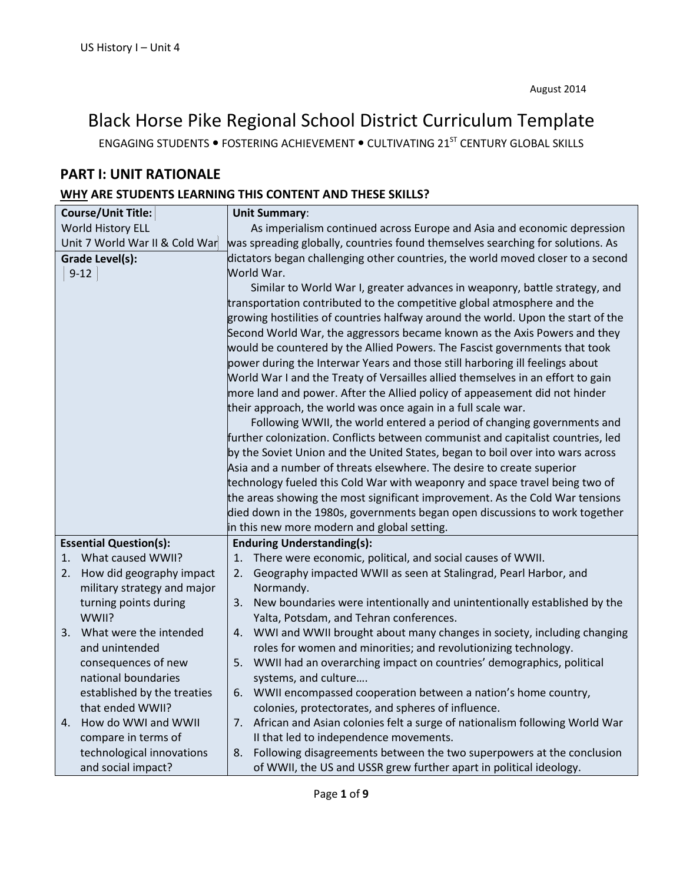# Black Horse Pike Regional School District Curriculum Template

ENGAGING STUDENTS . FOSTERING ACHIEVEMENT . CULTIVATING 21<sup>ST</sup> CENTURY GLOBAL SKILLS

# **PART I: UNIT RATIONALE**

# **WHY ARE STUDENTS LEARNING THIS CONTENT AND THESE SKILLS?**

| <b>Course/Unit Title:</b>                                                       | <b>Unit Summary:</b>                                                             |  |  |
|---------------------------------------------------------------------------------|----------------------------------------------------------------------------------|--|--|
| World History ELL                                                               | As imperialism continued across Europe and Asia and economic depression          |  |  |
| Unit 7 World War II & Cold War                                                  | was spreading globally, countries found themselves searching for solutions. As   |  |  |
| <b>Grade Level(s):</b>                                                          | dictators began challenging other countries, the world moved closer to a second  |  |  |
| $9 - 12$                                                                        | World War.                                                                       |  |  |
|                                                                                 | Similar to World War I, greater advances in weaponry, battle strategy, and       |  |  |
|                                                                                 | transportation contributed to the competitive global atmosphere and the          |  |  |
|                                                                                 | growing hostilities of countries halfway around the world. Upon the start of the |  |  |
|                                                                                 | Second World War, the aggressors became known as the Axis Powers and they        |  |  |
|                                                                                 | would be countered by the Allied Powers. The Fascist governments that took       |  |  |
|                                                                                 | power during the Interwar Years and those still harboring ill feelings about     |  |  |
|                                                                                 | World War I and the Treaty of Versailles allied themselves in an effort to gain  |  |  |
|                                                                                 | more land and power. After the Allied policy of appeasement did not hinder       |  |  |
|                                                                                 | their approach, the world was once again in a full scale war.                    |  |  |
| Following WWII, the world entered a period of changing governments and          |                                                                                  |  |  |
| further colonization. Conflicts between communist and capitalist countries, led |                                                                                  |  |  |
| by the Soviet Union and the United States, began to boil over into wars across  |                                                                                  |  |  |
| Asia and a number of threats elsewhere. The desire to create superior           |                                                                                  |  |  |
|                                                                                 | technology fueled this Cold War with weaponry and space travel being two of      |  |  |
|                                                                                 | the areas showing the most significant improvement. As the Cold War tensions     |  |  |
|                                                                                 | died down in the 1980s, governments began open discussions to work together      |  |  |
|                                                                                 | in this new more modern and global setting.                                      |  |  |
| <b>Essential Question(s):</b>                                                   | <b>Enduring Understanding(s):</b>                                                |  |  |
| What caused WWII?<br>1.                                                         | There were economic, political, and social causes of WWII.<br>1.                 |  |  |
| How did geography impact<br>2.                                                  | Geography impacted WWII as seen at Stalingrad, Pearl Harbor, and<br>2.           |  |  |
| military strategy and major                                                     | Normandy.                                                                        |  |  |
| turning points during                                                           | New boundaries were intentionally and unintentionally established by the<br>3.   |  |  |
| WWII?                                                                           | Yalta, Potsdam, and Tehran conferences.                                          |  |  |
| What were the intended<br>3.                                                    | 4. WWI and WWII brought about many changes in society, including changing        |  |  |
| and unintended                                                                  | roles for women and minorities; and revolutionizing technology.                  |  |  |
| consequences of new                                                             | WWII had an overarching impact on countries' demographics, political<br>5.       |  |  |
| national boundaries                                                             | systems, and culture                                                             |  |  |
| established by the treaties                                                     | WWII encompassed cooperation between a nation's home country,<br>6.              |  |  |
| that ended WWII?                                                                | colonies, protectorates, and spheres of influence.                               |  |  |
| 4. How do WWI and WWII                                                          | 7. African and Asian colonies felt a surge of nationalism following World War    |  |  |
| compare in terms of                                                             | II that led to independence movements.                                           |  |  |
| technological innovations                                                       | Following disagreements between the two superpowers at the conclusion<br>8.      |  |  |
| and social impact?                                                              | of WWII, the US and USSR grew further apart in political ideology.               |  |  |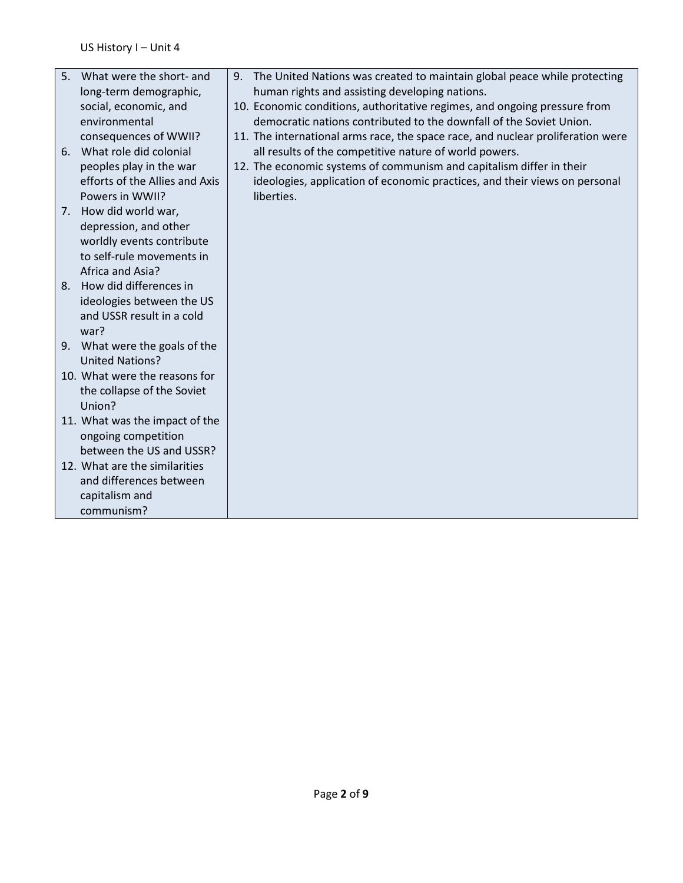| 5. | What were the short- and       | 9. The United Nations was created to maintain global peace while protecting     |
|----|--------------------------------|---------------------------------------------------------------------------------|
|    | long-term demographic,         | human rights and assisting developing nations.                                  |
|    | social, economic, and          | 10. Economic conditions, authoritative regimes, and ongoing pressure from       |
|    | environmental                  | democratic nations contributed to the downfall of the Soviet Union.             |
|    | consequences of WWII?          | 11. The international arms race, the space race, and nuclear proliferation were |
| 6. | What role did colonial         | all results of the competitive nature of world powers.                          |
|    | peoples play in the war        | 12. The economic systems of communism and capitalism differ in their            |
|    | efforts of the Allies and Axis | ideologies, application of economic practices, and their views on personal      |
|    | Powers in WWII?                | liberties.                                                                      |
|    | 7. How did world war,          |                                                                                 |
|    | depression, and other          |                                                                                 |
|    | worldly events contribute      |                                                                                 |
|    | to self-rule movements in      |                                                                                 |
|    | Africa and Asia?               |                                                                                 |
| 8. | How did differences in         |                                                                                 |
|    | ideologies between the US      |                                                                                 |
|    | and USSR result in a cold      |                                                                                 |
|    | war?                           |                                                                                 |
|    | 9. What were the goals of the  |                                                                                 |
|    | <b>United Nations?</b>         |                                                                                 |
|    | 10. What were the reasons for  |                                                                                 |
|    | the collapse of the Soviet     |                                                                                 |
|    | Union?                         |                                                                                 |
|    | 11. What was the impact of the |                                                                                 |
|    | ongoing competition            |                                                                                 |
|    | between the US and USSR?       |                                                                                 |
|    | 12. What are the similarities  |                                                                                 |
|    | and differences between        |                                                                                 |
|    | capitalism and                 |                                                                                 |
|    | communism?                     |                                                                                 |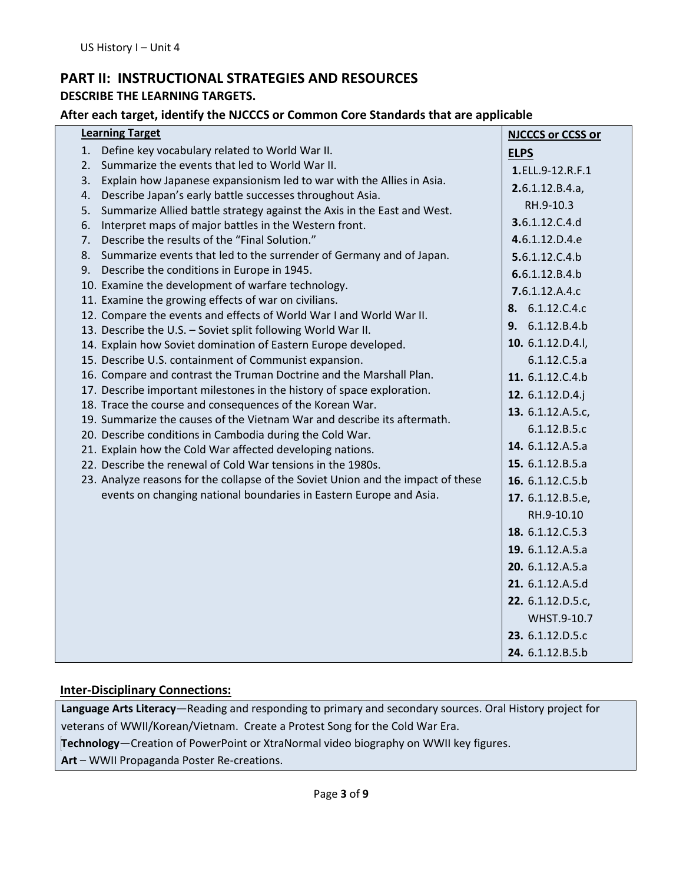# **PART II: INSTRUCTIONAL STRATEGIES AND RESOURCES DESCRIBE THE LEARNING TARGETS.**

## **After each target, identify the NJCCCS or Common Core Standards that are applicable**

|          | <b>Learning Target</b>                                                                                                              | <b>NJCCCS or CCSS or</b> |
|----------|-------------------------------------------------------------------------------------------------------------------------------------|--------------------------|
| 1.       | Define key vocabulary related to World War II.                                                                                      | <b>ELPS</b>              |
| 2.       | Summarize the events that led to World War II.                                                                                      | 1.ELL.9-12.R.F.1         |
| 3.       | Explain how Japanese expansionism led to war with the Allies in Asia.                                                               | 2.6.1.12.B.4.a,          |
| 4.       | Describe Japan's early battle successes throughout Asia.                                                                            | RH.9-10.3                |
| 5.       | Summarize Allied battle strategy against the Axis in the East and West.                                                             | 3.6.1.12.C.4.d           |
| 6.<br>7. | Interpret maps of major battles in the Western front.<br>Describe the results of the "Final Solution."                              | 4.6.1.12.D.4.e           |
| 8.       | Summarize events that led to the surrender of Germany and of Japan.                                                                 | 5.6.1.12.C.4.b           |
|          | 9. Describe the conditions in Europe in 1945.                                                                                       |                          |
|          | 10. Examine the development of warfare technology.                                                                                  | 6.6.1.12.B.4.b           |
|          | 11. Examine the growing effects of war on civilians.                                                                                | 7.6.1.12.A.4.c           |
|          | 12. Compare the events and effects of World War I and World War II.                                                                 | 8. 6.1.12.C.4.c          |
|          | 13. Describe the U.S. - Soviet split following World War II.                                                                        | 9. 6.1.12.B.4.b          |
|          | 14. Explain how Soviet domination of Eastern Europe developed.                                                                      | 10. 6.1.12.D.4.l,        |
|          | 15. Describe U.S. containment of Communist expansion.                                                                               | 6.1.12.C.5.a             |
|          | 16. Compare and contrast the Truman Doctrine and the Marshall Plan.                                                                 | 11. 6.1.12.C.4.b         |
|          | 17. Describe important milestones in the history of space exploration.                                                              | 12. 6.1.12.D.4.j         |
|          | 18. Trace the course and consequences of the Korean War.                                                                            | 13. 6.1.12.A.5.c,        |
|          | 19. Summarize the causes of the Vietnam War and describe its aftermath.<br>20. Describe conditions in Cambodia during the Cold War. | 6.1.12.B.5.c             |
|          | 21. Explain how the Cold War affected developing nations.                                                                           | 14. 6.1.12.A.5.a         |
|          | 22. Describe the renewal of Cold War tensions in the 1980s.                                                                         | 15. 6.1.12.B.5.a         |
|          | 23. Analyze reasons for the collapse of the Soviet Union and the impact of these                                                    | 16. 6.1.12.C.5.b         |
|          | events on changing national boundaries in Eastern Europe and Asia.                                                                  | 17. 6.1.12.B.5.e,        |
|          |                                                                                                                                     | RH.9-10.10               |
|          |                                                                                                                                     | 18. 6.1.12.C.5.3         |
|          |                                                                                                                                     | 19. 6.1.12.A.5.a         |
|          |                                                                                                                                     |                          |
|          |                                                                                                                                     | 20. 6.1.12.A.5.a         |
|          |                                                                                                                                     | 21. 6.1.12.A.5.d         |
|          |                                                                                                                                     | 22. 6.1.12.D.5.c,        |
|          |                                                                                                                                     | WHST.9-10.7              |
|          |                                                                                                                                     | 23. 6.1.12.D.5.c         |
|          |                                                                                                                                     | 24. 6.1.12.B.5.b         |

#### **Inter-Disciplinary Connections:**

**Language Arts Literacy**—Reading and responding to primary and secondary sources. Oral History project for veterans of WWII/Korean/Vietnam. Create a Protest Song for the Cold War Era.

**Technology**—Creation of PowerPoint or XtraNormal video biography on WWII key figures.

**Art** – WWII Propaganda Poster Re-creations.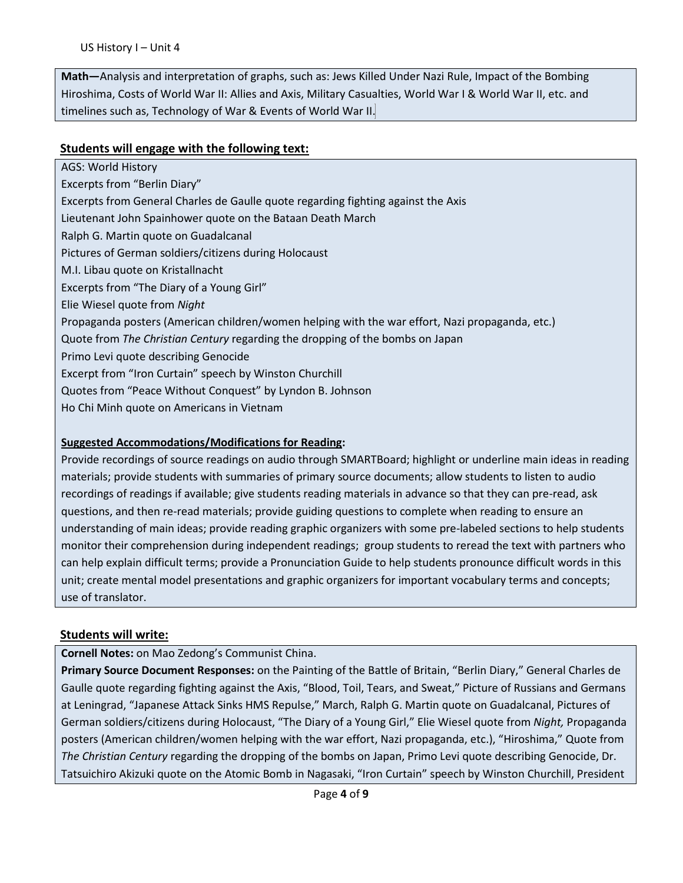**Math—**Analysis and interpretation of graphs, such as: Jews Killed Under Nazi Rule, Impact of the Bombing Hiroshima, Costs of World War II: Allies and Axis, Military Casualties, World War I & World War II, etc. and timelines such as, Technology of War & Events of World War II.

# **Students will engage with the following text:**

AGS: World History Excerpts from "Berlin Diary" Excerpts from General Charles de Gaulle quote regarding fighting against the Axis Lieutenant John Spainhower quote on the Bataan Death March Ralph G. Martin quote on Guadalcanal Pictures of German soldiers/citizens during Holocaust M.I. Libau quote on Kristallnacht Excerpts from "The Diary of a Young Girl" Elie Wiesel quote from *Night* Propaganda posters (American children/women helping with the war effort, Nazi propaganda, etc.) Quote from *The Christian Century* regarding the dropping of the bombs on Japan Primo Levi quote describing Genocide Excerpt from "Iron Curtain" speech by Winston Churchill Quotes from "Peace Without Conquest" by Lyndon B. Johnson Ho Chi Minh quote on Americans in Vietnam

# **Suggested Accommodations/Modifications for Reading:**

Provide recordings of source readings on audio through SMARTBoard; highlight or underline main ideas in reading materials; provide students with summaries of primary source documents; allow students to listen to audio recordings of readings if available; give students reading materials in advance so that they can pre-read, ask questions, and then re-read materials; provide guiding questions to complete when reading to ensure an understanding of main ideas; provide reading graphic organizers with some pre-labeled sections to help students monitor their comprehension during independent readings; group students to reread the text with partners who can help explain difficult terms; provide a Pronunciation Guide to help students pronounce difficult words in this unit; create mental model presentations and graphic organizers for important vocabulary terms and concepts; use of translator.

# **Students will write:**

**Cornell Notes:** on Mao Zedong's Communist China.

**Primary Source Document Responses:** on the Painting of the Battle of Britain, "Berlin Diary," General Charles de Gaulle quote regarding fighting against the Axis, "Blood, Toil, Tears, and Sweat," Picture of Russians and Germans at Leningrad, "Japanese Attack Sinks HMS Repulse," March, Ralph G. Martin quote on Guadalcanal, Pictures of German soldiers/citizens during Holocaust, "The Diary of a Young Girl," Elie Wiesel quote from *Night,* Propaganda posters (American children/women helping with the war effort, Nazi propaganda, etc.), "Hiroshima," Quote from *The Christian Century* regarding the dropping of the bombs on Japan, Primo Levi quote describing Genocide, Dr. Tatsuichiro Akizuki quote on the Atomic Bomb in Nagasaki, "Iron Curtain" speech by Winston Churchill, President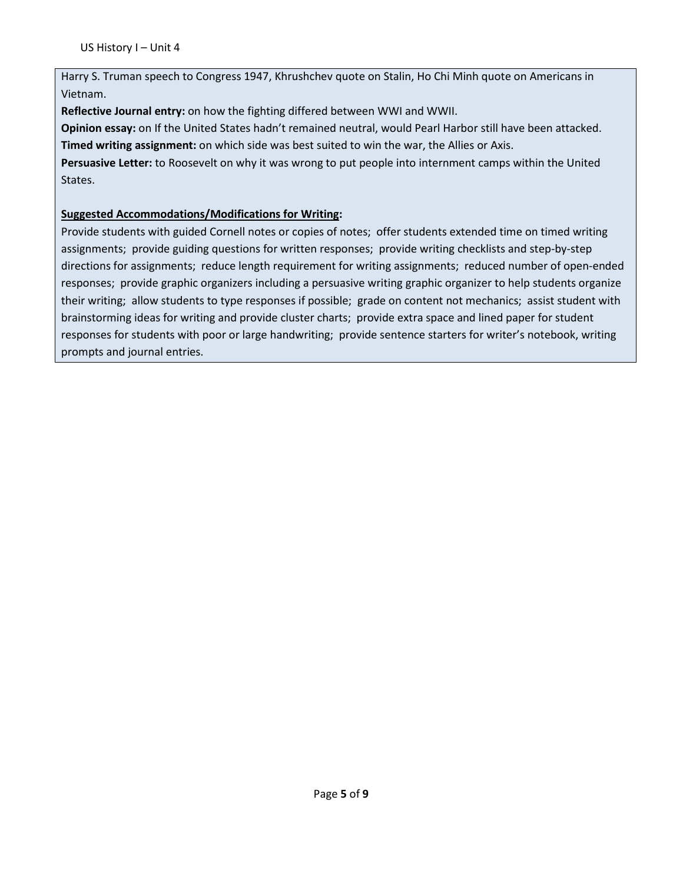Harry S. Truman speech to Congress 1947, Khrushchev quote on Stalin, Ho Chi Minh quote on Americans in Vietnam.

**Reflective Journal entry:** on how the fighting differed between WWI and WWII.

**Opinion essay:** on If the United States hadn't remained neutral, would Pearl Harbor still have been attacked. **Timed writing assignment:** on which side was best suited to win the war, the Allies or Axis.

**Persuasive Letter:** to Roosevelt on why it was wrong to put people into internment camps within the United States.

#### **Suggested Accommodations/Modifications for Writing:**

Provide students with guided Cornell notes or copies of notes; offer students extended time on timed writing assignments; provide guiding questions for written responses; provide writing checklists and step-by-step directions for assignments; reduce length requirement for writing assignments; reduced number of open-ended responses; provide graphic organizers including a persuasive writing graphic organizer to help students organize their writing; allow students to type responses if possible; grade on content not mechanics; assist student with brainstorming ideas for writing and provide cluster charts; provide extra space and lined paper for student responses for students with poor or large handwriting;provide sentence starters for writer's notebook, writing prompts and journal entries.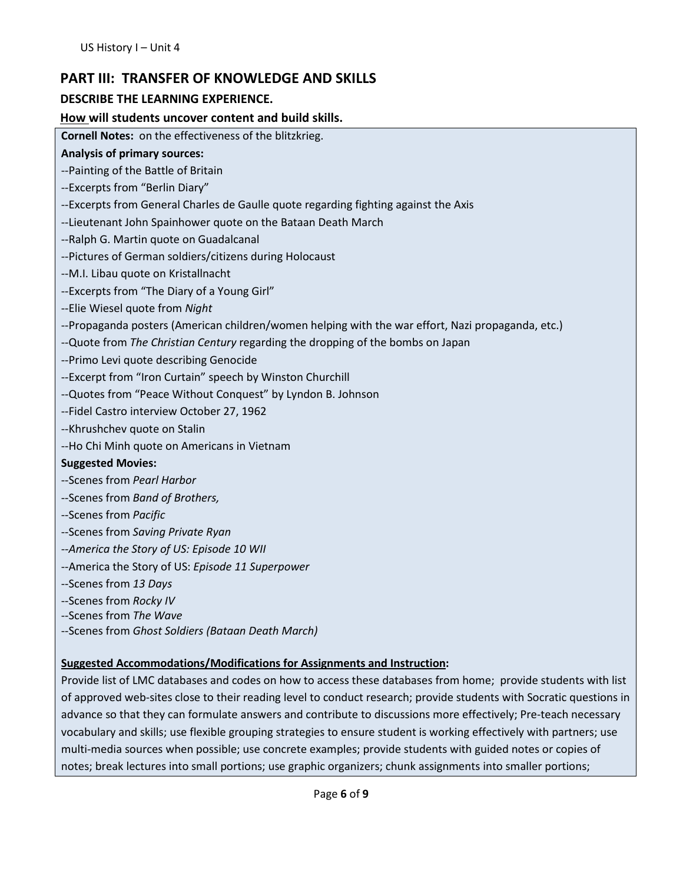# **PART III: TRANSFER OF KNOWLEDGE AND SKILLS**

# **DESCRIBE THE LEARNING EXPERIENCE.**

# **How will students uncover content and build skills.**

**Cornell Notes:** on the effectiveness of the blitzkrieg.

## **Analysis of primary sources:**

- --Painting of the Battle of Britain
- --Excerpts from "Berlin Diary"
- --Excerpts from General Charles de Gaulle quote regarding fighting against the Axis
- --Lieutenant John Spainhower quote on the Bataan Death March
- --Ralph G. Martin quote on Guadalcanal
- --Pictures of German soldiers/citizens during Holocaust
- --M.I. Libau quote on Kristallnacht
- --Excerpts from "The Diary of a Young Girl"
- --Elie Wiesel quote from *Night*
- --Propaganda posters (American children/women helping with the war effort, Nazi propaganda, etc.)
- --Quote from *The Christian Century* regarding the dropping of the bombs on Japan
- --Primo Levi quote describing Genocide
- --Excerpt from "Iron Curtain" speech by Winston Churchill
- --Quotes from "Peace Without Conquest" by Lyndon B. Johnson
- --Fidel Castro interview October 27, 1962
- --Khrushchev quote on Stalin
- --Ho Chi Minh quote on Americans in Vietnam

#### **Suggested Movies:**

- --Scenes from *Pearl Harbor*
- --Scenes from *Band of Brothers,*
- --Scenes from *Pacific*
- --Scenes from *Saving Private Ryan*
- *--America the Story of US: Episode 10 WII*
- --America the Story of US: *Episode 11 Superpower*
- --Scenes from *13 Days*
- --Scenes from *Rocky IV*
- --Scenes from *The Wave*
- --Scenes from *Ghost Soldiers (Bataan Death March)*

# **Suggested Accommodations/Modifications for Assignments and Instruction:**

Provide list of LMC databases and codes on how to access these databases from home; provide students with list of approved web-sites close to their reading level to conduct research; provide students with Socratic questions in advance so that they can formulate answers and contribute to discussions more effectively; Pre-teach necessary vocabulary and skills; use flexible grouping strategies to ensure student is working effectively with partners; use multi-media sources when possible; use concrete examples; provide students with guided notes or copies of notes; break lectures into small portions; use graphic organizers; chunk assignments into smaller portions;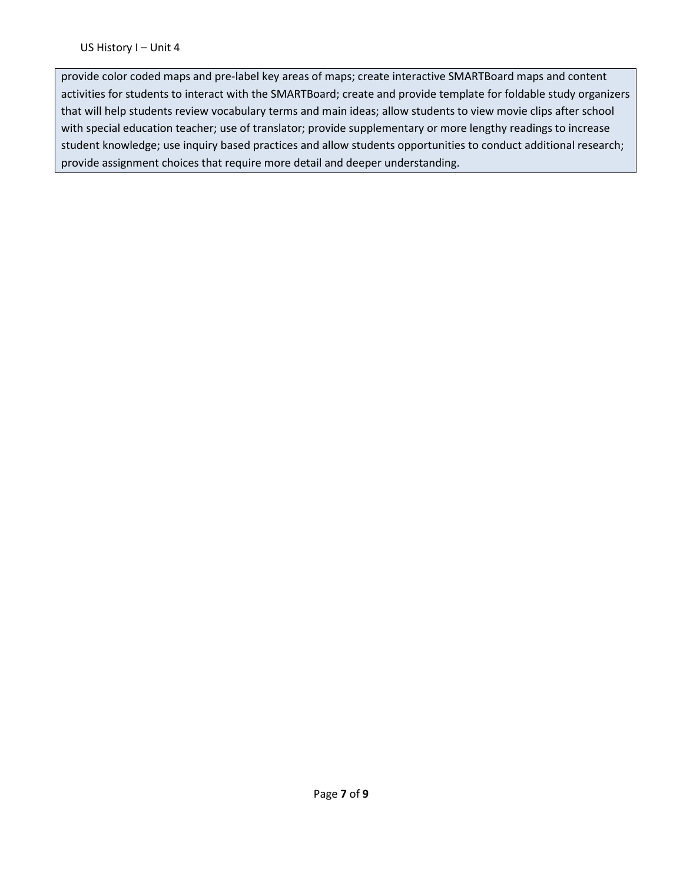provide color coded maps and pre-label key areas of maps; create interactive SMARTBoard maps and content activities for students to interact with the SMARTBoard; create and provide template for foldable study organizers that will help students review vocabulary terms and main ideas; allow students to view movie clips after school with special education teacher; use of translator; provide supplementary or more lengthy readings to increase student knowledge; use inquiry based practices and allow students opportunities to conduct additional research; provide assignment choices that require more detail and deeper understanding.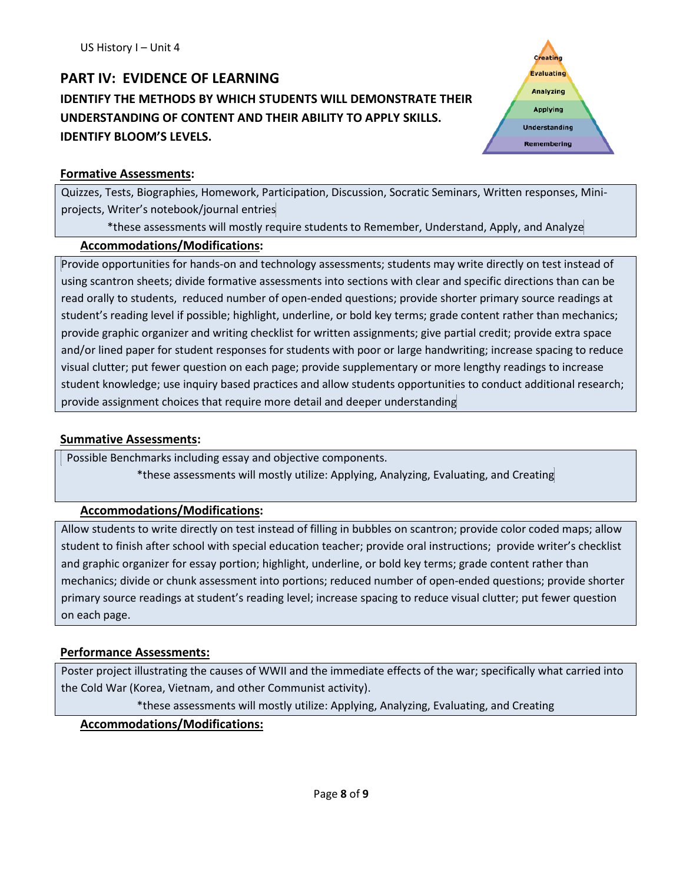# **PART IV: EVIDENCE OF LEARNING IDENTIFY THE METHODS BY WHICH STUDENTS WILL DEMONSTRATE THEIR UNDERSTANDING OF CONTENT AND THEIR ABILITY TO APPLY SKILLS. IDENTIFY BLOOM'S LEVELS.**



## **Formative Assessments:**

Quizzes, Tests, Biographies, Homework, Participation, Discussion, Socratic Seminars, Written responses, Miniprojects, Writer's notebook/journal entries

\*these assessments will mostly require students to Remember, Understand, Apply, and Analyze

## **Accommodations/Modifications:**

Provide opportunities for hands-on and technology assessments; students may write directly on test instead of using scantron sheets; divide formative assessments into sections with clear and specific directions than can be read orally to students, reduced number of open-ended questions; provide shorter primary source readings at student's reading level if possible; highlight, underline, or bold key terms; grade content rather than mechanics; provide graphic organizer and writing checklist for written assignments; give partial credit; provide extra space and/or lined paper for student responses for students with poor or large handwriting; increase spacing to reduce visual clutter; put fewer question on each page; provide supplementary or more lengthy readings to increase student knowledge; use inquiry based practices and allow students opportunities to conduct additional research; provide assignment choices that require more detail and deeper understanding

## **Summative Assessments:**

Possible Benchmarks including essay and objective components.

\*these assessments will mostly utilize: Applying, Analyzing, Evaluating, and Creating

# **Accommodations/Modifications:**

Allow students to write directly on test instead of filling in bubbles on scantron; provide color coded maps; allow student to finish after school with special education teacher; provide oral instructions; provide writer's checklist and graphic organizer for essay portion; highlight, underline, or bold key terms; grade content rather than mechanics; divide or chunk assessment into portions; reduced number of open-ended questions; provide shorter primary source readings at student's reading level; increase spacing to reduce visual clutter; put fewer question on each page.

# **Performance Assessments:**

Poster project illustrating the causes of WWII and the immediate effects of the war; specifically what carried into the Cold War (Korea, Vietnam, and other Communist activity).

\*these assessments will mostly utilize: Applying, Analyzing, Evaluating, and Creating

# **Accommodations/Modifications:**